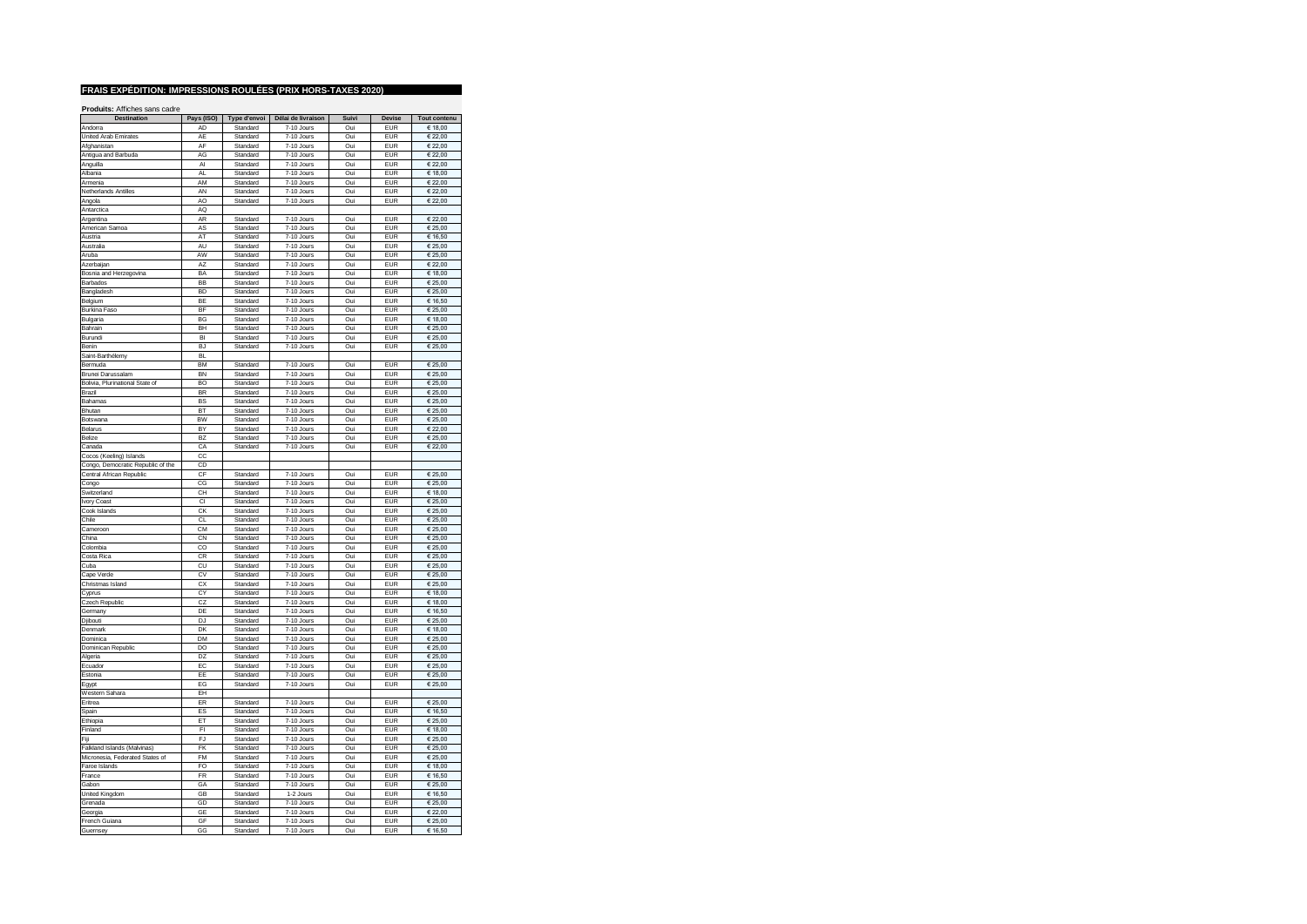| Destination                       | Pays (ISO)     | Type d'envoi         | Délai de livraison       | Suivi      | Devise                   | <b>Tout contenu</b>         |
|-----------------------------------|----------------|----------------------|--------------------------|------------|--------------------------|-----------------------------|
| Andorra                           | AD             | Standard             | 7-10 Jours               | Oui        | <b>EUR</b>               | € 18,00                     |
| United Arab Emirates              | AE             | Standard             | 7-10 Jours               | Oui        | <b>EUR</b>               | € 22.00                     |
| Afghanistan                       | AF             | Standard             | 7-10 Jours               | Oui        | <b>EUR</b>               | € 22,00                     |
| Antigua and Barbuda               | AG             | Standard             | 7-10 Jours               | Oui        | <b>FUR</b>               | € 22,00                     |
| Anguilla                          | AI             | Standard             | 7-10 Jours               | Oui        | <b>EUR</b>               | € 22,00                     |
| Albania                           | AL             | Standard             | 7-10 Jours               | Oui        | EUR                      | € 18,00                     |
| Armenia                           | AM             | Standard             | 7-10 Jours               | Oui        | <b>EUR</b>               | € 22,00                     |
| Netherlands Antilles              | AN             | Standard             | 7-10 Jours               | Oui        | <b>EUR</b>               | € 22,00                     |
| Angola                            | AO             | Standard             | 7-10 Jours               | Oui        | <b>EUR</b>               | € 22.00                     |
| Antarctica                        | AQ             |                      |                          |            |                          |                             |
| Argentina                         | AR             | Standard             | 7-10 Jours               | Oui        | <b>EUR</b>               | € 22,00                     |
| American Samoa                    | AS             | Standard             | 7-10 Jours               | Oui        | <b>EUR</b>               | € 25,00                     |
| Austria                           | AT             | Standard             | 7-10 Jours               | Oui        | <b>EUR</b>               | € 16,50                     |
| Australia                         | AU             | Standard             | 7-10 Jours               | Oui        | <b>FUR</b>               | € 25.00                     |
| Aruba                             | AW             | Standard             | 7-10 Jours               | Oui        | <b>EUR</b>               | € 25,00                     |
| Azerbaijan                        | A7             | Standard             | 7-10 Jours               | Oui        | <b>FUR</b>               | € 22.00                     |
|                                   | BA             |                      |                          | Oui        | <b>EUR</b>               |                             |
| Bosnia and Herzegovina            | <b>BB</b>      | Standard             | 7-10 Jours               |            |                          | € 18,00                     |
| Barbados                          | <b>BD</b>      | Standard             | 7-10 Jours               | Oui        | <b>EUR</b>               | € 25,00                     |
| Bangladesh                        |                | Standard             | 7-10 Jours               | Oui        | <b>EUR</b>               | € 25,00                     |
| Belgium                           | BE             | Standard             | 7-10 Jours               | Oui        | <b>EUR</b>               | € 16.50                     |
| Burkina Faso                      | <b>BF</b>      | Standard             | 7-10 Jours               | Oui        | <b>EUR</b>               | € 25,00                     |
| Bulgaria                          | BG             | Standard             | 7-10 Jours               | Oui        | <b>EUR</b>               | € 18,00                     |
| Bahrain                           | <b>BH</b>      | Standard             | 7-10 Jours               | Oui        | <b>EUR</b>               | € 25,00                     |
| Burundi                           | BI             | Standard             | 7-10 Jours               | Oui        | EUR                      | $\overline{\epsilon}$ 25,00 |
| Benin                             | BJ             | Standard             | 7-10 Jours               | Oui        | <b>EUR</b>               | € 25.00                     |
| Saint-Barthélemy                  | <b>BI</b>      |                      |                          |            |                          |                             |
| Bermuda                           | <b>BM</b>      | Standard             | 7-10 Jours               | Oui        | <b>EUR</b>               | € 25,00                     |
| Brunei Darussalam                 | <b>RN</b>      | Standard             | 7-10 Jours               | Oui        | <b>FUR</b>               | € 25.00                     |
| Bolivia, Plurinational State of   | BO             | Standard             | 7-10 Jours               | Oui        | <b>FUR</b>               | € 25,00                     |
| Brazil                            | <b>BR</b>      | Standard             | 7-10 Jours               | Oui        | <b>FUR</b>               | € 25,00                     |
| Bahamas                           | BS             | Standard             | 7-10 Jours               | Oui        | <b>EUR</b>               | € 25,00                     |
| Bhutan                            | BT             | Standard             | 7-10 Jours               | Oui        | <b>EUR</b>               | € 25,00                     |
| Botswana                          | <b>BW</b>      | Standard             | 7-10 Jours               | Oui        | <b>EUR</b>               | € 25,00                     |
| Belarus                           | BY             | Standard             | 7-10 Jours               | Oui        | <b>EUR</b>               | € 22,00                     |
| Belize                            | B <sub>7</sub> | Standard             | 7-10 Jours               | Oui        | <b>FUR</b>               | € 25,00                     |
| Canada                            | CA             | Standard             | 7-10 Jours               | Oui        | <b>EUR</b>               | € 22,00                     |
| Cocos (Keeling) Islands           | CC             |                      |                          |            |                          |                             |
| Congo, Democratic Republic of the | CD             |                      |                          |            |                          |                             |
| Central African Republic          | CF             | Standard             | 7-10 Jours               | Oui        | <b>EUR</b>               | € 25,00                     |
| Congo                             | CG             | Standard             | 7-10 Jours               | Oui        | <b>EUR</b>               | € 25.00                     |
| Switzerland                       | CH             | Standard             | 7-10 Jours               | Oui        | <b>EUR</b>               | € 18,00                     |
| Ivory Coast                       | CI             | Standard             | 7-10 Jours               | Oui        | <b>EUR</b>               | € 25.00                     |
| Cook Islands                      | CK             | Standard             | 7-10 Jours               | Oui        | <b>EUR</b>               | € 25,00                     |
| Chile                             | CL             | Standard             | 7-10 Jours               | Oui        | <b>EUR</b>               | € 25,00                     |
| Cameroon                          | CM             | Standard             | 7-10 Jours               | Oui        | <b>EUR</b>               | € 25,00                     |
| China                             | CN             | Standard             | 7-10 Jours               | Oui        | <b>EUR</b>               | $\in$ 25,00                 |
| Colombia                          | CO             | Standard             | 7-10 Jours               | Oui        | <b>FUR</b>               | € 25,00                     |
| Costa Rica                        | CR             | Standard             | 7-10 Jours               | Oui        | <b>EUR</b>               | € 25,00                     |
| Cuba                              | CU             | Standard             | 7-10 Jours               | Oui        | <b>EUR</b>               | € 25.00                     |
| Cape Verde                        | CV             | Standard             | 7-10 Jours               | Oui        | EUR                      | € 25,00                     |
|                                   | CX             | Standard             | 7-10 Jours               | Oui        | <b>EUR</b>               | € 25,00                     |
| Christmas Island                  | CY             | Standard             | $7-10$ . Jours           | Oui        | <b>EUR</b>               | € 18,00                     |
| Cyprus<br>Czech Republic          | CZ             | Standard             | 7-10 Jours               | Oui        | <b>EUR</b>               | € 18,00                     |
|                                   |                |                      |                          |            |                          |                             |
| Germany                           | DE             | Standard             | 7-10 Jours               | Oui        | <b>EUR</b>               | € 16,50                     |
| Djibouti<br>Denmark               | DJ<br>DK       | Standard<br>Standard | 7-10 Jours<br>7-10 Jours | Oui<br>Oui | <b>EUR</b><br><b>EUR</b> | € 25,00<br>€ 18.00          |
|                                   |                |                      |                          |            |                          |                             |
| Dominica                          | DM             | Standard             | 7-10 Jours               | Oui        | <b>EUR</b><br><b>EUR</b> | € 25,00                     |
| Dominican Republic                | DO             | Standard             | 7-10 Jours               | Oui        |                          | € 25,00                     |
| Algeria                           | D <sub>7</sub> | Standard             | 7-10 Jours               | Oui        | EUR                      | € 25,00                     |
| Ecuador                           | EC             | Standard             | 7-10 Jours               | Oui        | <b>EUR</b>               | € 25,00                     |
| Estonia                           | EF             | Standard             | $7-10$ . Jours           | Oui        | <b>FUR</b>               | 62500                       |
| Egypt                             | EG             | Standard             | 7-10 Jours               | Oui        | <b>EUR</b>               | € 25,00                     |
| Western Sahara                    | EH             |                      |                          |            |                          |                             |
| Eritrea                           | <b>FR</b>      | Standard             | 7-10 Jours               | Oui        | <b>EUR</b>               | € 25,00                     |
| Spain                             | ES             | Standard             | 7-10 Jours               | Oui        | <b>EUR</b>               | € 16,50                     |
| Ethiopia                          | <b>FT</b>      | Standard             | 7-10 Jours               | Oui        | <b>FUR</b>               | € 25,00                     |
| Finland                           | FI             | Standard             | 7-10 Jours               | Oui        | <b>EUR</b>               | € 18,00                     |
| Fiji                              | E.I            | Standard             | 7-10 Jours               | Oui        | <b>EUR</b>               | € 25,00                     |
| Falkland Islands (Malvinas)       | <b>FK</b>      | Standard             | 7-10 Jours               | Oui        | <b>EUR</b>               | $\overline{\epsilon}$ 25,00 |
| Micronesia. Federated States of   | FM             | Standard             | 7-10 Jours               | Oui        | <b>EUR</b>               | € 25,00                     |
| Faroe Islands                     | FO             | Standard             | 7-10 Jours               | Oui        | <b>FUR</b>               | € 18,00                     |
| France                            | <b>FR</b>      | Standard             | 7-10 Jours               | Oui        | <b>EUR</b>               | € 16,50                     |
| Gabon                             | GA             | Standard             | 7-10 Jours               | Oui        | <b>EUR</b>               | € 25,00                     |
| United Kingdom                    | GB             | Standard             | 1-2 Jours                | Oui        | <b>EUR</b>               | € 16,50                     |
| Grenada                           | GD             | Standard             | 7-10 Jours               | Oui        | <b>EUR</b>               | € 25,00                     |
| Georgia                           | GE             | Standard             | 7-10 Jours               | Oui        | <b>EUR</b>               | € 22.00                     |
| French Guiana                     | GF             | Standard             | 7-10 Jours               | Oui        | <b>EUR</b>               | € 25,00                     |
| Guernsey                          | GG             | Standard             | 7-10 Jours               | Oui        | <b>FUR</b>               | € 16,50                     |
|                                   |                |                      |                          |            |                          |                             |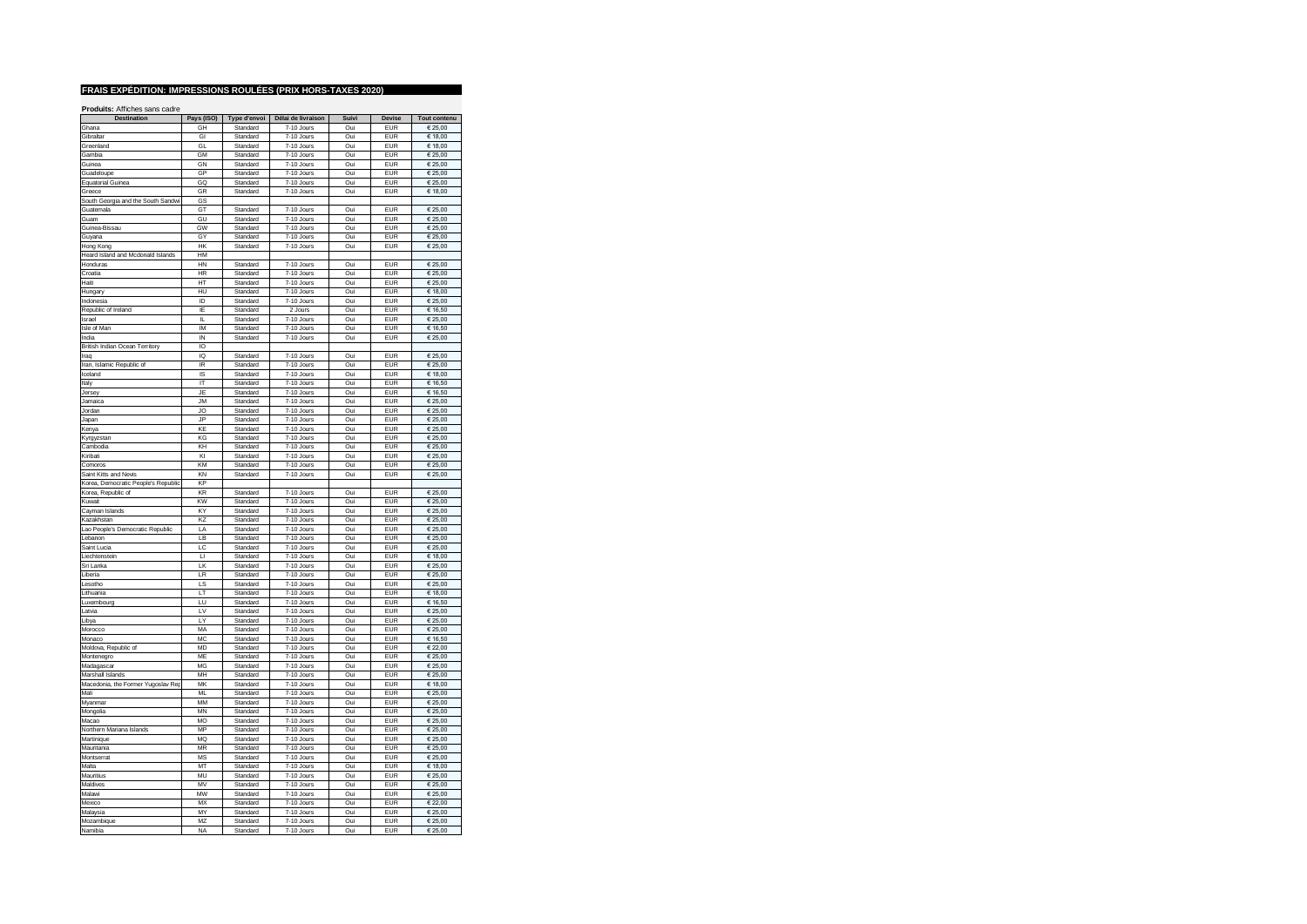| <b>Destination</b>                  | Pays (ISO)     | Type d'envoi         | Délai de livraison           | Suivi      | <b>Devise</b> | Tout contenu       |
|-------------------------------------|----------------|----------------------|------------------------------|------------|---------------|--------------------|
| Ghana                               | GH             | Standard             | 7-10 Jours                   | Oui        | EUR           | € 25.00            |
| Gibraltar                           | GI             | Standard             | 7-10 Jours                   | Oui        | <b>EUR</b>    | € 18,00            |
| Greenland                           | GL             | Standard             | 7-10 Jours                   | Oui        | EUR           | € 18,00            |
|                                     |                |                      |                              |            |               |                    |
| Gambia                              | GM             | Standard             | 7-10 Jours                   | Oui        | <b>EUR</b>    | € 25,00            |
| Guinea                              | GN             | Standard             | 7-10 Jours                   | Oui        | EUR           | € 25,00            |
| Guadeloupe                          | GP             | Standard             | 7-10 Jours                   | Oui        | <b>FUR</b>    | € 25.00            |
| <b>Equatorial Guinea</b>            | GQ             | Standard             | 7-10 Jours                   | Oui        | <b>EUR</b>    | € 25.00            |
| Greece                              | GR             | Standard             | 7-10 Jours                   | Oui        | <b>EUR</b>    | € 18,00            |
| South Georgia and the South Sandwi  | GS             |                      |                              |            |               |                    |
| Guatemala                           | GT             | Standard             | 7-10 Jours                   | Oui        | <b>FUR</b>    | € 25,00            |
| Guam                                | GU             | Standard             | 7-10 Jours                   | Oui        | <b>EUR</b>    | € 25,00            |
| Guinea-Bissau                       | GW             | Standard             | 7-10 Jours                   | Oui        | EUR           | € 25,00            |
| Guyana                              | GY             | Standard             | 7-10 Jours                   | Oui        | <b>EUR</b>    | € 25.00            |
| Hong Kong                           | HK             | Standard             | 7-10 Jours                   | Oui        | <b>EUR</b>    | € 25,00            |
| Heard Island and Mcdonald Islands   | HM             |                      |                              |            |               |                    |
| Honduras                            | HN             | Standard             | 7-10 Jours                   | Oui        | <b>EUR</b>    | € 25,00            |
| Croatia                             | <b>HR</b>      | Standard             | 7-10 Jours                   | Oui        | <b>EUR</b>    | € 25.00            |
|                                     |                |                      |                              |            |               |                    |
| Haiti                               | HT             | Standard             | 7-10 Jours                   | Oui        | EUR           | € 25,00            |
| Hungary                             | HU             | Standard             | 7-10 Jours                   | Oui        | EUR           | € 18,00            |
| Indonesia                           | ID             | Standard             | 7-10 Jours                   | Oui        | <b>EUR</b>    | € 25.00            |
| Republic of Ireland                 | IF             | Standard             | 2 Jours                      | Oui        | <b>EUR</b>    | € 16,50            |
| Israel                              | IL.            | Standard             | 7-10 Jours                   | Oui        | EUR           | € 25,00            |
| Isle of Man                         | IM             | Standard             | 7-10 Jours                   | Oui        | EUR           | € 16,50            |
| India                               | IN             | Standard             | 7-10 Jours                   | Oui        | EUR           | € 25,00            |
| British Indian Ocean Territory      | IO             |                      |                              |            |               |                    |
| Iraq                                | IQ             | Standard             | 7-10 Jours                   | Oui        | <b>EUR</b>    | € 25,00            |
| Iran, Islamic Republic of           | IR             | Standard             | 7-10 Jours                   | Oui        | <b>EUR</b>    | € 25,00            |
| Iceland                             | IS             | Standard             | 7-10 Jours                   | Oui        | FUR           | € 18.00            |
|                                     | IT             |                      |                              |            | EUR           |                    |
| Italy<br>Jersey                     | JF             | Standard<br>Standard | 7-10 Jours<br>7-10 Jours     | Oui<br>Oui | <b>EUR</b>    | € 16,50<br>€ 16,50 |
|                                     |                |                      |                              |            |               |                    |
| Jamaica                             | <b>JM</b>      | Standard             | 7-10 Jours                   | Oui        | <b>EUR</b>    | € 25,00            |
| Jordan                              | JO             | Standard             | 7-10 Jours                   | Oui        | <b>EUR</b>    | € 25,00            |
| Japan                               | .IP            | Standard             | 7-10 Jours                   | Oui        | <b>EUR</b>    | € 25,00            |
| Kenya                               | KF             | Standard             | $7-10$ . Jours               | Oui        | <b>FUR</b>    | € 25,00            |
| Kyrgyzstan                          | KG             | Standard             | 7-10 Jours                   | Oui        | <b>EUR</b>    | € 25,00            |
| Cambodia                            | KH             | Standard             | 7-10 Jours                   | Oui        | EUR           | € 25,00            |
| Kiribati                            | KI             | Standard             | 7-10 Jours                   | Oui        | FUR           | € 25,00            |
| Comoros                             | KM             | Standard             | 7-10 Jours                   | Oui        | <b>EUR</b>    | $E$ 25,00          |
| Saint Kitts and Nevis               | KN             | Standard             | 7-10 Jours                   | Oui        | <b>EUR</b>    | € 25,00            |
| Korea, Democratic People's Republic | KP             |                      |                              |            |               |                    |
| Korea, Republic of                  | KR             | Standard             | 7-10 Jours                   | Oui        | <b>EUR</b>    | € 25,00            |
| Kuwait                              | KW             | Standard             | 7-10 Jours                   | Oui        | <b>EUR</b>    | € 25,00            |
| Cayman Islands                      | KY             | Standard             | 7-10 Jours                   | Oui        | <b>FUR</b>    | € 25.00            |
|                                     |                |                      |                              |            |               |                    |
| Kazakhstan                          | KZ             | Standard             | 7-10 Jours                   | Oui        | <b>EUR</b>    | € 25,00            |
| Lao People's Democratic Republic    | LA             | Standard             | 7-10 Jours                   | Oui        | <b>FUR</b>    | € 25,00            |
| Lebanon                             | IB             | Standard             | 7-10 Jours                   | Oui        | EUR           | € 25,00            |
| Saint Lucia                         | LC             | Standard             | 7-10 Jours                   | Oui        | EUR           | € 25,00            |
| Liechtenstein                       | $\blacksquare$ | Standard             | 7-10 Jours                   | Oui        | FUR           | € 18,00            |
| Sri Lanka                           | LK             | Standard             | 7-10 Jours                   | Oui        | EUR           | € 25,00            |
| Liberia                             | LR             | Standard             | 7-10 Jours                   | Oui        | <b>EUR</b>    | € 25.00            |
| Lesotho                             | LS             | Standard             | 7-10 Jours                   | Oui        | <b>EUR</b>    | € 25,00            |
| Lithuania                           | LT             | Standard             | 7-10 Jours                   | Oui        | EUR           | € 18,00            |
| Luxembourg                          | LU             | Standard             | 7-10 Jours                   | Oui        | <b>EUR</b>    | € 16,50            |
| Latvia                              | IV             | Standard             | 7-10 Jours                   | Oui        | <b>FUR</b>    | € 25,00            |
| Libya                               | LY             | Standard             | 7-10 Jours                   | Oui        | EUR           | € 25,00            |
| Morocco                             | MA             | Standard             | 7-10 Jours                   | Oui        | <b>EUR</b>    | € 25,00            |
|                                     | MC             |                      |                              |            | EUR           |                    |
| Monaco                              | <b>MD</b>      | Standard<br>Standard | 7-10 Jours<br>$7-10$ . Jours | Oui<br>Oui | <b>FUR</b>    | € 16,50<br>€ 22.00 |
| Moldova, Republic of                |                |                      |                              |            |               |                    |
| Montenegro                          | ME             | Standard             | 7-10 Jours                   | Oui        | EUR           | € 25,00            |
| Madagascar                          | MG             | Standard             | 7-10 Jours                   | Oui        | <b>EUR</b>    | € 25,00            |
| Marshall Islands                    | MH             | Standard             | 7-10 Jours                   | Oui        | EUR           | € 25,00            |
| Macedonia, the Former Yugoslav Rep  | MK             | Standard             | 7-10 Jours                   | Oui        | <b>EUR</b>    | € 18,00            |
| Mali                                | M              | Standard             | 7-10 Jours                   | Oui        | <b>EUR</b>    | € 25,00            |
| Myanmar                             | MM             | Standard             | 7-10 Jours                   | Oui        | <b>EUR</b>    | € 25,00            |
| Mongolia                            | MN             | Standard             | 7-10 Jours                   | Oui        | <b>EUR</b>    | € 25,00            |
| Macao                               | <b>MO</b>      | Standard             | 7-10 Jours                   | Oui        | EUR           | $\in$ 25,00        |
| Northern Mariana Islands            | MP             | Standard             | $7-10$ . Jours               | Oui        | <b>FUR</b>    | 62500              |
| Martinique                          | <b>MQ</b>      | Standard             | 7-10 Jours                   | Oui        | <b>EUR</b>    | € 25,00            |
| Mauritania                          | MR             | Standard             | 7-10 Jours                   | Oui        | <b>EUR</b>    | € 25.00            |
| Montserrat                          | <b>MS</b>      | Standard             | 7-10 Jours                   | Oui        | EUR           | € 25,00            |
| Malta                               | MT             |                      |                              | Oui        | EUR           |                    |
|                                     |                | Standard             | 7-10 Jours                   |            |               | € 18,00            |
| Mauritius                           | MU             | Standard             | 7-10 Jours                   | Oui        | <b>EUR</b>    | € 25,00            |
| Maldives                            | MV             | Standard             | 7-10 Jours                   | Oui        | <b>EUR</b>    | € 25,00            |
| Malawi                              | MW             | Standard             | 7-10 Jours                   | Oui        | EUR           | € 25.00            |
| Mexico                              | MX             | Standard             | 7-10 Jours                   | Oui        | <b>EUR</b>    | € 22,00            |
| Malaysia                            | MY             | Standard             | 7-10 Jours                   | Oui        | EUR           | € 25.00            |
| Mozambique                          | MZ             | Standard             | 7-10 Jours                   | Oui        | <b>EUR</b>    | € 25,00            |
| Namibia                             | <b>NA</b>      | Standard             | 7-10 Jours                   | Oui        | <b>EUR</b>    | € 25,00            |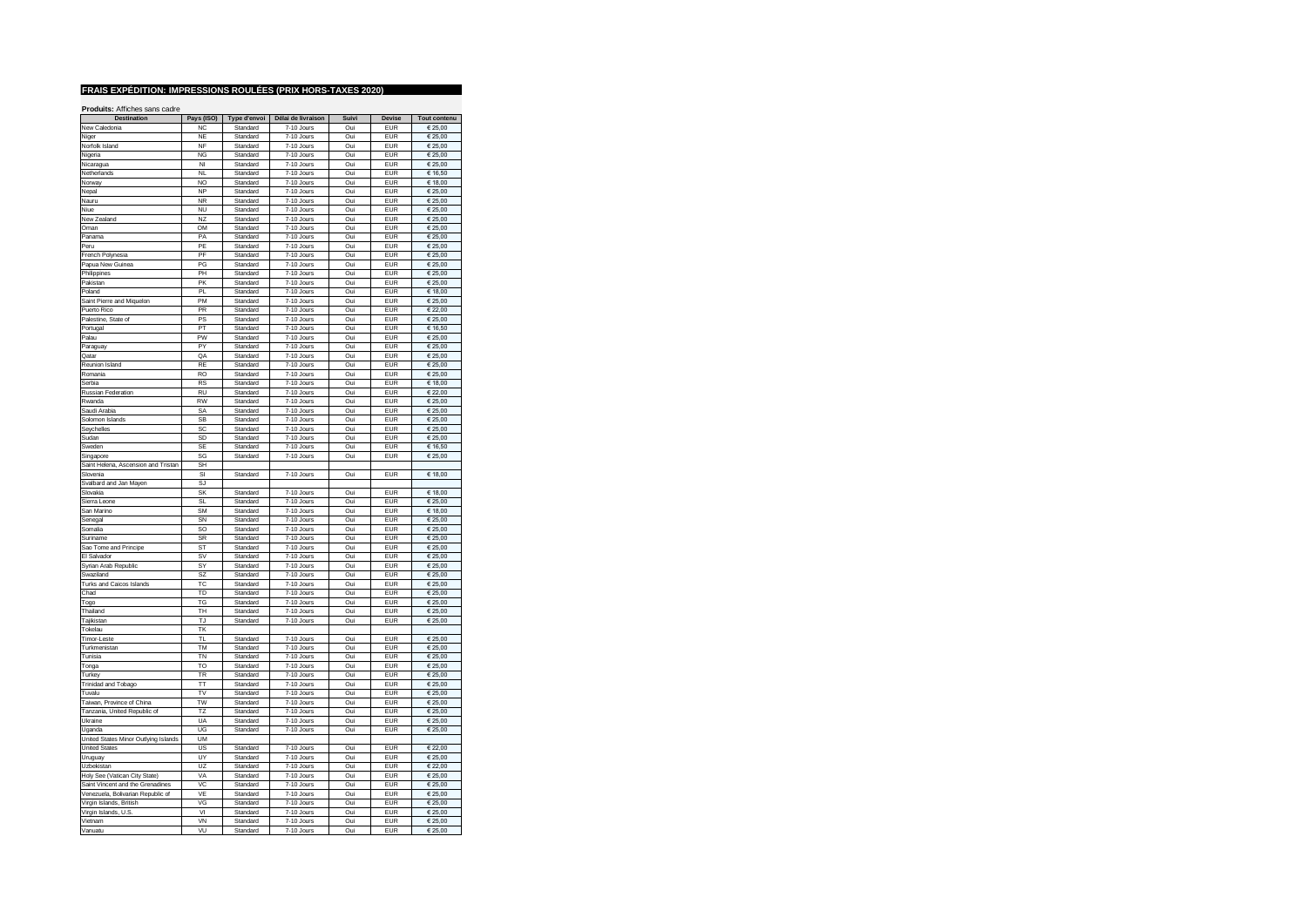| <b>Destination</b>                      | Pays (ISO)             | Type d'envoi         | Délai de livraison       | Suivi      | Devise                   | Tout contenu                |
|-----------------------------------------|------------------------|----------------------|--------------------------|------------|--------------------------|-----------------------------|
| New Caledonia                           | <b>NC</b>              | Standard             | 7-10 Jours               | Oui        | EUR                      | € 25,00                     |
| Niger                                   | <b>NE</b>              | Standard             | 7-10 Jours               | Oui        | <b>EUR</b>               | € 25,00                     |
| Norfolk Island                          | <b>NF</b>              | Standard             | 7-10 Jours               | Oui        | <b>EUR</b>               | € 25,00                     |
| Nigeria                                 | <b>NG</b>              | Standard             | 7-10 Jours               | Oui        | <b>EUR</b>               | € 25,00                     |
| Nicaragua                               | NI                     | Standard             | 7-10 Jours               | Oui        | <b>EUR</b>               | € 25,00                     |
| Netherlands                             | NI                     | Standard             | 7-10 Jours               | Oui        | <b>FUR</b>               | € 16,50                     |
| Norway                                  | NO                     | Standard             | 7-10 Jours               | Oui        | <b>EUR</b>               | € 18,00                     |
| Nepal                                   | <b>NP</b>              | Standard             | 7-10 Jours               | Oui        | <b>FUR</b>               | € 25,00                     |
| Nauru                                   | <b>NR</b>              | Standard             | 7-10 Jours               | Oui        | <b>FUR</b>               | € 25,00                     |
| Niue                                    | <b>NU</b>              | Standard             | 7-10 Jours               | Oui        | <b>EUR</b>               | € 25.00                     |
|                                         |                        |                      |                          |            |                          |                             |
| New Zealand                             | N <sub>Z</sub>         | Standard             | 7-10 Jours               | Oui        | <b>EUR</b>               | € 25,00                     |
| Oman                                    | OM                     | Standard             | 7-10 Jours               | Oui        | <b>EUR</b>               | € 25,00                     |
| Panama                                  | PΔ                     | Standard             | 7-10 Jours               | Oui        | <b>EUR</b>               | $\overline{\epsilon}$ 25,00 |
| Peru                                    | PE                     | Standard             | 7-10 Jours               | Oui        | <b>EUR</b>               | € 25,00                     |
| French Polynesia                        | PF                     | Standard             | 7-10 Jours               | Oui        | <b>FUR</b>               | € 25,00                     |
| Papua New Guinea                        | PG                     | Standard             | 7-10 Jours               | Oui        | <b>EUR</b>               | € 25,00                     |
| Philippines                             | <b>PH</b>              | Standard             | 7-10 Jours               | Oui        | <b>FUR</b>               | € 25,00                     |
| Pakistan                                | PK                     | Standard             | 7-10 Jours               | Oui        | <b>FUR</b>               | € 25,00                     |
| Poland                                  | PL                     | Standard             | 7-10 Jours               | Oui        | <b>EUR</b>               | € 18,00                     |
| Saint Pierre and Miquelon               | PM                     | Standard             | 7-10 Jours               | Oui        | <b>EUR</b>               | € 25.00                     |
| Puerto Rico                             | PR                     | Standard             | 7-10 Jours               | Oui        | <b>EUR</b>               | € 22,00                     |
| Palestine, State of                     | <b>PS</b>              | Standard             | 7-10 Jours               | Oui        | EUR                      | € 25,00                     |
| Portugal                                | PT                     | Standard             | 7-10 Jours               | Oui        | <b>EUR</b>               | € 16,50                     |
| Palau                                   | PW                     | Standard             | 7-10 Jours               | Oui        | <b>EUR</b>               | € 25,00                     |
| Paraguay                                | PY                     | Standard             | 7-10 Jours               | Oui        | <b>EUR</b>               | € 25,00                     |
| Qatar                                   | OA                     | Standard             | 7-10 Jours               | Oui        | <b>EUR</b>               | € 25,00                     |
| Reunion Island                          | <b>RF</b>              | Standard             | 7-10 Jours               | Oui        | <b>EUR</b>               | € 25,00                     |
| Romania                                 | R <sub>O</sub>         | Standard             | 7-10 Jours               | Oui        | <b>EUR</b>               | € 25,00                     |
|                                         |                        |                      |                          |            |                          |                             |
| Serbia<br>Russian Federation            | <b>RS</b><br><b>RU</b> | Standard<br>Standard | 7-10 Jours<br>7-10 Jours | Oui<br>Oui | <b>EUR</b><br><b>EUR</b> | € 18,00<br>€ 22,00          |
|                                         |                        |                      |                          |            |                          |                             |
| Rwanda                                  | <b>RW</b>              | Standard             | 7-10 Jours               | Oui        | <b>FUR</b>               | $\overline{\epsilon}$ 25,00 |
| Saudi Arabia                            | SA                     | Standard             | 7-10 Jours               | Oui        | <b>EUR</b>               | € 25,00                     |
| Solomon Islands                         | <b>SB</b>              | Standard             | 7-10 Jours               | Oui        | <b>FUR</b>               | € 25,00                     |
| Seychelles                              | SC                     | Standard             | 7-10 Jours               | Oui        | <b>EUR</b>               | $\overline{\epsilon}$ 25,00 |
| Sudan                                   | SD                     | Standard             | 7-10 Jours               | Oui        | <b>EUR</b>               | € 25,00                     |
| Sweden                                  | <b>SE</b>              | Standard             | 7-10 Jours               | Oui        | <b>EUR</b>               | € 16,50                     |
| Singapore                               | SG                     | Standard             | 7-10 Jours               | Oui        | <b>EUR</b>               | € 25.00                     |
| Saint Helena, Ascension and Tristan     | SH                     |                      |                          |            |                          |                             |
| Slovenia                                | SI                     | Standard             | 7-10 Jours               | Oui        | <b>EUR</b>               | € 18,00                     |
| Svalbard and Jan Mayen                  | S <sub>1</sub>         |                      |                          |            |                          |                             |
| Slovakia                                | SK                     | Standard             | 7-10 Jours               | Oui        | <b>EUR</b>               | € 18,00                     |
| Sierra Leone                            | $\mathbf{S}$           | Standard             | 7-10 Jours               | Oui        | <b>FUR</b>               | 62500                       |
| San Marino                              | <b>SM</b>              | Standard             | 7-10 Jours               | Oui        | <b>EUR</b>               | € 18,00                     |
| Senegal                                 | SN                     | Standard             | 7-10 Jours               | Oui        | <b>EUR</b>               | € 25,00                     |
| Somalia                                 | SO                     | Standard             | 7-10 Jours               | Oui        | <b>EUR</b>               | € 25,00                     |
| Suriname                                | SR                     | Standard             | $7-10$ . Jours           | Oui        | <b>EUR</b>               | 62500                       |
|                                         |                        |                      |                          |            |                          |                             |
| Sao Tome and Principe                   | <b>ST</b>              | Standard             | 7-10 Jours               | Oui        | <b>EUR</b>               | € 25,00                     |
| El Salvador                             | SV                     | Standard             | 7-10 Jours               | Oui        | <b>EUR</b>               | € 25,00                     |
| Syrian Arab Republic                    | SY                     | Standard             | 7-10 Jours               | Oui        | <b>FUR</b>               | € 25.00                     |
| Swaziland                               | SZ                     | Standard             | 7-10 Jours               | Oui        | <b>EUR</b>               | € 25,00                     |
| Turks and Caicos Islands                | TC.                    | Standard             | 7-10 Jours               | Oui        | <b>FUR</b>               | € 25,00                     |
| Chad                                    | TD                     | Standard             | 7-10 Jours               | Oui        | <b>EUR</b>               | € 25,00                     |
| Togo                                    | TG                     | Standard             | 7-10 Jours               | Oui        | <b>EUR</b>               | € 25,00                     |
| Thailand                                | TH                     | Standard             | 7-10 Jours               | Oui        | <b>EUR</b>               | € 25,00                     |
| Tajikistan                              | TJ                     | Standard             | 7-10 Jours               | Oui        | <b>EUR</b>               | € 25,00                     |
| Tokelau                                 | ΤK                     |                      |                          |            |                          |                             |
| Timor-Leste                             | ΤL                     | Standard             | 7-10 Jours               | Oui        | <b>EUR</b>               | € 25,00                     |
| Turkmenistan                            | TM                     | Standard             | 7-10 Jours               | Oui        | <b>EUR</b>               | € 25,00                     |
| Tunisia                                 | TN                     | Standard             | 7-10 Jours               | Oui        | <b>EUR</b>               | € 25,00                     |
| Tonga                                   | TΩ                     | Standard             | 7-10 Jours               | Oui        | <b>FUR</b>               | € 25,00                     |
| Turkey                                  | TR                     | Standard             | 7-10 Jours               | Oui        | <b>EUR</b>               | € 25,00                     |
| Trinidad and Tobago                     | <b>TT</b>              | Standard             | 7-10 Jours               | Oui        | <b>EUR</b>               | € 25,00                     |
| Tuvalu                                  | TV                     | Standard             | 7-10 Jours               | Oui        | <b>EUR</b>               | € 25,00                     |
| Taiwan, Province of China               | TW                     | Standard             | 7-10 Jours               | Oui        | EUR                      |                             |
|                                         | T7                     | Standard             |                          | Oui        | <b>FUR</b>               | € 25,00                     |
| Tanzania, United Republic of<br>Ukraine | UA                     |                      | 7-10 Jours               | Oui        | EUR                      | € 25,00<br>€ 25,00          |
|                                         |                        | Standard             | 7-10 Jours               |            |                          |                             |
| Uganda                                  | UG                     | Standard             | 7-10 Jours               | Oui        | <b>EUR</b>               | € 25,00                     |
| United States Minor Outlying Islands    | UM                     |                      |                          |            |                          |                             |
| <b>United States</b>                    | US                     | Standard             | 7-10 Jours               | Oui        | <b>FUR</b>               | € 22,00                     |
| Uruguay                                 | UY                     | Standard             | 7-10 Jours               | Oui        | <b>EUR</b>               | € 25,00                     |
| Uzbekistan                              | U                      | Standard             | 7-10 Jours               | Oui        | <b>FUR</b>               | € 22,00                     |
| Holy See (Vatican City State)           | VA                     | Standard             | 7-10 Jours               | Oui        | <b>EUR</b>               | € 25,00                     |
| Saint Vincent and the Grenadines        | VC                     | Standard             | 7-10 Jours               | Oui        | <b>FUR</b>               | € 25,00                     |
| Venezuela, Bolivarian Republic of       | VF                     | Standard             | 7-10 Jours               | Oui        | <b>EUR</b>               | € 25,00                     |
| Virgin Islands, British                 | VG                     | Standard             | 7-10 Jours               | Oui        | EUR                      | € 25,00                     |
| Virgin Islands, U.S.                    | VI                     | Standard             | 7-10 Jours               | Oui        | <b>EUR</b>               | € 25,00                     |
| Vietnam                                 | VN                     | Standard             | 7-10 Jours               | Oui        | <b>EUR</b>               | € 25,00                     |
| Vanuatu                                 | VU                     | Standard             | 7-10 Jours               | Oui        | <b>FUR</b>               | € 25,00                     |
|                                         |                        |                      |                          |            |                          |                             |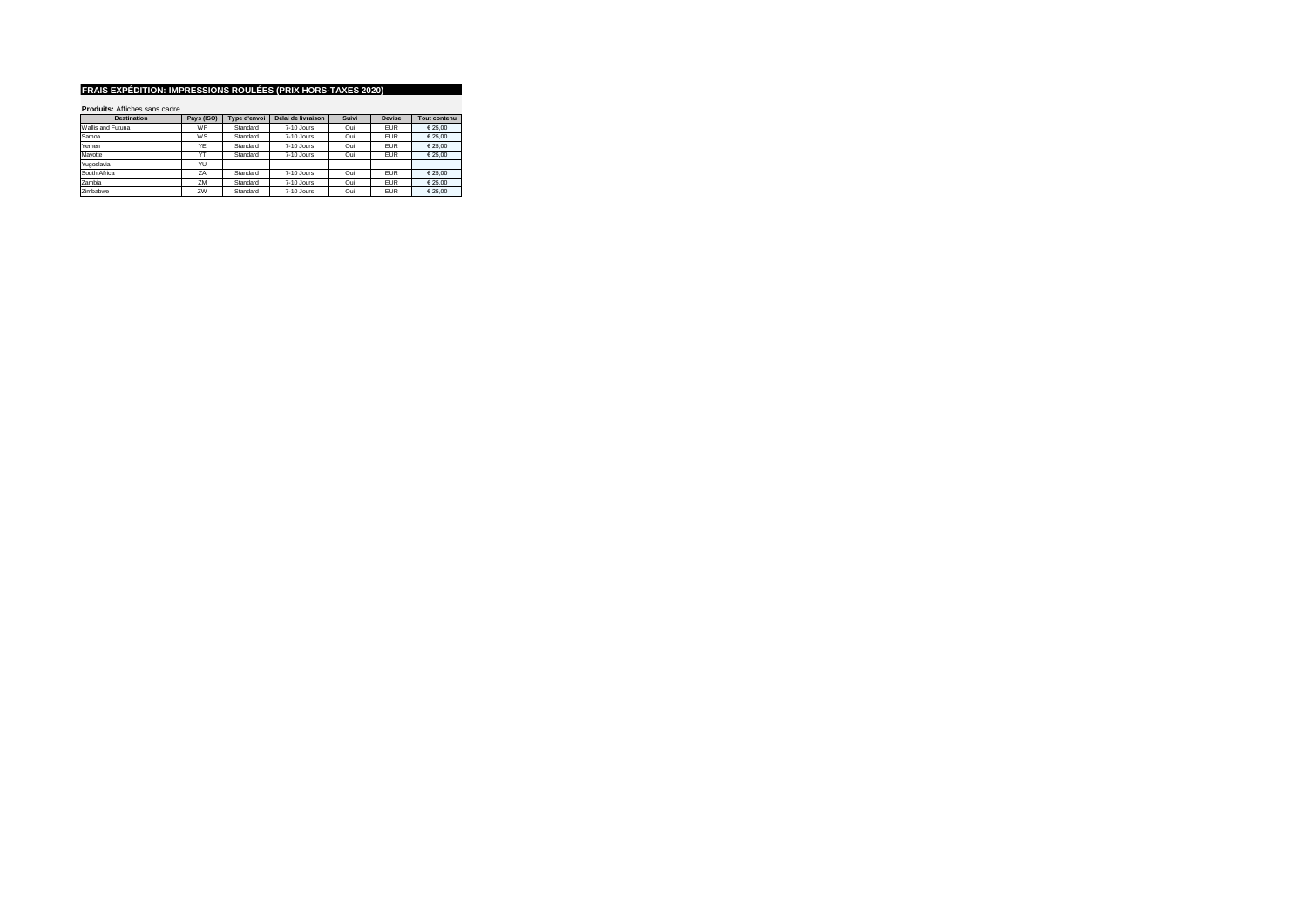| <b>Destination</b> | Pays (ISO) | Type d'envoi | Délai de livraison | Suivi | <b>Devise</b> | Tout contenu |
|--------------------|------------|--------------|--------------------|-------|---------------|--------------|
| Wallis and Futuna  | WF         | Standard     | 7-10 Jours         | Oui   | <b>EUR</b>    | € 25.00      |
| Samoa              | WS         | Standard     | 7-10 Jours         | Oui   | <b>EUR</b>    | € 25.00      |
| Yemen              | YE         | Standard     | 7-10 Jours         | Oui   | <b>EUR</b>    | € 25.00      |
| Mavotte            | YT         | Standard     | $7-10$ . Jours     | Oui   | <b>EUR</b>    | € 25.00      |
| Yugoslavia         | YU         |              |                    |       |               |              |
| South Africa       | <b>7A</b>  | Standard     | 7-10 Jours         | Oui   | <b>EUR</b>    | € 25.00      |
| Zambia             | ZM         | Standard     | 7-10 Jours         | Oui   | <b>EUR</b>    | € 25.00      |
| Zimbabwe           | ZW         | Standard     | 7-10 Jours         | Oui   | <b>EUR</b>    | € 25.00      |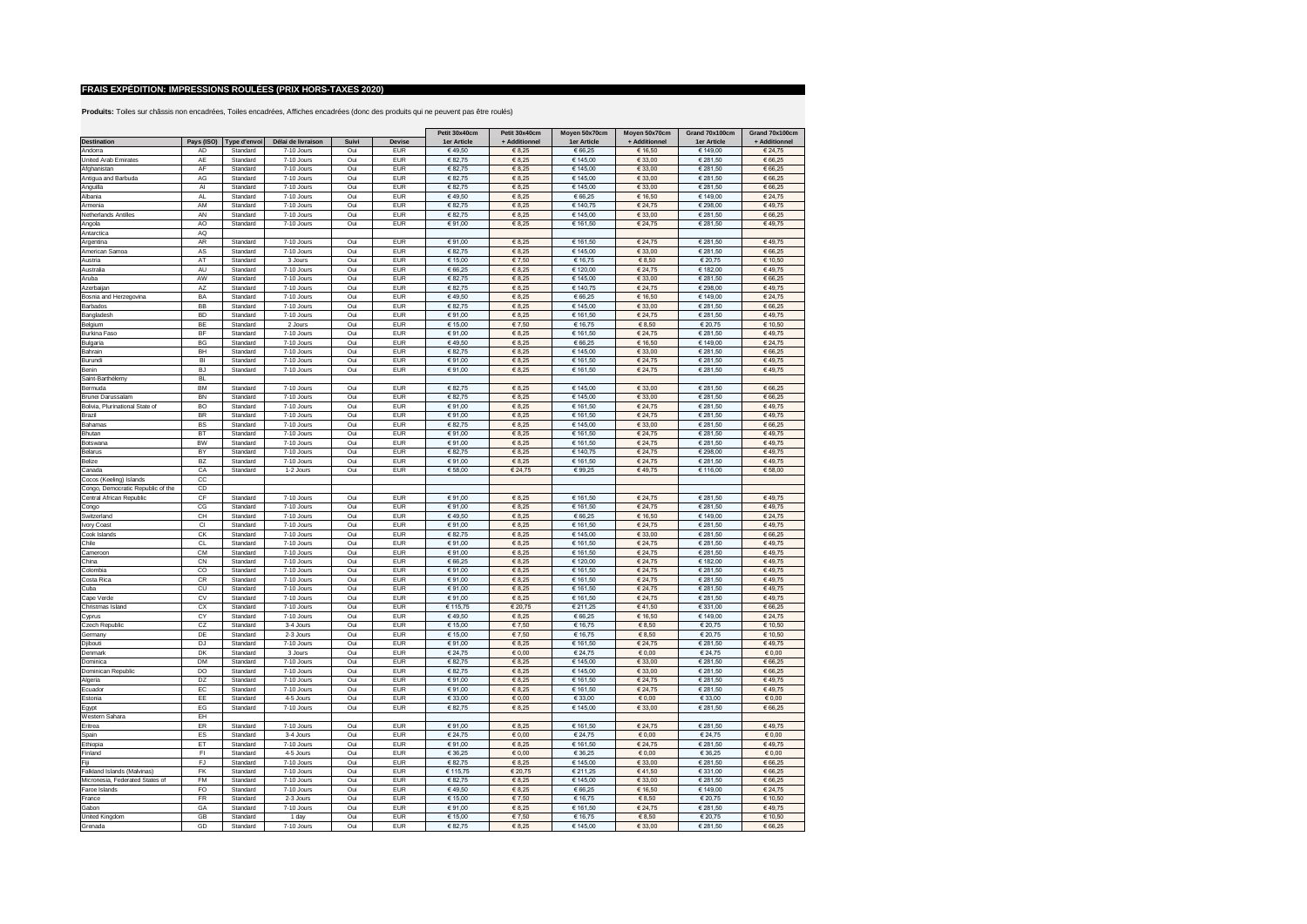|                                   |               |                         |                         |            |                          | Petit 30x40cm      | Petit 30x40cm       | Moyen 50x70cm       | Moyen 50x70cm              | Grand 70x100cm      | Grand 70x100cm     |
|-----------------------------------|---------------|-------------------------|-------------------------|------------|--------------------------|--------------------|---------------------|---------------------|----------------------------|---------------------|--------------------|
| Destination                       |               | Pays (ISO) Type d'envoi | Délai de livraison      | Suivi      | Devise                   | 1er Article        | + Additionnel       | 1er Article         | + Additionnel              | 1er Article         | + Additionnel      |
| Andorra                           | AD            | Standard                | 7-10 Jours              | Oui        | <b>EUR</b>               | €49.50             | € 8,25              | € 66,25             | € 16,50                    | € 149,00            | € 24,75            |
| United Arab Emirates              | AE            | Standard                | 7-10 Jours              | Oui        | <b>FUR</b>               | € 82,75            | € 8,25              | € 145,00            | € 33,00                    | € 281,50            | € 66,25            |
| Afghanistan                       | AF            | Standard                | 7-10 Jours              | Oui        | <b>EUR</b>               | € 82,75            | € 8,25              | € 145,00            | € 33,00                    | € 281,50            | € 66,25            |
| Antigua and Barbuda               | AG            | Standard                | 7-10 Jours              | Oui        | <b>EUR</b>               | € 82.75            | € 8,25              | € 145.00            | € 33.00                    | € 281,50            | € 66.25            |
| Anguilla                          | AI            | Standard                | 7-10 Jours              | Oui        | <b>EUR</b>               | € 82,75            | € 8,25              | € 145,00            | € 33,00                    | € 281,50            | € 66,25            |
| Albania                           | AL            | Standard                | 7-10 Jours              | Oui        | <b>EUR</b>               | €49,50             | € 8,25              | € 66,25             | € 16,50                    | € 149,00            | € 24,75            |
| Armenia                           | AM            | Standard                | 7-10 Jours              | Oui        | <b>EUR</b>               | € 82,75            | € 8,25              | € 140,75            | € 24,75                    | € 298,00            | €49,75             |
| Netherlands Antilles              | AN            | Standard                | 7-10 Jours              | Oui        | <b>EUR</b>               | € 82,75            | € 8,25              | € 145,00            | € 33,00                    | € 281,50            | € 66,25            |
| Angola                            | AO            | Standard                | 7-10 Jours              | Oui        | <b>EUR</b>               | €91,00             | € 8,25              | € 161,50            | € 24,75                    | € 281,50            | €49,75             |
| Antarctica                        | AQ            |                         |                         |            |                          |                    |                     |                     |                            |                     |                    |
| Argentina                         | AR            | Standard                | 7-10 Jours              | Oui        | <b>EUR</b>               | € 91,00            | € 8,25              | € 161,50            | € 24,75                    | € 281,50            | €49,75             |
| American Samoa                    | AS            | Standard                | 7-10 Jours              | Oui        | <b>EUR</b>               | € 82,75            | € 8.25              | € 145,00            | € 33.00                    | € 281,50            | € 66,25            |
| Austria                           | AT            | Standard                | 3. Jours                | Oui        | <b>EUR</b>               | € 15.00            | €7.50               | € 16.75             | € 8.50                     | € 20.75             | € 10.50            |
| Australia                         | AU            | Standard                | 7-10 Jours              | Oui        | <b>EUR</b>               | € 66,25            | € 8,25              | € 120,00            | € 24,75                    | € 182,00            | €49,75             |
| Aruba                             | AW            | Standard                | 7-10 Jours              | Oui        | EUR                      | € 82,75            | € 8,25              | € 145,00            | € 33.00                    | € 281,50            | € 66.25            |
| Azerbaijan                        | AZ            | Standard                | 7-10 Jours              | Oui        | <b>EUR</b><br><b>EUR</b> | € 82,75            | € 8,25              | € 140,75            | € 24,75                    | € 298,00            | €49.75             |
| Bosnia and Herzegovina            | BA<br>BB      | Standard<br>Standard    | 7-10 Jours              | Oui<br>Oui | <b>EUR</b>               | €49,50             | € 8,25              | € 66,25             | € 16,50                    | € 149,00            | € 24,75            |
| Barbados                          | <b>BD</b>     |                         | 7-10 Jours              |            | <b>EUR</b>               | € 82,75<br>€91.00  | € 8,25<br>€ 8,25    | € 145,00            | € 33,00                    | € 281,50            | € 66,25            |
| Bangladesh                        | BE            | Standard                | 7-10 Jours              | Oui        | <b>EUR</b>               |                    |                     | € 161,50            | € 24,75                    | € 281,50            | €49,75             |
| Belgium<br>Burkina Faso           | BF            | Standard<br>Standard    | 2 Jours<br>7-10 Jours   | Oui<br>Oui | <b>EUR</b>               | € 15,00<br>€ 91.00 | €7,50<br>€ 8.25     | € 16,75<br>€ 161.50 | $\in 8,50$<br>€ 24.75      | € 20,75<br>€ 281.50 | € 10,50<br>€49.75  |
|                                   | BG            | Standard                | 7-10 Jours              | Oui        | <b>EUR</b>               | €49,50             | 68,25               | € 66,25             | € 16,50                    | € 149,00            | € 24,75            |
| Bulgaria<br>Bahrain               | BH            | Standard                | 7-10 Jours              | Oui        | <b>EUR</b>               | € 82,75            | 68,25               | € 145,00            | € 33,00                    | € 281,50            | € 66,25            |
| Burundi                           | BI            | Standard                | 7-10 Jours              | Oui        | EUR                      | €91.00             | € 8.25              | € 161,50            | € 24.75                    | € 281.50            | €49.75             |
| Benin                             | <b>BJ</b>     | Standard                | 7-10 Jours              | Oui        | <b>EUR</b>               | €91,00             | $\in 8,25$          | € 161,50            | € 24,75                    | € 281,50            | €49,75             |
| Saint-Barthélemy                  | <b>BL</b>     |                         |                         |            |                          |                    |                     |                     |                            |                     |                    |
| Bermuda                           | <b>BM</b>     | Standard                | 7-10 Jours              | Oui        | <b>FUR</b>               | € 82,75            | € 8,25              | € 145,00            | € 33,00                    | € 281,50            | € 66,25            |
| Brunei Darussalam                 | <b>BN</b>     | Standard                | 7-10 Jours              | Oui        | <b>EUR</b>               | € 82,75            | € 8,25              | € 145,00            | € 33,00                    | € 281,50            | € 66,25            |
| Bolivia, Plurinational State of   | BO            | Standard                | 7-10 Jours              | Oui        | <b>EUR</b>               | €91,00             | € 8,25              | € 161,50            | € 24,75                    | € 281,50            | €49,75             |
| Brazil                            | <b>BR</b>     | Standard                | 7-10 Jours              | Oui        | <b>EUR</b>               | €91,00             | $\in 8.25$          | € 161,50            | € 24,75                    | € 281,50            | €49,75             |
| Bahamas                           | <b>BS</b>     | Standard                | 7-10 Jours              | Oui        | <b>EUR</b>               | € 82,75            | € 8,25              | € 145,00            | € 33,00                    | € 281,50            | € 66,25            |
| Bhutan                            | BT            | Standard                | 7-10 Jours              | Oui        | <b>EUR</b>               | €91,00             | € 8,25              | € 161,50            | € 24,75                    | € 281,50            | €49,75             |
| Botswana                          | <b>BW</b>     | Standard                | 7-10 Jours              | Oui        | <b>EUR</b>               | €91,00             | $\in 8.25$          | € 161.50            | € 24.75                    | € 281.50            | €49.75             |
| Belarus                           | BY            | Standard                | 7-10 Jours              | Oui        | <b>EUR</b>               | € 82,75            | € 8,25              | € 140,75            | € 24,75                    | € 298,00            | €49,75             |
| Belize                            | <b>BZ</b>     | Standard                | 7-10 Jours              | Oui        | <b>EUR</b>               | €91,00             | € 8,25              | € 161,50            | € 24,75                    | € 281,50            | €49,75             |
| Canada                            | CA            | Standard                | 1-2 Jours               | Oui        | <b>EUR</b>               | € 58,00            | € 24,75             | €99,25              | €49,75                     | € 116,00            | € 58,00            |
| Cocos (Keeling) Islands           | $_{\rm CC}$   |                         |                         |            |                          |                    |                     |                     |                            |                     |                    |
| Congo, Democratic Republic of the | CD            |                         |                         |            |                          |                    |                     |                     |                            |                     |                    |
| Central African Republic          | CF            | Standard                | 7-10 Jours              | Oui        | <b>EUR</b>               | € 91,00            | 68,25               | € 161,50            | € 24,75                    | € 281,50            | €49,75             |
| Congo                             | CG            | Standard                | 7-10 Jours              | Oui        | <b>EUR</b>               | €91,00             | € 8,25              | € 161,50            | € 24,75                    | € 281,50            | €49,75             |
| Switzerland                       | CH            | Standard                | 7-10 Jours              | Oui        | <b>EUR</b>               | €49,50             | € 8,25              | € 66,25             | € 16,50                    | € 149,00            | € 24,75            |
| Ivory Coast                       | <sub>CI</sub> | Standard                | 7-10 Jours              | Oui        | <b>EUR</b>               | €91,00             | € 8,25              | € 161,50            | € 24,75                    | € 281,50            | €49,75             |
| Cook Islands                      | CK            | Standard                | 7-10 Jours              | Oui        | <b>EUR</b>               | € 82,75            | € 8,25              | € 145,00            | € 33,00                    | € 281,50            | € 66,25            |
| Chile                             | <b>CL</b>     | Standard                | 7-10 Jours              | Oui        | <b>EUR</b>               | €91,00             | € 8,25              | € 161,50            | € 24,75                    | € 281,50            | €49,75             |
| Cameroon                          | CM            | Standard                | 7-10 Jours              | Oui        | <b>EUR</b>               | € 91,00            | € 8,25              | € 161,50            | € 24,75                    | € 281,50            | €49,75             |
| China                             | CN            | Standard                | 7-10 Jours              | Oui        | <b>EUR</b>               | € 66,25            | € 8,25              | € 120,00            | € 24,75                    | € 182,00            | €49,75             |
| Colombia                          | $_{\rm CO}$   | Standard                | 7-10 Jours              | Oui        | <b>EUR</b>               | €91,00             | € 8,25              | € 161,50            | € 24,75                    | € 281,50            | €49,75             |
| Costa Rica                        | <b>CR</b>     | Standard                | 7-10 Jours              | Oui        | <b>FUR</b>               | €91,00             | € 8,25              | € 161,50            | € 24,75                    | € 281,50            | €49,75             |
| Cuba                              | CU            | Standard                | 7-10 Jours              | Oui        | <b>EUR</b>               | €91,00             | € 8,25              | € 161,50            | € 24,75                    | € 281,50            | €49,75             |
| Cape Verde                        | CV            | Standard                | 7-10 Jours              | Oui        | <b>EUR</b>               | €91,00             | € 8,25              | € 161,50            | € 24,75                    | € 281,50            | €49,75             |
| Christmas Island                  | CX            | Standard                | 7-10 Jours              | Oui        | <b>EUR</b>               | € 115,75           | € 20,75             | € 211,25            | €41,50                     | €331,00             | € 66,25            |
| Cyprus<br>Czech Republic          | CY<br>CZ      | Standard<br>Standard    | 7-10 Jours<br>3-4 Jours | Oui<br>Oui | <b>EUR</b><br><b>EUR</b> | €49,50<br>€ 15,00  | $\in 8,25$<br>€7,50 | € 66,25<br>€ 16,75  | € 16,50<br>$\epsilon$ 8,50 | € 149,00<br>€ 20,75 | € 24,75<br>€ 10,50 |
| Germany                           | DE            | Standard                | 2-3 Jours               | Oui        | <b>EUR</b>               | € 15,00            | €7,50               | € 16,75             | $\epsilon$ 8,50            | € 20,75             | € 10,50            |
| Djibouti                          | <b>DJ</b>     | Standard                | 7-10 Jours              | Oui        | <b>EUR</b>               | € 91,00            | € 8,25              | € 161,50            | € 24,75                    | € 281,50            | €49,75             |
| Denmark                           | DK            | Standard                | 3 Jours                 | Oui        | <b>FUR</b>               | € 24,75            | € 0.00              | € 24,75             | € 0.00                     | € 24,75             | € 0.00             |
| Dominica                          | <b>DM</b>     | Standard                | $7-10$ . Jours          | Oui        | <b>EUR</b>               | € 82,75            | € 8,25              | € 145,00            | € 33.00                    | € 281,50            | € 66.25            |
| Dominican Republic                | DO            | Standard                | 7-10 Jours              | Oui        | <b>EUR</b>               | € 82.75            | € 8.25              | € 145.00            | € 33.00                    | € 281.50            | € 66.25            |
| Algeria                           | DZ            | Standard                | 7-10 Jours              | Oui        | <b>FUR</b>               | €91,00             | € 8,25              | € 161,50            | € 24,75                    | € 281,50            | €49,75             |
| Ecuador                           | EC            | Standard                | 7-10 Jours              | Oui        | <b>EUR</b>               | € 91.00            | € 8,25              | € 161.50            | € 24.75                    | € 281,50            | €49.75             |
| Estonia                           | EE            | Standard                | 4-5 Jours               | Oui        | <b>EUR</b>               | € 33,00            | $\epsilon$ 0,00     | € 33,00             | $\epsilon$ 0,00            | € 33,00             | $\epsilon$ 0,00    |
| Egypt                             | EG            | Standard                | 7-10 Jours              | Oui        | <b>EUR</b>               | € 82,75            | € 8,25              | € 145,00            | € 33,00                    | € 281,50            | € 66,25            |
| Western Sahara                    | EH            |                         |                         |            |                          |                    |                     |                     |                            |                     |                    |
| Eritrea                           | ER            | Standard                | 7-10 Jours              | Oui        | <b>EUR</b>               | €91,00             | € 8,25              | € 161,50            | € 24,75                    | € 281,50            | €49,75             |
| Spain                             | ES            | Standard                | 3-4 Jours               | Oui        | <b>EUR</b>               | € 24,75            | 60,00               | € 24,75             | $\epsilon$ 0,00            | € 24,75             | $\epsilon$ 0,00    |
| Ethiopia                          | ET            | Standard                | 7-10 Jours              | Oui        | <b>FUR</b>               | € 91,00            | $\in 8.25$          | € 161,50            | € 24,75                    | € 281,50            | €49,75             |
| Finland                           | F1            | Standard                | 4-5 Jours               | Oui        | <b>EUR</b>               | € 36.25            | 60.00               | € 36.25             | 60.00                      | € 36.25             | 60.00              |
| Fiii                              | FJ            | Standard                | 7-10 Jours              | Oui        | <b>EUR</b>               | € 82,75            | € 8,25              | € 145,00            | € 33,00                    | € 281,50            | € 66.25            |
| Falkland Islands (Malvinas)       | <b>FK</b>     | Standard                | 7-10 Jours              | Oui        | EUR                      | € 115.75           | € 20,75             | € 211.25            | €41.50                     | € 331.00            | € 66,25            |
| Micronesia, Federated States of   | <b>FM</b>     | Standard                | 7-10 Jours              | Oui        | <b>EUR</b>               | € 82,75            | € 8,25              | € 145,00            | € 33,00                    | € 281,50            | € 66,25            |
| Faroe Islands                     | FO            | Standard                | 7-10 Jours              | Oui        | <b>EUR</b>               | €49,50             | € 8,25              | € 66,25             | € 16.50                    | € 149.00            | € 24,75            |
| France                            | <b>FR</b>     | Standard                | 2-3 Jours               | Oui        | <b>EUR</b>               | € 15,00            | € 7,50              | € 16,75             | € 8.50                     | € 20,75             | € 10,50            |
| Gabon                             | GA            | Standard                | 7-10 Jours              | Oui        | <b>EUR</b>               | €91,00             | € 8,25              | € 161,50            | € 24,75                    | € 281,50            | €49,75             |
| United Kingdom                    | GB            | Standard                | 1 day                   | Oui        | <b>EUR</b>               | € 15,00            | € 7,50              | € 16,75             | $\in 8,50$                 | € 20,75             | € 10,50            |
| Grenada                           | GD            | Standard                | 7-10 Jours              | Oui        | <b>EUR</b>               | € 82.75            | € 8.25              | € 145.00            | 6,33,00                    | € 281.50            | € 66.25            |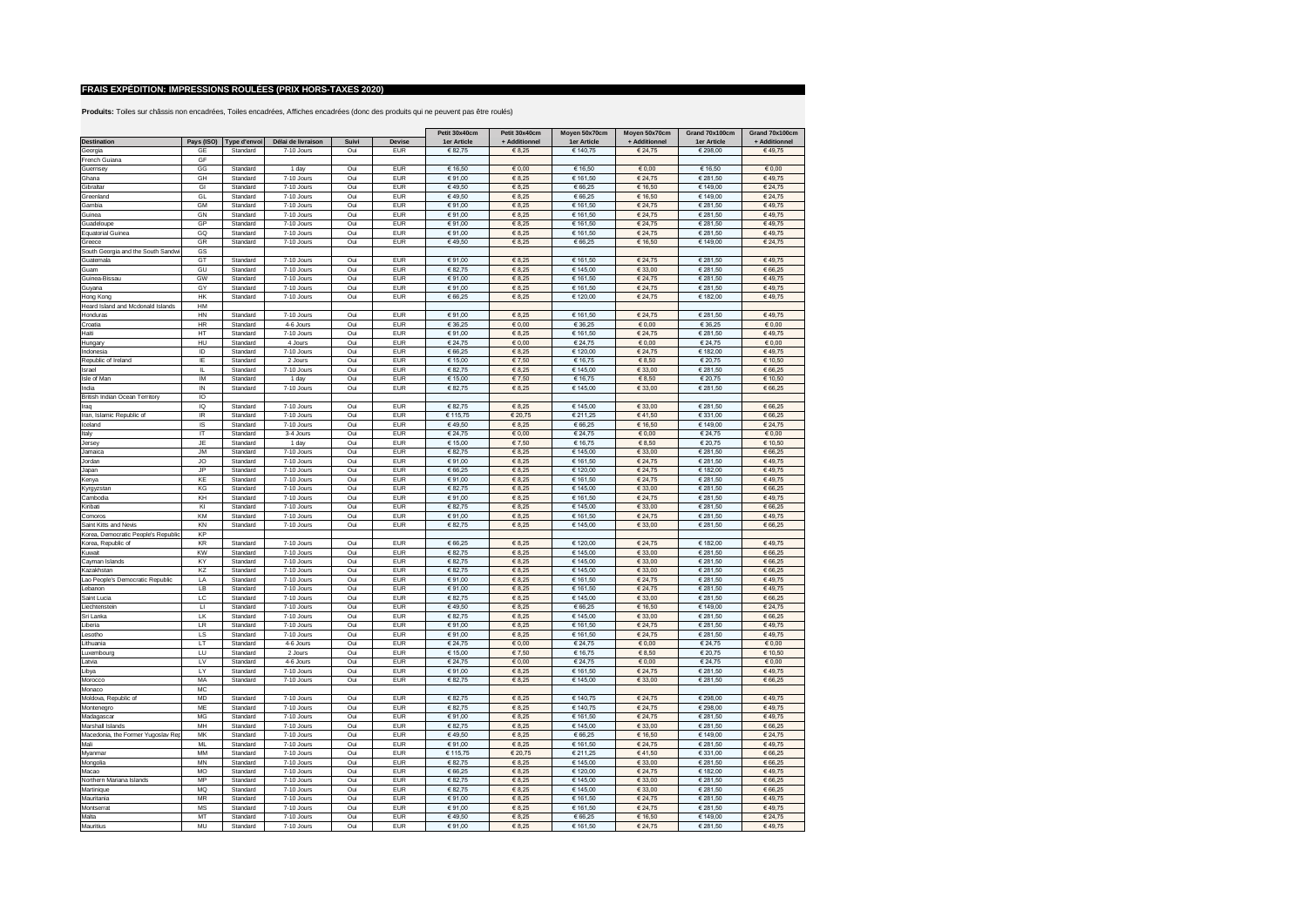|                                     |                         |                         |                          |            |                          | Petit 30x40cm     | Petit 30x40cm   | Moyen 50x70cm        | Moyen 50x70cm      | Grand 70x100cm       | Grand 70x100cm    |
|-------------------------------------|-------------------------|-------------------------|--------------------------|------------|--------------------------|-------------------|-----------------|----------------------|--------------------|----------------------|-------------------|
| Destination                         |                         | Pays (ISO) Type d'envoi | Délai de livraison       | Suivi      | Devise                   | 1er Article       | + Additionnel   | 1er Article          | + Additionnel      | 1er Article          | + Additionnel     |
| Georgia                             | GF                      | Standard                | 7-10 Jours               | Oui        | <b>EUR</b>               | € 82,75           | $\in$ 8,25      | € 140,75             | € 24,75            | € 298,00             | €49,75            |
| French Guiana                       | GF                      |                         |                          |            |                          |                   |                 |                      |                    |                      |                   |
| Guernsev                            | GG                      | Standard                | 1 day                    | Oui        | <b>EUR</b>               | € 16.50           | 60,00           | € 16.50              | 60,00              | € 16,50              | 60,00             |
| Ghana                               | GH                      | Standard                | 7-10 Jours               | Oui        | <b>EUR</b>               | €91.00            | € 8.25          | € 161.50             | € 24.75            | € 281.50             | €49.75            |
| Gibraltar                           | GI                      | Standard                | 7-10 Jours               | Oui        | <b>EUR</b>               | €49,50            | € 8,25          | € 66,25              | € 16,50            | € 149,00             | € 24,75           |
| Greenland                           | GL                      | Standard                | 7-10 Jours               | Oui        | <b>EUR</b>               | €49,50            | € 8,25          | € 66,25              | € 16,50            | € 149,00             | € 24,75           |
| Gambia                              | GM                      | Standard                | 7-10 Jours               | Oui        | <b>EUR</b>               | € 91,00           | € 8,25          | € 161,50             | € 24,75            | € 281,50             | €49,75            |
| Guinea                              | GN                      | Standard                | 7-10 Jours               | Oui        | <b>EUR</b>               | € 91,00           | € 8,25          | € 161,50             | € 24,75            | € 281,50             | €49,75            |
| Guadeloupe                          | GP                      | Standard                | 7-10 Jours               | Oui        | <b>EUR</b>               | €91,00            | € 8,25          | € 161,50             | € 24,75            | € 281,50             | €49,75            |
| <b>Equatorial Guinea</b>            | GQ                      | Standard                | 7-10 Jours               | Oui        | <b>EUR</b>               | €91,00            | € 8,25          | € 161,50             | € 24,75            | € 281,50             | €49,75            |
| Greece                              | GR                      | Standard                | 7-10 Jours               | Oui        | <b>EUR</b>               | €49,50            | $\in 8.25$      | € 66,25              | € 16,50            | € 149,00             | € 24,75           |
| South Georgia and the South Sandwi  | GS                      |                         |                          |            |                          |                   |                 |                      |                    |                      |                   |
| Guatemala                           | GT                      | Standard                | 7-10 Jours               | Oui        | <b>EUR</b>               | € 91.00           | € 8.25          | 646150               | € 24.75            | € 281.50             | €49.75            |
| Guam                                | GU                      | Standard                | 7-10 Jours               | Oui        | <b>EUR</b>               | € 82,75           | € 8.25          | € 145,00             | € 33.00            | € 281,50             | € 66,25           |
| Guinea-Bissau                       | GW                      | Standard                | 7-10 Jours               | Oui        | EUR                      | €91,00            | € 8.25          | € 161,50             | € 24,75            | € 281,50             | €49.75            |
| Guyana                              | GY                      | Standard                | 7-10 Jours               | Oui        | <b>EUR</b>               | € 91,00           | € 8,25          | € 161,50             | € 24,75            | € 281,50             | €49.75            |
| Hong Kong                           | <b>HK</b>               | Standard                | 7-10 Jours               | Oui        | <b>EUR</b>               | € 66,25           | $\epsilon$ 8,25 | € 120,00             | € 24,75            | € 182,00             | €49,75            |
| Heard Island and Mcdonald Islands   | HM                      |                         |                          |            |                          |                   |                 |                      |                    |                      |                   |
| Honduras                            | <b>HN</b>               | Standard                | 7-10 Jours               | Oui        | <b>FUR</b>               | €91,00            | € 8,25          | € 161.50             | € 24,75            | € 281,50             | €49,75            |
| Croatia                             | HR                      | Standard                | 4-6 Jours                | Oui        | <b>EUR</b>               | € 36,25           | $\epsilon$ 0,00 | € 36,25              | $\epsilon$ 0,00    | € 36,25              | 60,00             |
| Haiti                               | HT                      | Standard                | 7-10 Jours               | Oui        | <b>EUR</b>               | € 91.00           | €8.25           | € 161.50             | € 24.75            | € 281.50             | €49.75            |
| Hungary                             | HU                      | Standard                | 4 Jours                  | Oui        | <b>EUR</b>               | € 24,75           | $\epsilon$ 0,00 | € 24,75              | $\epsilon$ 0,00    | € 24,75              | € 0,00            |
| Indonesia                           | ID                      | Standard                | 7-10 Jours               | Oui        | <b>EUR</b>               | € 66,25           | € 8,25          | € 120,00             | € 24,75            | € 182,00             | €49,75            |
| Republic of Ireland                 | IE                      | Standard                | 2 Jours                  | Oui        | EUR                      | € 15.00           | € 7.50          | € 16.75              | € 8.50             | € 20.75              | € 10.50           |
| Israel                              | IL.                     | Standard                | 7-10 Jours               | Oui        | EUR                      | € 82,75           | € 8,25          | € 145,00             | € 33,00            | € 281,50             | € 66.25           |
| Isle of Man                         | IM                      | Standard                | 1 day                    | Oui        | <b>EUR</b>               | € 15,00           | € 7.50          | € 16,75              | € 8,50             | € 20,75              | € 10,50           |
| India                               | IN                      | Standard                | 7-10 Jours               | Oui        | <b>EUR</b>               | € 82.75           | € 8.25          | € 145,00             | € 33.00            | € 281.50             | € 66,25           |
| British Indian Ocean Territory      | IO                      |                         |                          |            |                          |                   |                 |                      |                    |                      |                   |
| Iraq                                | IQ                      | Standard                | 7-10 Jours               | Oui        | <b>EUR</b>               | € 82,75           | € 8,25          | € 145,00             | € 33,00            | € 281,50             | € 66,25           |
| Iran, Islamic Republic of           | IR                      | Standard                | 7-10 Jours               | Oui        | <b>EUR</b>               | € 115,75          | € 20,75         | € 211,25             | €41,50             | €331,00              | € 66,25           |
| Iceland                             | IS                      | Standard                | 7-10 Jours               | Oui        | <b>EUR</b>               | €49,50            | € 8,25          | € 66,25              | € 16,50            | € 149,00             | € 24,75           |
| Italy                               | IT                      | Standard                | 3-4 Jours                | Oui        | <b>EUR</b>               | € 24,75           | $\epsilon$ 0,00 | € 24,75              | $\epsilon$ 0,00    | € 24,75              | $\epsilon$ 0.00   |
| Jersey                              | <b>JE</b>               | Standard                | 1 day                    | Oui        | <b>EUR</b>               | € 15,00           | € 7,50          | € 16.75              | € 8.50             | € 20.75              | € 10,50           |
| Jamaica                             | <b>JM</b>               | Standard                | 7-10 Jours               | Oui        | <b>EUR</b>               | € 82,75           | € 8,25          | € 145,00             | € 33,00            | € 281,50             | € 66,25           |
| Jordan                              | <b>JO</b>               | Standard                | 7-10 Jours               | Oui        | <b>EUR</b>               | €91,00            | € 8,25          | € 161,50             | € 24,75            | € 281,50             | €49,75            |
| Japan                               | <b>JP</b><br>KE         | Standard                | 7-10 Jours               | Oui        | <b>EUR</b><br><b>EUR</b> | € 66,25           | € 8,25          | € 120,00             | € 24,75            | € 182,00             | €49,75            |
| Kenya                               |                         | Standard<br>Standard    | 7-10 Jours<br>7-10 Jours | Oui        | <b>EUR</b>               | €91,00            | € 8,25          | € 161,50             | € 24,75            | € 281,50             | €49,75            |
| Kyrgyzstan                          | KG<br>KH                |                         |                          | Oui        | <b>EUR</b>               | € 82,75           | € 8,25          | € 145,00             | € 33,00            | € 281,50             | € 66,25           |
| Cambodia<br>Kiribati                | KI                      | Standard<br>Standard    | 7-10 Jours<br>7-10 Jours | Oui<br>Oui | <b>EUR</b>               | €91,00<br>€ 82,75 | 6, 25<br>€ 8,25 | € 161,50<br>€ 145,00 | € 24,75<br>€ 33,00 | € 281,50<br>€ 281,50 | €49,75<br>€ 66,25 |
| Comoros                             | KM                      | Standard                | 7-10 Jours               | Oui        | <b>EUR</b>               | €91,00            | € 8,25          | € 161,50             | € 24,75            | € 281,50             | €49,75            |
| Saint Kitts and Nevis               | KN                      | Standard                | 7-10 Jours               | Oui        | <b>EUR</b>               | € 82,75           | € 8,25          | € 145,00             | € 33,00            | € 281,50             | € 66,25           |
| Korea, Democratic People's Republic | KP                      |                         |                          |            |                          |                   |                 |                      |                    |                      |                   |
| Korea, Republic of                  | KR                      | Standard                | 7-10 Jours               | Oui        | <b>EUR</b>               | € 66,25           | € 8,25          | € 120,00             | € 24,75            | € 182,00             | €49,75            |
| Kuwait                              | KW                      | Standard                | 7-10 Jours               | Oui        | <b>EUR</b>               | € 82,75           | € 8,25          | € 145,00             | € 33,00            | € 281,50             | € 66,25           |
| Cayman Islands                      | KY                      | Standard                | 7-10 Jours               | Oui        | <b>EUR</b>               | € 82,75           | € 8,25          | € 145,00             | € 33,00            | € 281,50             | € 66,25           |
| Kazakhstan                          | KZ                      | Standard                | 7-10 Jours               | Oui        | <b>EUR</b>               | € 82,75           | € 8,25          | € 145,00             | € 33,00            | € 281,50             | € 66,25           |
| Lao People's Democratic Republic    | LA                      | Standard                | 7-10 Jours               | Oui        | <b>FUR</b>               | €91,00            | € 8,25          | € 161,50             | € 24,75            | € 281,50             | €49,75            |
| Lebanor                             | LB                      | Standard                | 7-10 Jours               | Oui        | <b>EUR</b>               | €91,00            | € 8,25          | € 161,50             | € 24,75            | € 281,50             | €49,75            |
| Saint Lucia                         | LC.                     | Standard                | 7-10 Jours               | Oui        | <b>EUR</b>               | € 82,75           | € 8,25          | € 145,00             | € 33,00            | € 281,50             | € 66,25           |
| Liechtenstein                       | $\blacksquare$          | Standard                | 7-10 Jours               | Oui        | <b>EUR</b>               | €49,50            | € 8,25          | € 66,25              | € 16,50            | € 149,00             | € 24,75           |
| Sri Lanka                           | LK                      | Standard                | 7-10 Jours               | Oui        | <b>EUR</b>               | € 82,75           | € 8,25          | € 145,00             | € 33,00            | € 281,50             | € 66,25           |
| Liberia                             | LR                      | Standard                | 7-10 Jours               | Oui        | <b>EUR</b>               | €91,00            | 68,25           | € 161,50             | € 24,75            | € 281,50             | €49,75            |
| Lesotho                             | LS                      | Standard                | 7-10 Jours               | Oui        | <b>EUR</b>               | €91,00            | 68,25           | € 161,50             | € 24,75            | € 281,50             | €49,75            |
| Lithuania                           | LT                      | Standard                | 4-6 Jours                | Oui        | <b>EUR</b>               | € 24,75           | $\epsilon$ 0,00 | € 24,75              | $\epsilon$ 0,00    | € 24,75              | $\epsilon$ 0,00   |
| Luxembourg                          | LU                      | Standard                | 2 Jours                  | Oui        | <b>FUR</b>               | € 15,00           | € 7,50          | € 16,75              | € 8.50             | € 20.75              | € 10.50           |
| Latvia                              | $\mathsf{I} \mathsf{V}$ | Standard                | 4-6 Jours                | Oui        | <b>FUR</b>               | € 24,75           | $\epsilon$ 0,00 | € 24,75              | 6000               | € 24,75              | 60,00             |
| Libya                               | 1Y                      | Standard                | 7-10 Jours               | Oui        | <b>EUR</b>               | € 91.00           | € 8,25          | € 161.50             | € 24.75            | € 281.50             | €49.75            |
| Morocco                             | MA                      | Standard                | 7-10 Jours               | Oui        | <b>EUR</b>               | € 82,75           | € 8,25          | € 145,00             | € 33,00            | € 281,50             | € 66,25           |
| Monaco                              | <b>MC</b>               |                         |                          |            |                          |                   |                 |                      |                    |                      |                   |
| Moldova, Republic of                | MD                      | Standard                | 7-10 Jours               | Oui        | <b>EUR</b>               | € 82,75           | € 8,25          | € 140,75             | € 24,75            | € 298,00             | €49,75            |
| Montenegro                          | ME                      | Standard                | 7-10 Jours               | Oui        | <b>EUR</b>               | € 82,75           | € 8,25          | € 140,75             | € 24,75            | € 298,00             | €49,75            |
| Madagascar                          | MG                      | Standard                | 7-10 Jours               | Oui        | <b>EUR</b>               | € 91,00           | € 8,25          | € 161,50             | € 24,75            | € 281,50             | €49,75            |
| Marshall Islands                    | MH                      | Standard                | 7-10 Jours               | Oui        | <b>EUR</b>               | € 82.75           | € 8.25          | € 145,00             | € 33,00            | € 281,50             | € 66,25           |
| Macedonia, the Former Yugoslav Rep  | MK                      | Standard                | 7-10 Jours               | Oui        | <b>EUR</b>               | €49,50            | € 8,25          | € 66,25              | € 16,50            | € 149,00             | € 24,75           |
| Mali                                | MI                      | Standard                | 7-10 Jours               | Oui        | <b>FUR</b>               | 69100             | €8.25           | € 161,50             | € 24,75            | € 281,50             | € 49.75           |
| Myanmar                             | MM                      | Standard                | 7-10 Jours               | Oui        | <b>EUR</b>               | € 115.75          | € 20.75         | € 211.25             | €41.50             | € 331.00             | € 66.25           |
| Mongolia                            | MN                      | Standard                | 7-10 Jours               | Oui        | <b>EUR</b>               | € 82,75           | € 8,25          | € 145,00             | € 33,00            | € 281,50             | € 66,25           |
| Macao                               | <b>MO</b>               | Standard                | 7-10 Jours               | Oui        | EUR                      | € 66.25           | € 8.25          | € 120.00             | € 24,75            | € 182.00             | €49.75            |
| Northern Mariana Islands            | MP                      | Standard                | 7-10 Jours               | Oui        | <b>EUR</b>               | € 82,75           | € 8,25          | € 145,00             | € 33,00            | € 281,50             | € 66,25           |
| Martinique                          | MQ                      | Standard                | 7-10 Jours               | Oui        | <b>EUR</b>               | € 82.75           | € 8,25          | € 145.00             | € 33.00            | € 281.50             | € 66.25           |
| Mauritania                          | <b>MR</b>               | Standard                | 7-10 Jours               | Oui        | <b>EUR</b>               | €91.00            | € 8.25          | € 161,50             | € 24,75            | € 281,50             | €49,75            |
| Montserrat                          | <b>MS</b>               | Standard                | 7-10 Jours               | Oui        | <b>EUR</b>               | €91,00            | € 8,25          | € 161,50             | € 24,75            | € 281,50             | €49,75            |
| Malta                               | MT                      | Standard                | 7-10 Jours               | Oui        | <b>EUR</b>               | €49,50            | € 8,25          | € 66,25              | € 16,50            | € 149,00             | € 24,75           |
| Mauritius                           | MU                      | Standard                | 7-10 Jours               | Oui        | <b>EUR</b>               | € 91.00           | € 8.25          | € 161.50             | € 24.75            | € 281.50             | € 49.75           |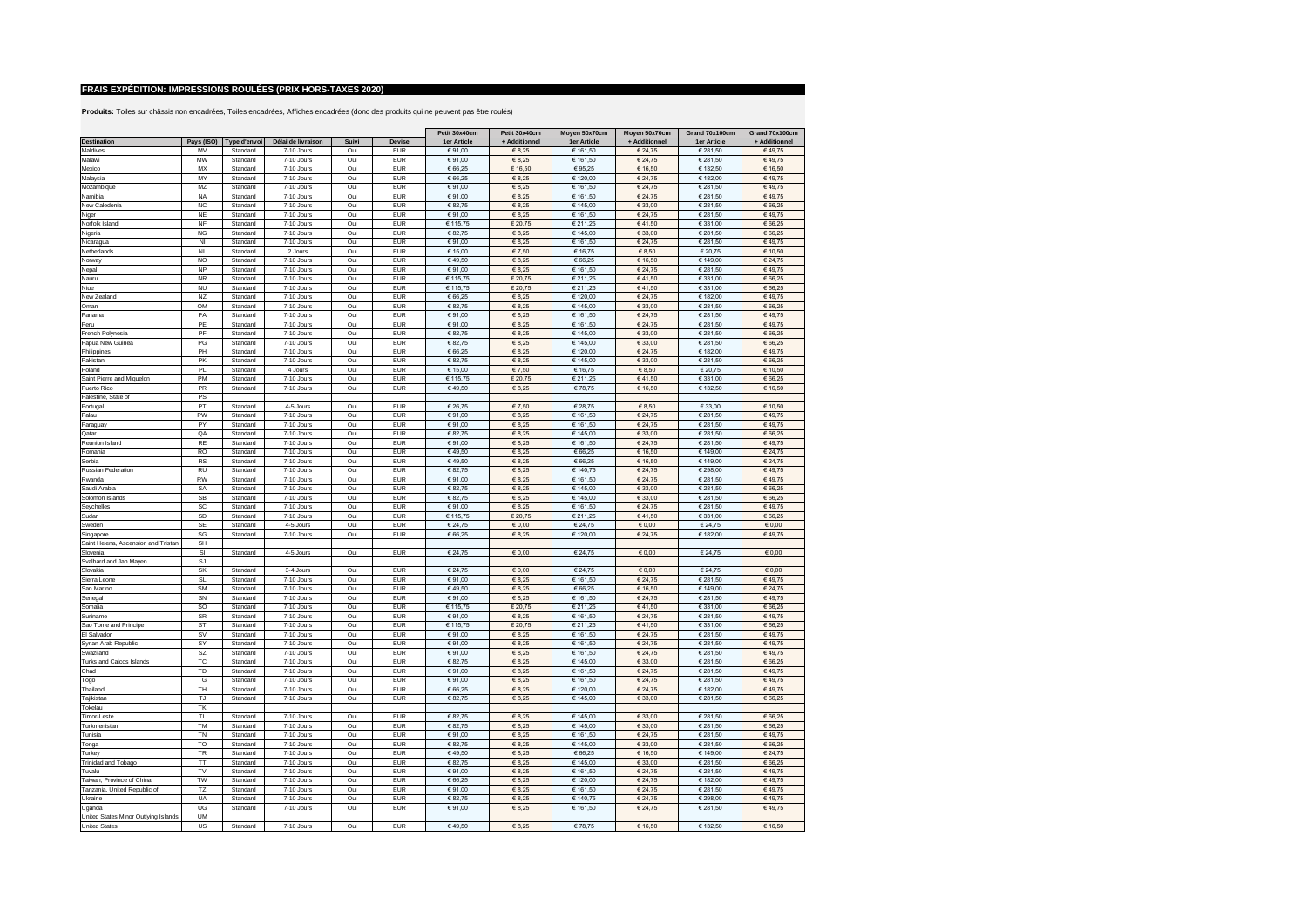|                                      |                |                         |                          |            |                          | Petit 30x40cm      | Petit 30x40cm     | Moyen 50x70cm        | Moyen 50x70cm      | Grand 70x100cm       | Grand 70x100cm    |
|--------------------------------------|----------------|-------------------------|--------------------------|------------|--------------------------|--------------------|-------------------|----------------------|--------------------|----------------------|-------------------|
| Destination                          |                | Pays (ISO) Type d'envoi | Délai de livraison       | Suivi      | Devise                   | 1er Article        | + Additionnel     | 1er Article          | + Additionnel      | 1er Article          | + Additionnel     |
| Maldives                             | <b>MV</b>      | Standard                | 7-10 Jours               | Oui        | <b>EUR</b>               | €91,00             | € 8,25            | € 161,50             | € 24,75            | € 281,50             | €49,75            |
| Malawi                               | <b>MW</b>      | Standard                | 7-10 Jours               | Oui        | <b>FUR</b>               | €91,00             | € 8,25            | € 161,50             | € 24,75            | € 281,50             | €49,75            |
| Mexico                               | <b>MX</b>      | Standard                | $7-10$ . Jours           | Oui        | <b>EUR</b>               | € 66,25            | € 16,50           | €95,25               | € 16.50            | € 132,50             | € 16,50           |
| Malaysia                             | MY             | Standard                | 7-10 Jours               | Oui        | <b>EUR</b>               | € 66.25            | € 8.25            | € 120.00             | € 24.75            | € 182.00             | €49.75            |
| Mozambique                           | MZ             | Standard                | 7-10 Jours               | Oui        | <b>EUR</b>               | €91,00             | € 8,25            | € 161,50             | € 24,75            | € 281,50             | €49,75            |
| Namibia                              | <b>NA</b>      | Standard                | 7-10 Jours               | Oui        | <b>EUR</b>               | €91,00             | € 8,25            | € 161,50             | € 24,75            | € 281,50             | €49,75            |
| New Caledonia                        | $_{\rm NC}$    | Standard                | 7-10 Jours               | Oui        | <b>EUR</b>               | € 82,75            | € 8,25            | € 145,00             | € 33,00            | € 281,50             | € 66,25           |
| Niger                                | NE             | Standard                | 7-10 Jours               | Oui        | <b>EUR</b>               | €91,00             | € 8,25            | € 161,50             | € 24,75            | € 281,50             | €49,75            |
| Norfolk Island                       | NF             | Standard                | 7-10 Jours               | Oui        | <b>EUR</b>               | € 115,75           | € 20,75           | € 211,25             | €41,50             | € 331,00             | € 66,25           |
| Nigeria                              | <b>NG</b>      | Standard                | 7-10 Jours               | Oui        | <b>EUR</b>               | € 82,75            | € 8,25            | € 145,00             | € 33,00            | € 281,50             | € 66,25           |
| Nicaragua                            | N <sub>l</sub> | Standard                | 7-10 Jours               | Oui        | <b>EUR</b>               | €91,00             | € 8,25            | € 161,50             | € 24,75            | € 281,50             | €49,75            |
| Netherlands                          | <b>NL</b>      | Standard                | 2. Jours                 | Oui        | <b>EUR</b>               | € 15,00            | € 7,50            | € 16,75              | 6850               | € 20,75              | € 10,50           |
| Norway                               | N <sub>O</sub> | Standard                | 7-10 Jours               | Oui        | <b>EUR</b>               | €49.50             | € 8.25            | € 66.25              | 6,16,50            | € 149.00             | € 24.75           |
| Nepal                                | <b>NP</b>      | Standard                | 7-10 Jours               | Oui        | <b>EUR</b>               | €91,00             | € 8,25            | € 161,50             | € 24,75            | € 281,50             | €49,75            |
| Nauru                                | <b>NR</b>      | Standard                | 7-10 Jours               | Oui        | EUR                      | € 115,75           | € 20,75           | € 211,25             | €41.50             | € 331,00             | € 66,25           |
| Niue                                 | <b>NU</b>      | Standard                | 7-10 Jours               | Oui        | <b>EUR</b>               | € 115,75           | € 20,75           | € 211,25             | €41.50             | € 331,00             | € 66,25           |
| New Zealand                          | NZ             | Standard                | 7-10 Jours               | Oui        | <b>EUR</b>               | € 66,25            | € 8,25            | € 120,00             | € 24,75            | € 182,00             | €49,75            |
| Oman                                 | OM             | Standard                | 7-10 Jours               | Oui        | <b>EUR</b>               | € 82,75            | € 8,25            | € 145,00             | € 33,00            | € 281,50             | € 66,25           |
| Panama                               | PA             | Standard                | 7-10 Jours               | Oui        | <b>EUR</b>               | €91.00             | € 8,25            | € 161,50             | € 24,75            | € 281,50             | €49,75            |
| Peru<br>French Polynesia             | PE<br>PF       | Standard<br>Standard    | 7-10 Jours<br>7-10 Jours | Oui<br>Oui | <b>EUR</b><br><b>EUR</b> | €91,00<br>€ 82.75  | € 8,25<br>€8.25   | € 161,50<br>€ 145.00 | € 24,75<br>€ 33.00 | € 281,50<br>€ 281.50 | €49,75<br>€ 66.25 |
|                                      |                |                         |                          |            |                          |                    |                   |                      |                    |                      |                   |
| Papua New Guinea                     | PG             | Standard                | 7-10 Jours               | Oui        | <b>EUR</b>               | € 82,75            | € 8,25            | € 145,00             | € 33,00            | € 281,50             | € 66,25           |
| Philippines                          | PH             | Standard                | 7-10 Jours               | Oui        | <b>EUR</b>               | € 66,25            | € 8,25            | € 120,00             | € 24,75            | € 182,00             | €49,75            |
| Pakistan                             | PK             | Standard                | 7-10 Jours               | Oui        | EUR                      | € 82.75            | € 8.25            | € 145,00             | € 33,00            | € 281.50             | € 66.25           |
| Poland                               | PL             | Standard                | 4 Jours                  | Oui        | EUR                      | € 15.00            | € 7.50            | € 16.75              | € 8.50             | € 20,75              | € 10.50           |
| Saint Pierre and Miquelon            | PM<br>PR       | Standard<br>Standard    | 7-10 Jours<br>7-10 Jours | Oui<br>Oui | <b>EUR</b><br><b>EUR</b> | € 115,75<br>€49.50 | € 20,75<br>€ 8.25 | € 211,25             | €41,50             | €331,00              | € 66.25           |
| Puerto Rico                          | PS             |                         |                          |            |                          |                    |                   | €78,75               | € 16,50            | € 132,50             | € 16,50           |
| Palestine, State of                  | PT             |                         |                          | Oui        | <b>EUR</b>               |                    | €7,50             |                      | € 8,50             |                      |                   |
| Portugal<br>Palau                    | PW             | Standard<br>Standard    | 4-5 Jours<br>7-10 Jours  | Oui        | <b>EUR</b>               | € 26,75<br>€91,00  | € 8,25            | € 28,75<br>€ 161,50  | € 24,75            | € 33,00<br>€ 281,50  | € 10,50<br>€49,75 |
|                                      | P)             | Standard                | 7-10 Jours               | Oui        | <b>EUR</b>               | €91,00             | € 8,25            | € 161,50             | € 24,75            | € 281,50             | €49,75            |
| Paraguay<br>Qatar                    | QA             | Standard                | 7-10 Jours               | Oui        | <b>EUR</b>               | € 82,75            | € 8,25            | € 145,00             | € 33,00            | € 281,50             | € 66,25           |
| Reunion Island                       | <b>RE</b>      | Standard                | 7-10 Jours               | Oui        | <b>EUR</b>               | €91.00             | € 8.25            | € 161.50             | € 24.75            | € 281.50             | €49.75            |
| Romania                              | <b>RO</b>      | Standard                | 7-10 Jours               | Oui        | <b>EUR</b>               | €49,50             | € 8,25            | € 66,25              | € 16,50            | € 149,00             | € 24,75           |
| Serbia                               | <b>RS</b>      | Standard                | 7-10 Jours               | Oui        | <b>EUR</b>               | €49,50             | € 8,25            | € 66,25              | € 16,50            | € 149,00             | € 24,75           |
| Russian Federation                   | <b>RU</b>      | Standard                | 7-10 Jours               | Oui        | <b>EUR</b>               | € 82,75            | € 8,25            | € 140,75             | € 24,75            | € 298,00             | €49,75            |
| Rwanda                               | <b>RW</b>      | Standard                | 7-10 Jours               | Oui        | <b>EUR</b>               | €91,00             | € 8,25            | € 161,50             | € 24,75            | € 281,50             | €49,75            |
| Saudi Arabia                         | SA             | Standard                | 7-10 Jours               | Oui        | <b>EUR</b>               | € 82,75            | € 8,25            | € 145,00             | € 33,00            | € 281,50             | € 66,25           |
| Solomon Islands                      | SB             | Standard                | 7-10 Jours               | Oui        | <b>EUR</b>               | € 82,75            | 68,25             | € 145,00             | € 33,00            | € 281,50             | € 66,25           |
| Sevchelles                           | SC             | Standard                | 7-10 Jours               | Oui        | <b>EUR</b>               | €91,00             | € 8,25            | € 161,50             | € 24,75            | € 281,50             | €49,75            |
| Sudan                                | SD             | Standard                | 7-10 Jours               | Oui        | <b>EUR</b>               | € 115,75           | € 20,75           | € 211,25             | €41,50             | € 331,00             | € 66,25           |
| Sweden                               | <b>SE</b>      | Standard                | 4-5 Jours                | Oui        | <b>EUR</b>               | € 24,75            | $\epsilon$ 0,00   | € 24,75              | $\epsilon$ 0,00    | € 24,75              | 60,00             |
| Singapore                            | SG             | Standard                | 7-10 Jours               | Oui        | <b>EUR</b>               | € 66,25            | € 8,25            | € 120,00             | € 24,75            | € 182,00             | €49,75            |
| Saint Helena, Ascension and Tristan  | SH             |                         |                          |            |                          |                    |                   |                      |                    |                      |                   |
| Slovenia                             | SI             | Standard                | 4-5 Jours                | Oui        | <b>EUR</b>               | € 24,75            | $\epsilon$ 0,00   | € 24,75              | $\epsilon$ 0,00    | € 24,75              | 60,00             |
| Svalbard and Jan Mayen               | SJ             |                         |                          |            |                          |                    |                   |                      |                    |                      |                   |
| Slovakia                             | SK             | Standard                | 3-4 Jours                | Oui        | <b>EUR</b>               | € 24,75            | $\epsilon$ 0,00   | € 24,75              | $\epsilon$ 0,00    | € 24,75              | $\epsilon$ 0,00   |
| Sierra Leone                         | SL             | Standard                | 7-10 Jours               | Oui        | <b>FUR</b>               | €91,00             | $\epsilon$ 8,25   | € 161,50             | € 24.75            | € 281,50             | €49,75            |
| San Marino                           | SM             | Standard                | 7-10 Jours               | Oui        | <b>EUR</b>               | €49,50             | € 8,25            | € 66,25              | € 16,50            | € 149,00             | € 24,75           |
| Senegal                              | <b>SN</b>      | Standard                | 7-10 Jours               | Oui        | <b>EUR</b>               | €91,00             | € 8,25            | € 161,50             | € 24,75            | € 281,50             | €49,75            |
| Somalia                              | SO             | Standard                | 7-10 Jours               | Oui        | <b>EUR</b>               | € 115,75           | € 20,75           | € 211,25             | €41,50             | €331,00              | € 66,25           |
| Suriname                             | <b>SR</b>      | Standard                | 7-10 Jours               | Oui        | <b>EUR</b>               | €91,00             | $\in 8,25$        | € 161,50             | € 24,75            | € 281,50             | €49,75            |
| Sao Tome and Principe                | ST             | Standard                | 7-10 Jours               | Oui        | <b>EUR</b>               | € 115,75           | € 20,75           | € 211,25             | €41,50             | € 331,00             | € 66,25           |
| El Salvador                          | SV             | Standard                | 7-10 Jours               | Oui        | <b>EUR</b>               | €91,00             | 68,25             | € 161,50             | € 24,75            | € 281,50             | €49,75            |
| Syrian Arab Republic                 | SY             | Standard                | 7-10 Jours               | Oui        | <b>EUR</b>               | € 91,00            | € 8,25            | € 161,50             | € 24,75            | € 281,50             | €49,75            |
| Swaziland                            | SZ             | Standard                | 7-10 Jours               | Oui        | <b>FUR</b>               | €91,00             | € 8,25            | € 161,50             | € 24.75            | € 281,50             | €49,75            |
| <b>Turks and Caicos Islands</b>      | TC             | Standard                | 7-10 Jours               | Oui        | <b>FUR</b>               | € 82,75            | € 8,25            | € 145,00             | 6,33,00            | € 281,50             | € 66.25           |
| Chad                                 | <b>TD</b>      | Standard                | 7-10 Jours               | Oui        | <b>EUR</b>               | € 91.00            | €8.25             | € 161.50             | € 24.75            | € 281.50             | €49.75            |
| Togo                                 | TG             | Standard                | 7-10 Jours               | Oui        | <b>FUR</b>               | €91,00             | € 8,25            | € 161,50             | € 24,75            | € 281,50             | €49,75            |
| Thailand                             | TH             | Standard                | 7-10 Jours               | Oui        | <b>EUR</b>               | € 66.25            | € 8,25            | € 120,00             | € 24,75            | € 182.00             | €49.75            |
| Tajikistan                           | TJ             | Standard                | 7-10 Jours               | Oui        | <b>EUR</b>               | € 82,75            | € 8,25            | € 145,00             | € 33,00            | € 281,50             | € 66,25           |
| Tokelau                              | TK             |                         |                          |            |                          |                    |                   |                      |                    |                      |                   |
| Timor-Leste                          | TL             | Standard                | 7-10 Jours               | Oui        | <b>EUR</b>               | € 82,75            | $\epsilon$ 8,25   | € 145,00             | € 33,00            | € 281,50             | € 66,25           |
| Turkmenistan                         | TM             | Standard                | 7-10 Jours               | Oui        | <b>EUR</b>               | € 82.75            | € 8.25            | € 145,00             | € 33.00            | € 281,50             | € 66,25           |
| Tunisia                              | <b>TN</b>      | Standard                | 7-10 Jours               | Oui        | <b>EUR</b>               | € 91,00            | $\in$ 8,25        | € 161,50             | € 24,75            | € 281,50             | €49,75            |
| Tonga                                | T <sub>O</sub> | Standard                | 7-10 Jours               | Oui        | <b>FUR</b>               | € 82,75            | € 8,25            | € 145,00             | 6,33,00            | € 281,50             | € 66,25           |
| Turkey                               | <b>TR</b>      | Standard                | 7-10 Jours               | Oui        | <b>FUR</b>               | €49.50             | € 8.25            | € 66.25              | € 16.50            | € 149.00             | € 24.75           |
| Trinidad and Tobago                  | TT             | Standard                | 7-10 Jours               | Oui        | <b>EUR</b>               | € 82,75            | 68,25             | € 145,00             | € 33,00            | € 281,50             | € 66.25           |
| Tuvalu                               | TV             | Standard                | 7-10 Jours               | Oui        | EUR                      | €91.00             | € 8,25            | € 161.50             | € 24,75            | € 281.50             | €49.75            |
| Taiwan, Province of China            | <b>TW</b>      | Standard                | 7-10 Jours               | Oui        | <b>EUR</b>               | € 66,25            | € 8,25            | € 120,00             | € 24,75            | € 182,00             | €49,75            |
| Tanzania, United Republic of         | TZ             | Standard                | 7-10 Jours               | Oui        | <b>EUR</b>               | €91.00             | € 8,25            | € 161.50             | € 24,75            | € 281.50             | €49.75            |
| Ukraine                              | UA             | Standard                | 7-10 Jours               | Oui        | <b>EUR</b>               | € 82.75            | € 8.25            | € 140,75             | € 24,75            | € 298,00             | €49,75            |
| Uganda                               | UG             | Standard                | 7-10 Jours               | Oui        | <b>EUR</b>               | €91,00             | € 8,25            | € 161,50             | € 24,75            | € 281,50             | €49,75            |
| United States Minor Outlying Islands | <b>UM</b>      |                         |                          |            |                          |                    |                   |                      |                    |                      |                   |
| <b>United States</b>                 | <b>US</b>      | Standard                | 7-10 Jours               | Oui        | <b>EUR</b>               | €49.50             | € 8,25            | €78,75               | € 16,50            | € 132,50             | € 16,50           |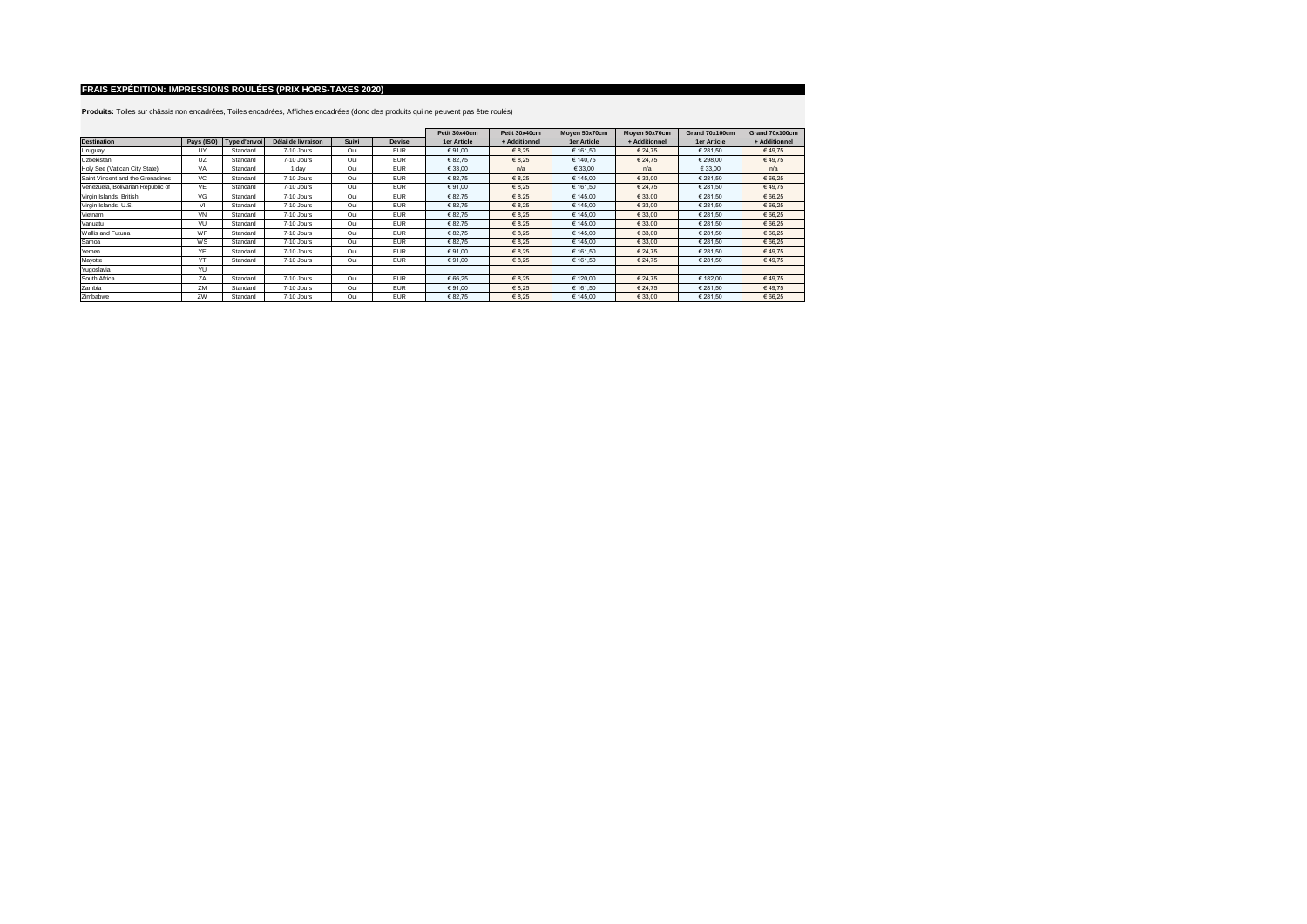|                                   |           |                         |                    |       |            | Petit 30x40cm | Petit 30x40cm | Moven 50x70cm | Moyen 50x70cm | Grand 70x100cm | Grand 70x100cm |
|-----------------------------------|-----------|-------------------------|--------------------|-------|------------|---------------|---------------|---------------|---------------|----------------|----------------|
| <b>Destination</b>                |           | Pays (ISO) Type d'envoi | Délai de livraison | Suivi | Devise     | 1er Article   | + Additionnel | 1er Article   | + Additionnel | 1er Article    | + Additionnel  |
| Uruguay                           | UY        | Standard                | 7-10 Jours         | Oui   | <b>EUR</b> | € 91.00       | € 8.25        | € 161.50      | € 24.75       | € 281.50       | €49.75         |
| Uzbekistan                        | <b>UZ</b> | Standard                | 7-10 Jours         | Oui   | <b>EUR</b> | € 82.75       | € 8.25        | € 140.75      | € 24.75       | €298.00        | €49.75         |
| Holy See (Vatican City State)     | VA        | Standard                | 1 day              | Oui   | <b>EUR</b> | € 33.00       | n/a           | € 33.00       | n/a           | € 33.00        | n/a            |
| Saint Vincent and the Grenadines  | <b>VC</b> | Standard                | 7-10 Jours         | Oui   | <b>EUR</b> | € 82.75       | € 8.25        | € 145.00      | € 33.00       | € 281.50       | € 66.25        |
| Venezuela, Bolivarian Republic of | VE        | Standard                | 7-10 Jours         | Oui   | <b>EUR</b> | € 91.00       | € 8.25        | € 161.50      | € 24.75       | € 281.50       | €49.75         |
| Virgin Islands, British           | VG        | Standard                | 7-10 Jours         | Oui   | <b>EUR</b> | € 82,75       | € 8.25        | € 145.00      | € 33.00       | € 281.50       | € 66.25        |
| Virgin Islands, U.S.              | VI        | Standard                | 7-10 Jours         | Oui   | <b>EUR</b> | € 82.75       | € 8.25        | € 145.00      | € 33.00       | € 281.50       | € 66.25        |
| Vietnam                           | VN        | Standard                | 7-10 Jours         | Oui   | <b>EUR</b> | € 82.75       | € 8.25        | € 145.00      | € 33.00       | € 281.50       | € 66.25        |
| Vanuatu                           | VU        | Standard                | 7-10 Jours         | Oui   | <b>EUR</b> | € 82.75       | € 8.25        | € 145.00      | € 33.00       | € 281.50       | € 66.25        |
| Wallis and Futuna                 | WF        | Standard                | 7-10 Jours         | Oui   | <b>EUR</b> | € 82.75       | € 8,25        | € 145.00      | € 33.00       | € 281.50       | € 66.25        |
| Samoa                             | WS        | Standard                | 7-10 Jours         | Oui   | <b>EUR</b> | € 82.75       | € 8.25        | € 145.00      | € 33.00       | € 281.50       | € 66.25        |
| Yemen                             | YE        | Standard                | 7-10 Jours         | Oui   | <b>EUR</b> | € 91.00       | € 8.25        | € 161.50      | € 24.75       | € 281.50       | €49.75         |
| Mayotte                           | YT        | Standard                | 7-10 Jours         | Oui   | <b>EUR</b> | € 91.00       | € 8,25        | € 161.50      | € 24.75       | € 281.50       | €49.75         |
| Yugoslavia                        | YU        |                         |                    |       |            |               |               |               |               |                |                |
| South Africa                      | ZA        | Standard                | 7-10 Jours         | Oui   | <b>EUR</b> | € 66.25       | € 8.25        | € 120.00      | € 24.75       | € 182.00       | €49.75         |
| Zambia                            | ZM        | Standard                | 7-10 Jours         | Oui   | <b>EUR</b> | € 91.00       | € 8,25        | € 161.50      | € 24.75       | € 281.50       | €49.75         |
| Zimbabwe                          | 7W        | Standard                | 7-10 Jours         | Oui   | <b>EUR</b> | € 82.75       | € 8,25        | € 145.00      | € 33.00       | € 281.50       | € 66.25        |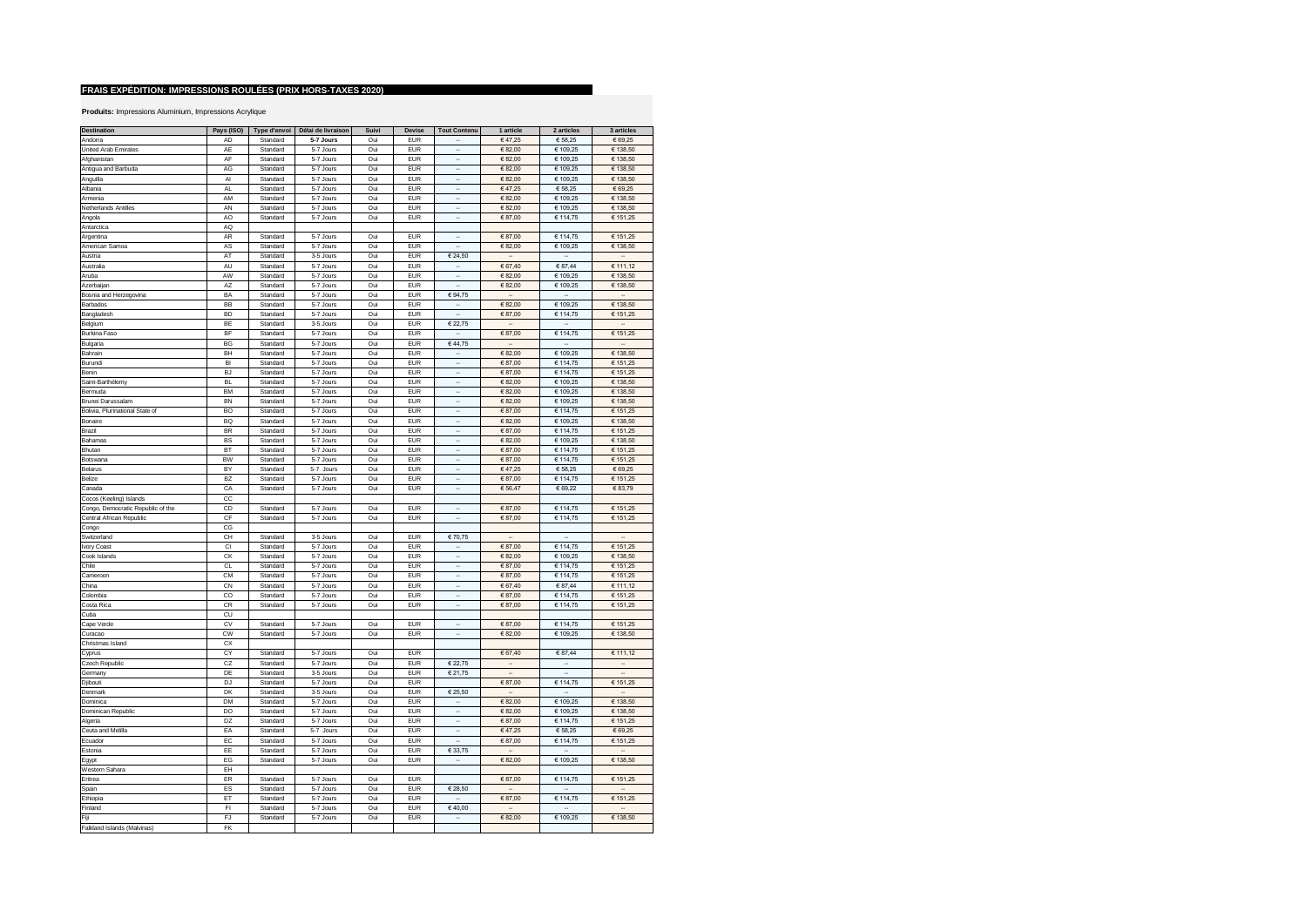| <b>Destination</b>                | Pays (ISO) | Type d'envoi | Délai de livraison | Suivi | Devise     | <b>Tout Contenu</b>         | 1 article                | 2 articles                  | 3 articles           |
|-----------------------------------|------------|--------------|--------------------|-------|------------|-----------------------------|--------------------------|-----------------------------|----------------------|
| Andorra                           | <b>AD</b>  | Standard     | 5-7 Jours          | Oui   | <b>FUR</b> |                             | €47,25                   | € 58,25                     | € 69,25              |
|                                   |            |              |                    |       |            |                             |                          |                             |                      |
| United Arab Emirates              | AE         | Standard     | 5-7 Jours          | Oui   | <b>EUR</b> | ÷.                          | € 82,00                  | € 109,25                    | € 138,50             |
| Afghanistan                       | AF         | Standard     | 5-7 Jours          | Oui   | <b>EUR</b> | à,                          | € 82,00                  | € 109,25                    | € 138,50             |
| Antigua and Barbuda               | AG         | Standard     | 5-7 Jours          | Oui   | <b>EUR</b> | ä,                          | €82,00                   | € 109,25                    | € 138,50             |
| Anguilla                          | AI         | Standard     | 5-7 Jours          | Oui   | <b>EUR</b> | ä,                          | € 82,00                  | € 109,25                    | € 138,50             |
| Albania                           | AL         | Standard     | 5-7 Jours          | Oui   | <b>EUR</b> |                             | €47,25                   | € 58,25                     | € 69,25              |
| Armenia                           | AM         | Standard     | 5-7 Jours          | Oui   | <b>EUR</b> |                             | € 82,00                  | € 109,25                    | € 138,50             |
| Netherlands Antilles              | AN         | Standard     | 5-7 Jours          | Oui   | <b>EUR</b> |                             | €82,00                   | € 109,25                    | € 138,50             |
|                                   |            |              |                    |       |            |                             |                          |                             |                      |
| Angola                            | AO         | Standard     | 5-7 Jours          | Oui   | <b>EUR</b> | ä,                          | €87,00                   | € 114,75                    | € 151,25             |
| Antarctica                        | AQ         |              |                    |       |            |                             |                          |                             |                      |
| Argentina                         | AR         | Standard     | 5-7 Jours          | Oui   | <b>EUR</b> | .,                          | €87,00                   | € 114,75                    | € 151,25             |
| American Samoa                    | AS         | Standard     | 5-7 Jours          | Oui   | <b>EUR</b> |                             | € 82,00                  | € 109,25                    | € 138,50             |
| Austria                           | AT         | Standard     | 3-5 Jours          | Oui   | <b>EUR</b> | € 24,50                     | $\ddot{\phantom{a}}$     | $\mathbf{r}$                | $\sim$               |
|                                   | AU         |              |                    |       | <b>EUR</b> |                             |                          |                             |                      |
| Australia                         |            | Standard     | 5-7 Jours          | Oui   |            | $\overline{\phantom{a}}$    | € 67,40                  | € 87,44                     | € 111,12             |
| Aruba                             | AW         | Standard     | 5-7 Jours          | Oui   | <b>EUR</b> | $\overline{\phantom{a}}$    | €82,00                   | € 109,25                    | € 138,50             |
| Azerbaijan                        | AZ         | Standard     | 5-7 Jours          | Oui   | <b>EUR</b> | $\ddot{\phantom{a}}$        | € 82,00                  | € 109,25                    | € 138,50             |
| Bosnia and Herzegovina            | BA         | Standard     | 5-7 Jours          | Oui   | <b>EUR</b> | € 94,75                     | $\overline{\phantom{a}}$ | $\sim$                      | $\ddot{\phantom{a}}$ |
| Barbados                          | BB         | Standard     | 5-7 Jours          | Oui   | <b>EUR</b> | $\cdot$                     | € 82,00                  | € 109,25                    | € 138,50             |
| Bangladesh                        | <b>BD</b>  | Standard     | 5-7 Jours          | Oui   | <b>EUR</b> | à,                          | €87,00                   | € 114,75                    | € 151,25             |
|                                   |            |              |                    |       |            |                             | $\mathbf{r}$             | $\mathcal{L}_{\mathcal{A}}$ | ä,                   |
| Belgium                           | BE         | Standard     | 3-5 Jours          | Oui   | <b>EUR</b> | € 22,75                     |                          |                             |                      |
| Burkina Faso                      | BF         | Standard     | 5-7 Jours          | Oui   | <b>EUR</b> | à,                          | € 87,00                  | € 114,75                    | € 151,25             |
| Bulgaria                          | BG         | Standard     | 5-7 Jours          | Oui   | <b>EUR</b> | €44,75                      |                          |                             | ä,                   |
| Bahrain                           | BH         | Standard     | 5-7 Jours          | Oui   | <b>EUR</b> | $\ddot{\phantom{a}}$        | €82,00                   | € 109,25                    | € 138,50             |
| Burundi                           | <b>BI</b>  | Standard     | 5-7 Jours          | Oui   | <b>EUR</b> | ÷.                          | €87,00                   | € 114,75                    | € 151,25             |
| Benin                             | <b>BJ</b>  | Standard     | 5-7 Jours          | Oui   | <b>EUR</b> | ÷.                          | €87,00                   | € 114,75                    | € 151,25             |
|                                   |            |              |                    |       |            | ÷.                          |                          |                             |                      |
| Saint-Barthélemy                  | <b>BL</b>  | Standard     | 5-7 Jours          | Oui   | <b>EUR</b> |                             | €82,00                   | € 109,25                    | € 138,50             |
| Bermuda                           | <b>BM</b>  | Standard     | 5-7 Jours          | Oui   | <b>EUR</b> | $\ddot{\phantom{a}}$        | € 82,00                  | € 109,25                    | € 138,50             |
| Brunei Darussalam                 | <b>BN</b>  | Standard     | 5-7 Jours          | Oui   | <b>EUR</b> |                             | €82,00                   | € 109,25                    | € 138,50             |
| Bolivia, Plurinational State of   | BO         | Standard     | 5-7 Jours          | Oui   | <b>EUR</b> |                             | €87,00                   | € 114,75                    | € 151,25             |
| Bonaire                           | <b>BQ</b>  | Standard     | 5-7 Jours          | Oui   | <b>EUR</b> |                             | €82,00                   | € 109,25                    | € 138,50             |
| Brazil                            | <b>BR</b>  | Standard     | 5-7 Jours          | Oui   | <b>EUR</b> |                             | €87,00                   | € 114,75                    | € 151,25             |
| Bahamas                           | <b>BS</b>  | Standard     | 5-7 Jours          | Oui   | <b>EUR</b> |                             | € 82.00                  | € 109,25                    | € 138,50             |
|                                   |            |              |                    |       |            |                             |                          |                             |                      |
| Bhutan                            | BT         | Standard     | 5-7 Jours          | Oui   | <b>EUR</b> | .,                          | € 87,00                  | € 114,75                    | € 151,25             |
| Botswana                          | <b>BW</b>  | Standard     | 5-7 Jours          | Oui   | <b>EUR</b> | $\cdot$                     | €87,00                   | € 114,75                    | € 151,25             |
| Belarus                           | BY         | Standard     | 5-7 Jours          | Oui   | EUR        | $\ddot{\phantom{a}}$        | €47,25                   | € 58,25                     | € 69,25              |
| Belize                            | BZ         | Standard     | 5-7 Jours          | Oui   | EUR        | $\overline{\phantom{a}}$    | €87,00                   | € 114,75                    | € 151,25             |
| Canada                            | CA         | Standard     | 5-7 Jours          | Oui   | <b>EUR</b> | $\overline{\phantom{a}}$    | € 56,47                  | € 69,22                     | € 83,79              |
|                                   |            |              |                    |       |            |                             |                          |                             |                      |
| Cocos (Keeling) Islands           | cc         |              |                    |       |            |                             |                          |                             |                      |
| Congo, Democratic Republic of the | CD         | Standard     | 5-7 Jours          | Oui   | <b>EUR</b> | $\mathcal{L}_{\mathcal{A}}$ | €87,00                   | € 114,75                    | € 151,25             |
| Central African Republic          | CF         | Standard     | 5-7 Jours          | Oui   | <b>EUR</b> | ä,                          | € 87,00                  | € 114,75                    | € 151,25             |
| Congo                             | CG         |              |                    |       |            |                             |                          |                             |                      |
| Switzerland                       | CH         | Standard     | 3-5 Jours          | Oui   | <b>EUR</b> | € 70,75                     | ÷.                       |                             | $\sim$               |
| Ivory Coast                       | <b>CI</b>  | Standard     | 5-7 Jours          | Oui   | <b>EUR</b> | L,                          | €87,00                   | € 114,75                    | € 151,25             |
|                                   |            |              |                    |       |            | à,                          |                          |                             |                      |
| Cook Islands                      | CK         | Standard     | 5-7 Jours          | Oui   | <b>EUR</b> |                             | €82,00                   | € 109,25                    | € 138,50             |
| Chile                             | CI         | Standard     | 5-7 Jours          | Oui   | <b>EUR</b> | ÷.                          | €87,00                   | € 114,75                    | € 151,25             |
| Cameroon                          | CM         | Standard     | 5-7 Jours          | Oui   | <b>EUR</b> | ÷.                          | €87,00                   | € 114,75                    | € 151,25             |
| China                             | CN         | Standard     | 5-7 Jours          | Oui   | <b>EUR</b> | J.                          | € 67,40                  | € 87,44                     | € 111,12             |
| Colombia                          | CO         | Standard     | 5-7 Jours          | Oui   | <b>EUR</b> | $\mathbf{r}$                | €87,00                   | € 114,75                    | € 151,25             |
| Costa Rica                        | CR         | Standard     | 5-7 Jours          | Oui   | <b>EUR</b> |                             | € 87,00                  | € 114,75                    | € 151,25             |
| Cuba                              | CU         |              |                    |       |            |                             |                          |                             |                      |
|                                   |            |              |                    |       |            |                             |                          |                             |                      |
| Cape Verde                        | CV         | Standard     | 5-7 Jours          | Oui   | <b>EUR</b> |                             | €87,00                   | € 114,75                    | € 151,25             |
| Curacao                           | CW         | Standard     | 5-7 Jours          | Oui   | <b>EUR</b> |                             | €82,00                   | € 109,25                    | € 138,50             |
| Christmas Island                  | CX         |              |                    |       |            |                             |                          |                             |                      |
| Cyprus                            | CY         | Standard     | 5-7 Jours          | Oui   | <b>EUR</b> |                             | € 67,40                  | € 87,44                     | € 111,12             |
| Czech Republic                    | CZ         | Standard     | 5-7 Jours          | Oui   | <b>EUR</b> | € 22,75                     |                          | ÷,                          | $\ddotsc$            |
| Germany                           | DE         | Standard     | 3-5 Jours          | Oui   | <b>EUR</b> | € 21,75                     | ä,                       | $\ddot{\phantom{a}}$        | $\sim$               |
|                                   | DJ         |              |                    |       | <b>EUR</b> |                             |                          |                             |                      |
| Djibouti                          |            | Standard     | 5-7 Jours          | Oui   |            |                             | € 87.00                  | € 114.75                    | € 151,25             |
| Denmark                           | DK         | Standard     | 3-5 Jours          | Oui   | <b>EUR</b> | € 25,50                     | $\ddot{\phantom{a}}$     | $\ddot{\phantom{a}}$        |                      |
| Dominica                          | DM         | Standard     | 5-7 Jours          | Oui   | <b>EUR</b> | $\cdot$                     | € 82,00                  | € 109,25                    | € 138,50             |
| Dominican Republic                | DO         | Standard     | 5-7 Jours          | Oui   | <b>EUR</b> | $\cdot$                     | € 82,00                  | € 109,25                    | € 138,50             |
| Algeria                           | DZ         | Standard     | 5-7 Jours          | Oui   | <b>EUR</b> | ÷.                          | €87,00                   | € 114,75                    | € 151,25             |
| Ceuta and Melilla                 | EA         | Standard     | 5-7 Jours          | Oui   | EUR        | $\cdot$                     | €47,25                   | € 58,25                     | € 69,25              |
|                                   |            |              |                    |       |            | à,                          |                          |                             |                      |
| Ecuador                           | EC         | Standard     | 5-7 Jours          | Oui   | <b>EUR</b> |                             | €87,00                   | € 114,75                    | € 151,25             |
| Estonia                           | EE         | Standard     | 5-7 Jours          | Oui   | <b>EUR</b> | € 33,75                     | ä,                       | J.                          | ÷.                   |
| Egypt                             | EG         | Standard     | 5-7 Jours          | Oui   | <b>EUR</b> | L,                          | € 82,00                  | € 109,25                    | € 138,50             |
| Western Sahara                    | EH         |              |                    |       |            |                             |                          |                             |                      |
| Eritrea                           | ER         | Standard     | 5-7 Jours          | Oui   | <b>EUR</b> |                             | €87,00                   | € 114,75                    | € 151,25             |
| Spain                             | ES         | Standard     | 5-7 Jours          | Oui   | <b>EUR</b> | € 28,50                     |                          | ÷.                          |                      |
|                                   |            |              |                    |       |            |                             |                          |                             |                      |
| Ethiopia                          | ET         | Standard     | 5-7 Jours          | Oui   | EUR        | L,                          | € 87,00                  | € 114,75                    | € 151,25             |
| Finland                           | FI         | Standard     | 5-7 Jours          | Oui   | <b>EUR</b> | €40,00                      |                          | $\ddot{\phantom{a}}$        |                      |
| Fiji                              | FJ         | Standard     | 5-7 Jours          | Oui   | <b>EUR</b> | $\ddot{\phantom{a}}$        | € 82,00                  | € 109,25                    | € 138,50             |
| Falkland Islands (Malvinas)       | <b>FK</b>  |              |                    |       |            |                             |                          |                             |                      |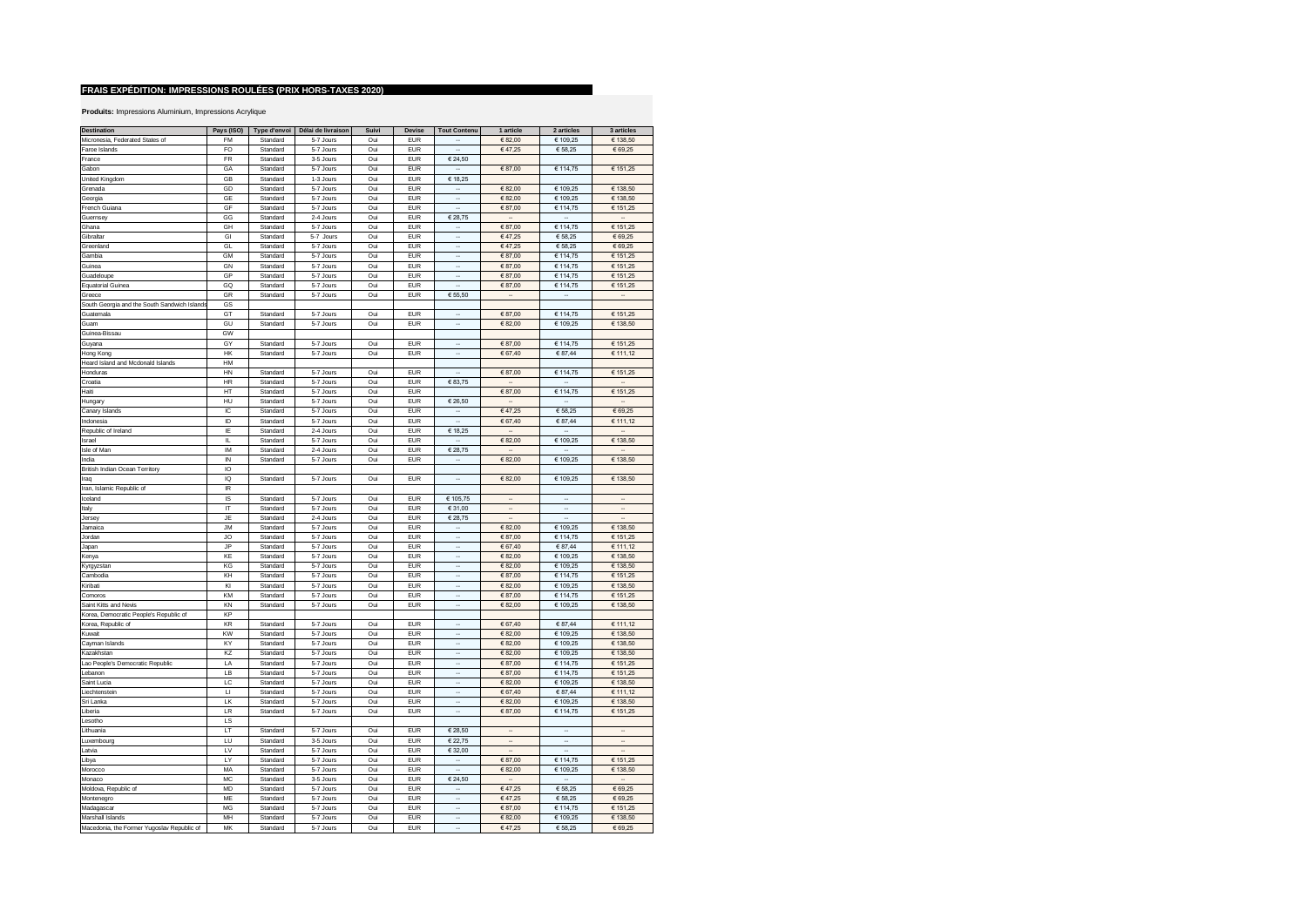| <b>Destination</b>                           | Pays (ISO)              | Type d'envoi | Délai de livraison | Suivi | <b>Devise</b> | <b>Tout Contenu</b>      | 1 article            | 2 articles               | 3 articles               |
|----------------------------------------------|-------------------------|--------------|--------------------|-------|---------------|--------------------------|----------------------|--------------------------|--------------------------|
| Micronesia, Federated States of              | <b>FM</b>               | Standard     | 5-7 Jours          | Oui   | <b>EUR</b>    |                          | €82,00               | € 109,25                 | € 138,50                 |
|                                              | FO                      |              | 5-7 Jours          | Oui   | <b>EUR</b>    | ÷.                       | €47,25               | € 58,25                  | € 69,25                  |
| Faroe Islands                                |                         | Standard     |                    |       |               |                          |                      |                          |                          |
| France                                       | FR                      | Standard     | 3-5 Jours          | Oui   | <b>EUR</b>    | € 24,50                  |                      |                          |                          |
| Gabon                                        | GA                      | Standard     | 5-7 Jours          | Oui   | <b>EUR</b>    |                          | € 87,00              | € 114,75                 | € 151,25                 |
| United Kingdom                               | GB                      | Standard     | 1-3 Jours          | Oui   | <b>EUR</b>    | € 18,25                  |                      |                          |                          |
| Grenada                                      | GD                      | Standard     | 5-7 Jours          | Oui   | <b>EUR</b>    | ÷.                       | €82,00               | € 109,25                 | € 138,50                 |
| Georgia                                      | GE                      | Standard     | 5-7 Jours          | Oui   | <b>EUR</b>    | à.                       | € 82,00              | € 109,25                 | € 138,50                 |
| French Guiana                                | GF                      | Standard     | 5-7 Jours          | Oui   | <b>EUR</b>    | $\overline{\phantom{a}}$ | €87,00               | € 114,75                 | € 151,25                 |
| Guernsey                                     | GG                      | Standard     | 2-4 Jours          | Oui   | <b>EUR</b>    | € 28,75                  |                      |                          | $\overline{\phantom{a}}$ |
| Ghana                                        | GH                      | Standard     | 5-7 Jours          | Oui   | <b>EUR</b>    |                          | €87,00               | € 114,75                 | € 151,25                 |
| Gibraltar                                    | GI                      | Standard     | 5-7 Jours          | Oui   | <b>EUR</b>    |                          | €47,25               | € 58,25                  | € 69,25                  |
|                                              |                         |              |                    |       |               |                          |                      |                          |                          |
| Greenland                                    | GL                      | Standard     | 5-7 Jours          | Oui   | <b>EUR</b>    | ۰.                       | €47,25               | € 58,25                  | € 69,25                  |
| Gambia                                       | <b>GM</b>               | Standard     | 5-7 Jours          | Oui   | EUR           | $\ddot{\phantom{a}}$     | €87,00               | € 114,75                 | € 151,25                 |
| Guinea                                       | <b>GN</b>               | Standard     | 5-7 Jours          | Oui   | <b>EUR</b>    | $\sim$                   | €87,00               | € 114,75                 | € 151,25                 |
| Guadeloupe                                   | GP                      | Standard     | 5-7 Jours          | Oui   | <b>EUR</b>    | $\cdot$                  | €87,00               | € 114,75                 | € 151,25                 |
| <b>Equatorial Guinea</b>                     | GQ                      | Standard     | 5-7 Jours          | Oui   | EUR           | $\ddot{\phantom{a}}$     | €87,00               | € 114,75                 | € 151,25                 |
| Greece                                       | GR                      | Standard     | 5-7 Jours          | Oui   | <b>EUR</b>    | € 55,50                  | $\ldots$             | $\cdot$                  | $\cdot$                  |
| South Georgia and the South Sandwich Islands | GS                      |              |                    |       |               |                          |                      |                          |                          |
| Guatemala                                    | GT                      | Standard     | 5-7 Jours          | Oui   | <b>EUR</b>    |                          | €87,00               | € 114,75                 | € 151,25                 |
|                                              |                         |              |                    |       |               | $\cdot$                  |                      |                          |                          |
| Guam                                         | GU                      | Standard     | 5-7 Jours          | Oui   | <b>EUR</b>    |                          | € 82,00              | € 109,25                 | € 138,50                 |
| Guinea-Bissau                                | GW                      |              |                    |       |               |                          |                      |                          |                          |
| Guyana                                       | GY                      | Standard     | 5-7 Jours          | Oui   | <b>EUR</b>    | ä,                       | € 87,00              | € 114,75                 | € 151,25                 |
| Hong Kong                                    | HK                      | Standard     | 5-7 Jours          | Oui   | <b>EUR</b>    | à,                       | € 67,40              | € 87,44                  | € 111,12                 |
| Heard Island and Mcdonald Islands            | HM                      |              |                    |       |               |                          |                      |                          |                          |
| Honduras                                     | HN                      | Standard     | 5-7 Jours          | Oui   | <b>EUR</b>    | ÷.                       | €87,00               | € 114,75                 | € 151,25                 |
| Croatia                                      | HR                      | Standard     | 5-7 Jours          | Oui   | EUR           | € 83,75                  | $\ddot{\phantom{a}}$ | $\sim$                   | $\sim$                   |
| Haiti                                        | HT                      | Standard     | 5-7 Jours          | Oui   | <b>EUR</b>    |                          | €87,00               | € 114,75                 | € 151,25                 |
| Hungary                                      | HU                      | Standard     | 5-7 Jours          | Oui   | <b>EUR</b>    | € 26,50                  | $\cdot$              | $\sim$                   | $\cdot$                  |
|                                              |                         |              |                    |       |               |                          |                      |                          |                          |
| Canary Islands                               | IC                      | Standard     | 5-7 Jours          | Oui   | <b>EUR</b>    | $\overline{\phantom{a}}$ | €47,25               | € 58,25                  | € 69,25                  |
| Indonesia                                    | ID                      | Standard     | 5-7 Jours          | Oui   | <b>EUR</b>    |                          | € 67,40              | € 87,44                  | € 111,12                 |
| Republic of Ireland                          | IE                      | Standard     | 2-4 Jours          | Oui   | <b>EUR</b>    | € 18,25                  | $\sim$               | $\sim$                   | $\sim$                   |
| Israel                                       | IL.                     | Standard     | 5-7 Jours          | Oui   | <b>EUR</b>    |                          | €82,00               | € 109,25                 | € 138,50                 |
| Isle of Man                                  | IM                      | Standard     | 2-4 Jours          | Oui   | EUR           | € 28,75                  | $\cdot$              | $\overline{\phantom{a}}$ | $\ddot{\phantom{a}}$     |
| India                                        | $\overline{N}$          | Standard     | 5-7 Jours          | Oui   | <b>EUR</b>    | $\cdot$                  | € 82,00              | € 109,25                 | € 138,50                 |
| British Indian Ocean Territory               | IO                      |              |                    |       |               |                          |                      |                          |                          |
| Iraq                                         | IQ                      | Standard     | 5-7 Jours          | Oui   | EUR           | $\overline{\phantom{a}}$ | € 82,00              | € 109,25                 | € 138,50                 |
| Iran, Islamic Republic of                    | IR                      |              |                    |       |               |                          |                      |                          |                          |
|                                              |                         |              |                    |       |               |                          |                      |                          |                          |
| Iceland                                      | IS                      | Standard     | 5-7 Jours          | Oui   | EUR           | € 105,75                 | $\cdots$             | $\overline{\phantom{a}}$ | $\ldots$                 |
| Italy                                        | $\mathsf{I} \mathsf{T}$ | Standard     | 5-7 Jours          | Oui   | <b>EUR</b>    | € 31,00                  |                      | $\ddot{\phantom{a}}$     |                          |
| Jersey                                       | JE                      | Standard     | 2-4 Jours          | Oui   | <b>EUR</b>    | € 28,75                  | $\ddot{\phantom{a}}$ | $\overline{\phantom{a}}$ |                          |
| Jamaica                                      | <b>JM</b>               | Standard     | 5-7 Jours          | Oui   | EUR           | $\mathbf{r}$             | €82,00               | € 109,25                 | € 138,50                 |
| Jordan                                       | JO                      | Standard     | 5-7 Jours          | Oui   | <b>EUR</b>    | ÷.                       | €87,00               | € 114,75                 | € 151,25                 |
| Japan                                        | JP                      | Standard     | 5-7 Jours          | Oui   | <b>EUR</b>    | à.                       | € 67,40              | € 87,44                  | € 111,12                 |
| Kenya                                        | KE                      | Standard     | 5-7 Jours          | Oui   | <b>EUR</b>    | ÷.                       | € 82,00              | € 109,25                 | € 138,50                 |
| Kyrgyzstan                                   | KG                      | Standard     | 5-7 Jours          | Oui   | <b>FUR</b>    | Ξ                        | €82,00               | € 109,25                 | € 138,50                 |
|                                              |                         |              |                    |       |               | $\overline{\phantom{a}}$ |                      |                          |                          |
| Cambodia                                     | KH                      | Standard     | 5-7 Jours          | Oui   | <b>EUR</b>    |                          | € 87,00              | € 114,75                 | € 151,25                 |
| Kiribati                                     | KI                      | Standard     | 5-7 Jours          | Oui   | <b>EUR</b>    | ä,                       | € 82,00              | € 109,25                 | € 138,50                 |
| Comoros                                      | KM                      | Standard     | 5-7 Jours          | Oui   | <b>EUR</b>    | $\sim$                   | € 87,00              | € 114,75                 | € 151,25                 |
| Saint Kitts and Nevis                        | KN                      | Standard     | 5-7 Jours          | Oui   | <b>EUR</b>    | $\ddot{\phantom{a}}$     | € 82,00              | € 109,25                 | € 138,50                 |
| Korea, Democratic People's Republic of       | KP                      |              |                    |       |               |                          |                      |                          |                          |
| Korea, Republic of                           | KR                      | Standard     | 5-7 Jours          | Oui   | <b>EUR</b>    |                          | € 67,40              | € 87,44                  | € 111,12                 |
| Kuwait                                       | KW                      | Standard     | 5-7 Jours          | Oui   | <b>EUR</b>    |                          | €82,00               | € 109,25                 | € 138,50                 |
| Cayman Islands                               | KY                      | Standard     | 5-7 Jours          | Oui   | EUR           |                          | € 82,00              | € 109,25                 | € 138,50                 |
| Kazakhstan                                   | KZ                      | Standard     | 5-7 Jours          | Oui   | <b>EUR</b>    | ۰.                       | €82,00               | € 109,25                 | € 138,50                 |
| Lao People's Democratic Republic             | LA                      | Standard     | 5-7 Jours          | Oui   | EUR           | $\overline{\phantom{a}}$ | €87,00               | € 114,75                 | € 151,25                 |
|                                              | LB                      |              |                    |       | <b>EUR</b>    | $\mathbf{r}$             |                      |                          |                          |
| Lebanon                                      |                         | Standard     | 5-7 Jours          | Oui   |               |                          | €87,00               | € 114,75                 | € 151,25                 |
| Saint Lucia                                  | LC                      | Standard     | 5-7 Jours          | Oui   | <b>EUR</b>    | $\overline{\phantom{a}}$ | € 82,00              | € 109,25                 | € 138,50                 |
| Liechtenstein                                | Ц                       | Standard     | 5-7 Jours          | Oui   | <b>EUR</b>    | $\overline{\phantom{a}}$ | € 67,40              | € 87,44                  | € 111,12                 |
| Sri Lanka                                    | LK                      | Standard     | 5-7 Jours          | Oui   | <b>EUR</b>    | $\cdot$                  | € 82,00              | € 109,25                 | € 138,50                 |
| Liberia                                      | LR                      | Standard     | 5-7 Jours          | Oui   | EUR           | $\cdot$                  | € 87,00              | € 114,75                 | € 151,25                 |
| Lesotho                                      | LS                      |              |                    |       |               |                          |                      |                          |                          |
| Lithuania                                    | LT                      | Standard     | 5-7 Jours          | Oui   | <b>EUR</b>    | € 28,50                  | $\cdots$             | $\sim$                   | $\cdot$                  |
| Luxembourg                                   | LU                      | Standard     | 3-5 Jours          | Oui   | <b>EUR</b>    | € 22,75                  | u.                   | ÷.                       | u,                       |
| I atvia                                      | LV                      | Standard     | 5-7 Jours          | Oui   | <b>EUR</b>    | € 32,00                  | ÷.                   | ÷.                       | $\overline{\phantom{a}}$ |
|                                              | LY                      | Standard     | 5-7 Jours          | Oui   | <b>EUR</b>    | L,                       | € 87,00              | € 114,75                 | € 151,25                 |
| Libya                                        |                         |              |                    |       |               |                          |                      |                          |                          |
| Morocco                                      | MA                      | Standard     | 5-7 Jours          | Oui   | <b>EUR</b>    |                          | € 82,00              | € 109,25                 | € 138,50                 |
| Monaco                                       | MC                      | Standard     | 3-5 Jours          | Oui   | <b>EUR</b>    | € 24,50                  | $\ddot{\phantom{a}}$ | ÷.                       | $\sim$                   |
| Moldova, Republic of                         | MD                      | Standard     | 5-7 Jours          | Oui   | <b>EUR</b>    | $\sim$                   | €47,25               | € 58,25                  | € 69,25                  |
| Montenegro                                   | ME                      | Standard     | 5-7 Jours          | Oui   | <b>EUR</b>    | $\overline{\phantom{a}}$ | €47,25               | € 58,25                  | € 69,25                  |
| Madagascar                                   | MG                      | Standard     | 5-7 Jours          | Oui   | <b>EUR</b>    | $\ddot{\phantom{a}}$     | € 87.00              | € 114,75                 | € 151,25                 |
| Marshall Islands                             | MH                      | Standard     | 5-7 Jours          | Oui   | <b>EUR</b>    |                          | € 82,00              | € 109,25                 | € 138,50                 |
| Macedonia, the Former Yugoslav Republic of   | MK                      | Standard     | 5-7 Jours          | Oui   | <b>EUR</b>    |                          | €47,25               | € 58,25                  | € 69,25                  |
|                                              |                         |              |                    |       |               |                          |                      |                          |                          |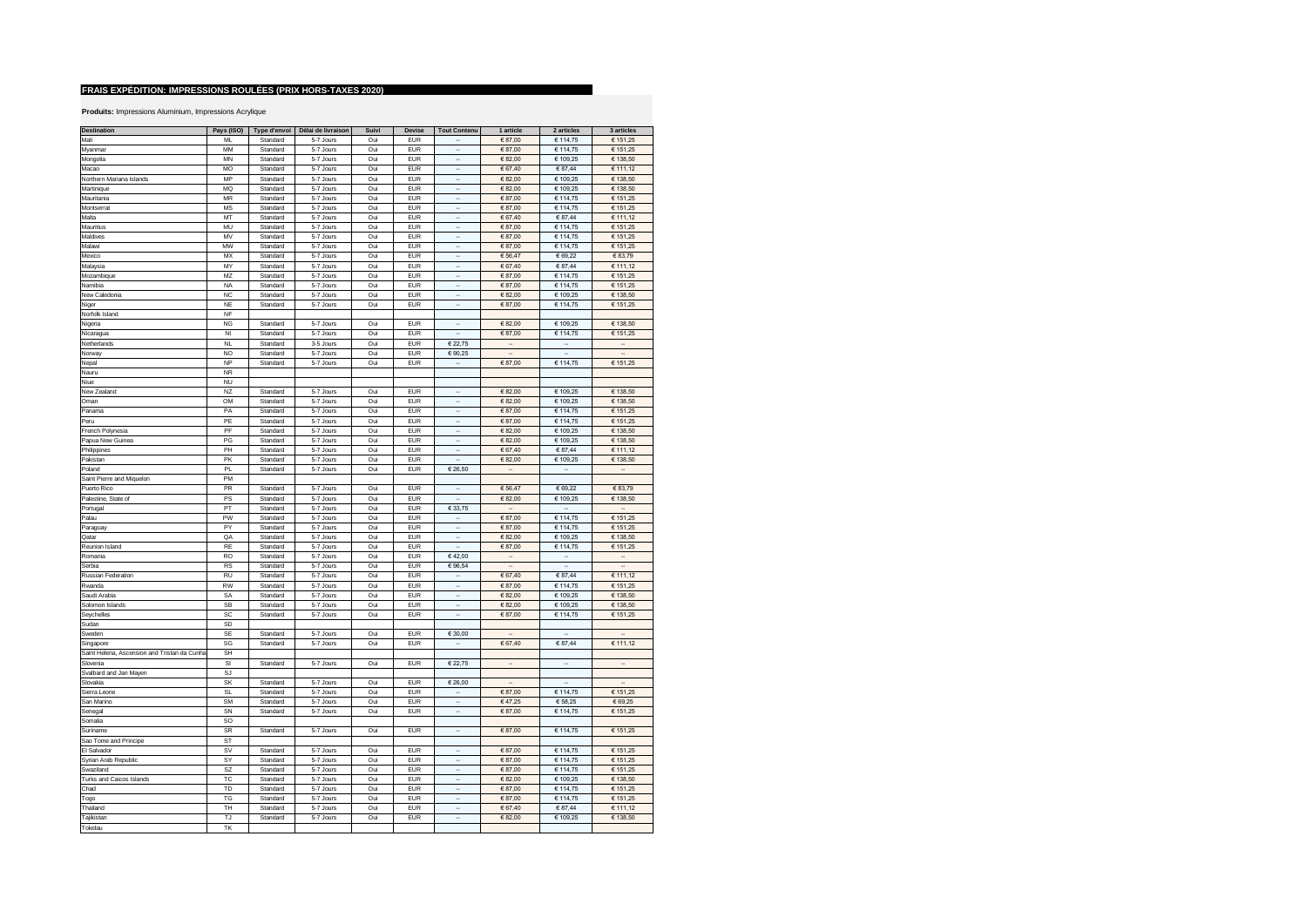| <b>Destination</b>                           | Pays (ISO) | Type d'envoi | Délai de livraison | Suivi | Devise     | <b>Tout Contenu</b>         | 1 article                | 2 articles               | 3 articles           |
|----------------------------------------------|------------|--------------|--------------------|-------|------------|-----------------------------|--------------------------|--------------------------|----------------------|
| Mali                                         | MI         | Standard     | 5-7 Jours          | Oui   | <b>FUR</b> |                             | €87,00                   | € 114,75                 | € 151,25             |
|                                              |            |              |                    |       |            | ÷.                          |                          |                          |                      |
| Myanmar                                      | MM         | Standard     | 5-7 Jours          | Oui   | <b>EUR</b> | à,                          | €87,00                   | € 114,75                 | € 151,25             |
| Mongolia                                     | <b>MN</b>  | Standard     | 5-7 Jours          | Oui   | <b>EUR</b> |                             | € 82,00                  | € 109,25                 | € 138,50             |
| Macao                                        | MO         | Standard     | 5-7 Jours          | Oui   | <b>EUR</b> | ÷.                          | € 67,40                  | € 87,44                  | € 111,12             |
| Northern Mariana Islands                     | MP         | Standard     | 5-7 Jours          | Oui   | <b>EUR</b> | $\ddot{\phantom{a}}$        | €82,00                   | € 109,25                 | € 138,50             |
| Martinique                                   | MQ         | Standard     | 5-7 Jours          | Oui   | <b>EUR</b> |                             | €82,00                   | € 109,25                 | € 138,50             |
| Mauritania                                   | <b>MR</b>  | Standard     | 5-7 Jours          | Oui   | <b>EUR</b> |                             | €87,00                   | € 114,75                 | € 151,25             |
| Montserrat                                   | <b>MS</b>  | Standard     | 5-7 Jours          | Oui   | <b>EUR</b> |                             | €87,00                   | € 114,75                 | € 151,25             |
| Malta                                        | MT         | Standard     | 5-7 Jours          | Oui   | <b>EUR</b> |                             | € 67,40                  | € 87,44                  | € 111,12             |
| Mauritius                                    | MU         | Standard     | 5-7 Jours          | Oui   | EUR        | $\ddot{\phantom{a}}$        | €87,00                   | € 114,75                 | € 151,25             |
| Maldives                                     | MV         | Standard     | 5-7 Jours          | Oui   | <b>EUR</b> |                             | € 87,00                  | € 114,75                 | € 151,25             |
| Malawi                                       | <b>MW</b>  |              |                    |       | <b>EUR</b> |                             |                          |                          |                      |
|                                              |            | Standard     | 5-7 Jours          | Oui   |            | $\overline{\phantom{a}}$    | €87,00                   | € 114,75                 | € 151,25             |
| Mexico                                       | MX         | Standard     | 5-7 Jours          | Oui   | <b>EUR</b> | $\ddot{\phantom{a}}$        | € 56,47                  | € 69,22                  | € 83,79              |
| Malaysia                                     | MY         | Standard     | 5-7 Jours          | Oui   | <b>EUR</b> | $\ddot{\phantom{a}}$        | € 67,40                  | € 87,44                  | € 111,12             |
| Mozambique                                   | MZ         | Standard     | 5-7 Jours          | Oui   | <b>EUR</b> | $\overline{\phantom{a}}$    | €87,00                   | € 114,75                 | € 151,25             |
| Namibia                                      | <b>NA</b>  | Standard     | 5-7 Jours          | Oui   | <b>EUR</b> | $\cdot$                     | € 87,00                  | € 114,75                 | € 151,25             |
| New Caledonia                                | <b>NC</b>  | Standard     | 5-7 Jours          | Oui   | <b>EUR</b> | $\cdot$                     | € 82,00                  | € 109.25                 | € 138,50             |
| Niger                                        | <b>NF</b>  | Standard     | 5-7 Jours          | Oui   | <b>EUR</b> | ÷.                          | €87,00                   | € 114,75                 | € 151,25             |
| Norfolk Island                               | NF         |              |                    |       |            |                             |                          |                          |                      |
| Nigeria                                      | <b>NG</b>  | Standard     | 5-7 Jours          | Oui   | <b>EUR</b> | à.                          | €82,00                   | € 109,25                 | € 138,50             |
| Nicaragua                                    | NI         | Standard     | 5-7 Jours          | Oui   | EUR        | à,                          | €87,00                   | € 114,75                 | € 151,25             |
| Netherlands                                  | NL         | Standard     | 3-5 Jours          | Oui   | <b>EUR</b> | € 22,75                     | ÷.                       | J.                       | ä,                   |
|                                              | <b>NO</b>  | Standard     | 5-7 Jours          | Oui   | <b>EUR</b> | €90,25                      |                          |                          |                      |
| Norway                                       |            |              |                    |       |            | ä,                          |                          |                          |                      |
| Nepal                                        | <b>NP</b>  | Standard     | 5-7 Jours          | Oui   | <b>EUR</b> |                             | €87,00                   | € 114,75                 | € 151,25             |
| Nauru                                        | <b>NR</b>  |              |                    |       |            |                             |                          |                          |                      |
| Niue                                         | <b>NU</b>  |              |                    |       |            |                             |                          |                          |                      |
| New Zealand                                  | NZ         | Standard     | 5-7 Jours          | Oui   | <b>EUR</b> |                             | €82,00                   | € 109,25                 | € 138,50             |
| Oman                                         | OM         | Standard     | 5-7 Jours          | Oui   | <b>EUR</b> |                             | €82,00                   | € 109,25                 | € 138,50             |
| Panama                                       | PA         | Standard     | 5-7 Jours          | Oui   | <b>EUR</b> |                             | €87,00                   | € 114,75                 | € 151,25             |
| Peru                                         | PE         | Standard     | 5-7 Jours          | Oui   | <b>EUR</b> |                             | €87,00                   | € 114,75                 | € 151,25             |
| French Polynesia                             | PF         | Standard     | 5-7 Jours          | Oui   | <b>EUR</b> |                             | €82,00                   | € 109,25                 | € 138,50             |
| Papua New Guinea                             | PG         | Standard     | 5-7 Jours          | Oui   | EUR        | $\overline{\phantom{a}}$    | € 82,00                  | € 109,25                 | € 138,50             |
| Philippines                                  | PH         | Standard     | 5-7 Jours          | Oui   | <b>EUR</b> | $\ddot{\phantom{a}}$        | € 67,40                  | € 87,44                  | € 111,12             |
| Pakistan                                     | PK         | Standard     | 5-7 Jours          | Oui   | <b>EUR</b> | $\ddot{\phantom{a}}$        | € 82,00                  | € 109,25                 | € 138,50             |
|                                              |            |              |                    |       |            |                             |                          |                          |                      |
| Poland                                       | PL         | Standard     | 5-7 Jours          | Oui   | <b>EUR</b> | € 26,50                     | $\cdot$                  | $\overline{\phantom{a}}$ | $\cdot$              |
| Saint Pierre and Miquelon                    | PM         |              |                    |       |            |                             |                          |                          |                      |
| Puerto Rico                                  | PR         | Standard     | 5-7 Jours          | Oui   | <b>EUR</b> | $\cdot$                     | € 56,47                  | € 69,22                  | € 83,79              |
| Palestine, State of                          | PS         | Standard     | 5-7 Jours          | Oui   | EUR        | à,                          | € 82,00                  | € 109,25                 | € 138,50             |
| Portugal                                     | PT         | Standard     | 5-7 Jours          | Oui   | <b>EUR</b> | € 33,75                     | $\overline{\phantom{a}}$ |                          |                      |
| Palau                                        | PW         | Standard     | 5-7 Jours          | Oui   | <b>EUR</b> | à,                          | €87,00                   | € 114,75                 | € 151,25             |
| Paraguay                                     | PY         | Standard     | 5-7 Jours          | Oui   | <b>EUR</b> | ÷.                          | €87,00                   | € 114,75                 | € 151,25             |
| Qatar                                        | QA         | Standard     | 5-7 Jours          | Oui   | <b>EUR</b> | à,                          | €82,00                   | € 109,25                 | € 138,50             |
| Reunion Island                               | RE         | Standard     | 5-7 Jours          | Oui   | <b>EUR</b> |                             | € 87,00                  | € 114,75                 | € 151,25             |
| Romania                                      | <b>RO</b>  | Standard     | 5-7 Jours          | Oui   | <b>EUR</b> | €42,00                      | Ξ.                       | ÷.                       | ä,                   |
| Serhia                                       | <b>RS</b>  | Standard     | 5-7 Jours          | Oui   | <b>EUR</b> | € 96,54                     | ÷.                       | ÷.                       | $\sim$               |
| Russian Federation                           | RU         | Standard     | 5-7 Jours          | Oui   | <b>EUR</b> | ÷.                          | € 67,40                  | € 87,44                  | € 111,12             |
|                                              |            |              |                    |       |            |                             |                          |                          |                      |
| Rwanda                                       | <b>RW</b>  | Standard     | 5-7 Jours          | Oui   | <b>EUR</b> | $\ddot{\phantom{a}}$        | €87,00                   | € 114,75                 | € 151,25             |
| Saudi Arabia                                 | SA         | Standard     | 5-7 Jours          | Oui   | <b>EUR</b> |                             | €82,00                   | € 109,25                 | € 138,50             |
| Solomon Islands                              | SB         | Standard     | 5-7 Jours          | Oui   | <b>EUR</b> |                             | € 82,00                  | € 109,25                 | € 138,50             |
| Seychelles                                   | SC         | Standard     | 5-7 Jours          | Oui   | <b>EUR</b> | $\ddot{\phantom{a}}$        | €87,00                   | € 114,75                 | € 151,25             |
| Sudan                                        | SD         |              |                    |       |            |                             |                          |                          |                      |
| Sweder                                       | SE         | Standard     | 5-7 Jours          | Oui   | <b>EUR</b> | € 30,00                     |                          | ÷.                       | $\ddot{\phantom{a}}$ |
| Singapore                                    | SG         | Standard     | 5-7 Jours          | Oui   | <b>EUR</b> | $\ddot{\phantom{a}}$        | € 67,40                  | € 87,44                  | € 111,12             |
| Saint Helena, Ascension and Tristan da Cunha | <b>SH</b>  |              |                    |       |            |                             |                          |                          |                      |
| Slovenia                                     | SI         | Standard     | 5-7 Jours          | Oui   | EUR        | € 22,75                     |                          | $\cdot$                  | $\cdot$              |
| Svalbard and Jan Mayen                       | SJ         |              |                    |       |            |                             |                          |                          |                      |
| Slovakia                                     | SK         | Standard     | 5-7 Jours          | Oui   | EUR        | € 26,00                     | $\ddot{\phantom{a}}$     | $\ddot{\phantom{a}}$     | $\cdot$              |
| Sierra Leone                                 | SL         | Standard     | 5-7 Jours          | Oui   | <b>EUR</b> | $\cdot$                     | € 87,00                  | € 114,75                 | € 151,25             |
|                                              |            |              |                    |       |            | $\mathcal{L}_{\mathcal{A}}$ |                          |                          |                      |
| San Marino                                   | SM         | Standard     | 5-7 Jours          | Oui   | EUR        |                             | €47,25                   | € 58,25                  | € 69,25              |
| Senegal                                      | SN         | Standard     | 5-7 Jours          | Oui   | <b>EUR</b> | $\mathcal{L}_{\mathcal{A}}$ | €87,00                   | € 114,75                 | € 151,25             |
| Somalia                                      | SO         |              |                    |       |            |                             |                          |                          |                      |
| Suriname                                     | SR         | Standard     | 5-7 Jours          | Oui   | <b>EUR</b> | $\ddot{\phantom{a}}$        | €87,00                   | € 114,75                 | € 151,25             |
| Sao Tome and Principe                        | <b>ST</b>  |              |                    |       |            |                             |                          |                          |                      |
| El Salvador                                  | <b>SV</b>  | Standard     | 5-7 Jours          | Oui   | <b>EUR</b> | ÷.                          | €87,00                   | € 114,75                 | € 151,25             |
| Syrian Arab Republic                         | <b>SY</b>  | Standard     | 5-7 Jours          | Oui   | EUR        | à,                          | € 87,00                  | € 114,75                 | € 151,25             |
| Swaziland                                    | SZ         | Standard     | 5-7 Jours          | Oui   | <b>EUR</b> | ÷.                          | €87,00                   | € 114,75                 | € 151,25             |
| Turks and Caicos Islands                     | TC         | Standard     | 5-7 Jours          | Oui   | <b>EUR</b> | $\ddot{\phantom{a}}$        | € 82,00                  | € 109,25                 | € 138,50             |
| Chad                                         | TD         | Standard     | 5-7 Jours          | Oui   | <b>EUR</b> |                             | €87,00                   | € 114,75                 | € 151,25             |
| Togo                                         | TG         | Standard     | 5-7 Jours          | Oui   | <b>EUR</b> |                             | €87,00                   | € 114,75                 | € 151,25             |
| Thailand                                     | TH         | Standard     | 5-7 Jours          | Oui   | <b>EUR</b> |                             | € 67,40                  | € 87,44                  | € 111,12             |
| Tajikistan                                   | TJ         | Standard     | 5-7 Jours          | Oui   | <b>EUR</b> |                             | €82,00                   | € 109,25                 | € 138,50             |
|                                              |            |              |                    |       |            |                             |                          |                          |                      |
| Tokelau                                      | TK         |              |                    |       |            |                             |                          |                          |                      |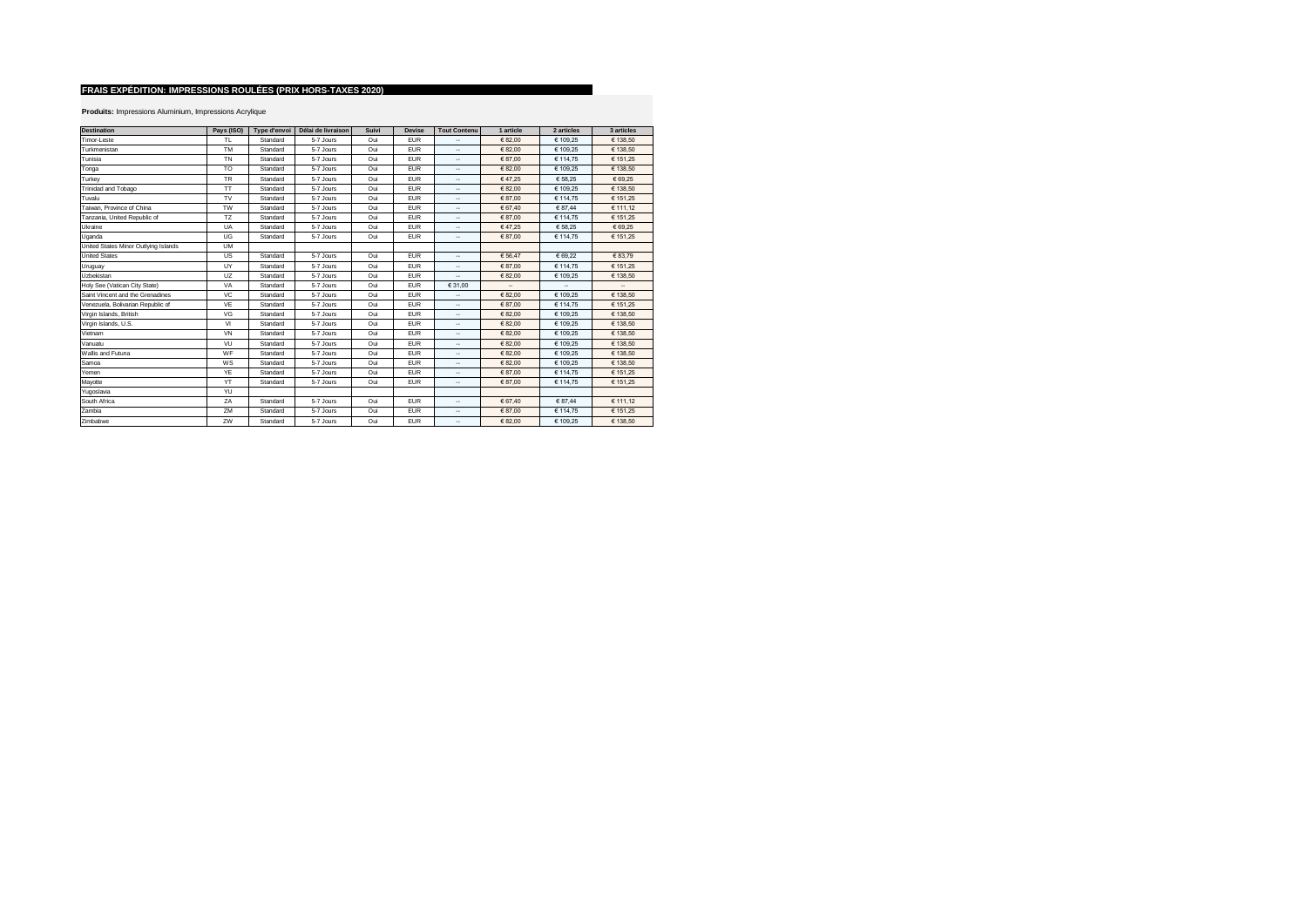| <b>Destination</b>                   | Pays (ISO) | Type d'envoi | Délai de livraison | Suivi | <b>Devise</b> | <b>Tout Contenu</b>      | 1 article | 2 articles | 3 articles               |
|--------------------------------------|------------|--------------|--------------------|-------|---------------|--------------------------|-----------|------------|--------------------------|
| Timor-Leste                          | <b>TL</b>  | Standard     | 5-7 Jours          | Oui   | <b>EUR</b>    |                          | € 82.00   | € 109.25   | € 138.50                 |
| Turkmenistan                         | <b>TM</b>  | Standard     | 5-7 Jours          | Oui   | <b>EUR</b>    | ۰.                       | € 82.00   | € 109.25   | € 138.50                 |
| Tunisia                              | <b>TN</b>  | Standard     | 5-7 Jours          | Oui   | <b>EUR</b>    | ۰.                       | € 87.00   | € 114.75   | € 151.25                 |
| Tonga                                | <b>TO</b>  | Standard     | 5-7 Jours          | Oui   | <b>EUR</b>    | ۰.                       | € 82.00   | € 109.25   | € 138.50                 |
| Turkey                               | <b>TR</b>  | Standard     | 5-7 Jours          | Oui   | <b>EUR</b>    |                          | €47.25    | € 58.25    | € 69.25                  |
| Trinidad and Tobago                  | TT         | Standard     | 5-7 Jours          | Oui   | <b>EUR</b>    | ۰.                       | € 82.00   | € 109,25   | € 138,50                 |
| Tuvalu                               | <b>TV</b>  | Standard     | 5-7 Jours          | Oui   | <b>EUR</b>    |                          | € 87.00   | € 114.75   | € 151.25                 |
| Taiwan, Province of China            | <b>TW</b>  | Standard     | 5-7 Jours          | Oui   | <b>EUR</b>    | ۰.                       | € 67.40   | € 87,44    | € 111.12                 |
| Tanzania, United Republic of         | TZ         | Standard     | 5-7 Jours          | Oui   | <b>EUR</b>    | ۰.                       | € 87.00   | € 114.75   | € 151.25                 |
| Ukraine                              | UA         | Standard     | 5-7 Jours          | Oui   | <b>EUR</b>    | ۰.                       | €47.25    | € 58.25    | € 69.25                  |
| Uganda                               | UG         | Standard     | 5-7 Jours          | Oui   | <b>EUR</b>    | ۰.                       | €87.00    | € 114.75   | € 151.25                 |
| United States Minor Outlying Islands | <b>UM</b>  |              |                    |       |               |                          |           |            |                          |
| <b>United States</b>                 | US.        | Standard     | 5-7 Jours          | Oui   | <b>EUR</b>    |                          | € 56.47   | € 69.22    | € 83.79                  |
| Uruguay                              | UY         | Standard     | 5-7 Jours          | Oui   | <b>EUR</b>    | ۰.                       | € 87.00   | € 114.75   | € 151,25                 |
| Uzbekistan                           | UZ         | Standard     | 5-7 Jours          | Oui   | <b>EUR</b>    |                          | € 82.00   | € 109.25   | € 138,50                 |
| Holy See (Vatican City State)        | VA         | Standard     | 5-7 Jours          | Oui   | <b>EUR</b>    | € 31.00                  | ۰.        | ۰.         | $\overline{\phantom{a}}$ |
| Saint Vincent and the Grenadines     | <b>VC</b>  | Standard     | 5-7 Jours          | Oui   | <b>EUR</b>    | ۰.                       | € 82.00   | € 109.25   | € 138.50                 |
| Venezuela, Bolivarian Republic of    | VE         | Standard     | 5-7 Jours          | Oui   | <b>EUR</b>    | ۰.                       | € 87.00   | € 114,75   | € 151.25                 |
| Virgin Islands, British              | VG         | Standard     | 5-7 Jours          | Oui   | <b>EUR</b>    | ۰.                       | € 82.00   | € 109.25   | € 138,50                 |
| Virgin Islands, U.S.                 | VI         | Standard     | 5-7 Jours          | Oui   | <b>EUR</b>    | ۰.                       | € 82.00   | € 109,25   | € 138,50                 |
| Vietnam                              | VN         | Standard     | 5-7 Jours          | Oui   | <b>EUR</b>    | ۰.                       | € 82.00   | € 109.25   | € 138.50                 |
| Vanuatu                              | VU         | Standard     | 5-7 Jours          | Oui   | <b>EUR</b>    | ۰.                       | € 82.00   | € 109.25   | € 138.50                 |
| Wallis and Futuna                    | WF         | Standard     | 5-7 Jours          | Oui   | <b>EUR</b>    | ۰.                       | € 82.00   | € 109.25   | € 138.50                 |
| Samoa                                | WS         | Standard     | 5-7 Jours          | Oui   | <b>EUR</b>    | ۰.                       | € 82.00   | € 109.25   | € 138.50                 |
| Yemen                                | YE         | Standard     | 5-7 Jours          | Oui   | <b>EUR</b>    | ۰.                       | € 87.00   | € 114.75   | € 151.25                 |
| Mayotte                              | YT         | Standard     | 5-7 Jours          | Oui   | <b>EUR</b>    | ۰.                       | €87.00    | € 114,75   | € 151,25                 |
| Yugoslavia                           | YU         |              |                    |       |               |                          |           |            |                          |
| South Africa                         | ZA         | Standard     | 5-7 Jours          | Oui   | <b>EUR</b>    | $\overline{\phantom{a}}$ | € 67.40   | € 87.44    | € 111.12                 |
| Zambia                               | ZM         | Standard     | 5-7 Jours          | Oui   | <b>EUR</b>    | ۰.                       | € 87.00   | € 114,75   | € 151.25                 |
| Zimbabwe                             | ZW         | Standard     | 5-7 Jours          | Oui   | <b>EUR</b>    | ۰.                       | € 82.00   | € 109.25   | € 138.50                 |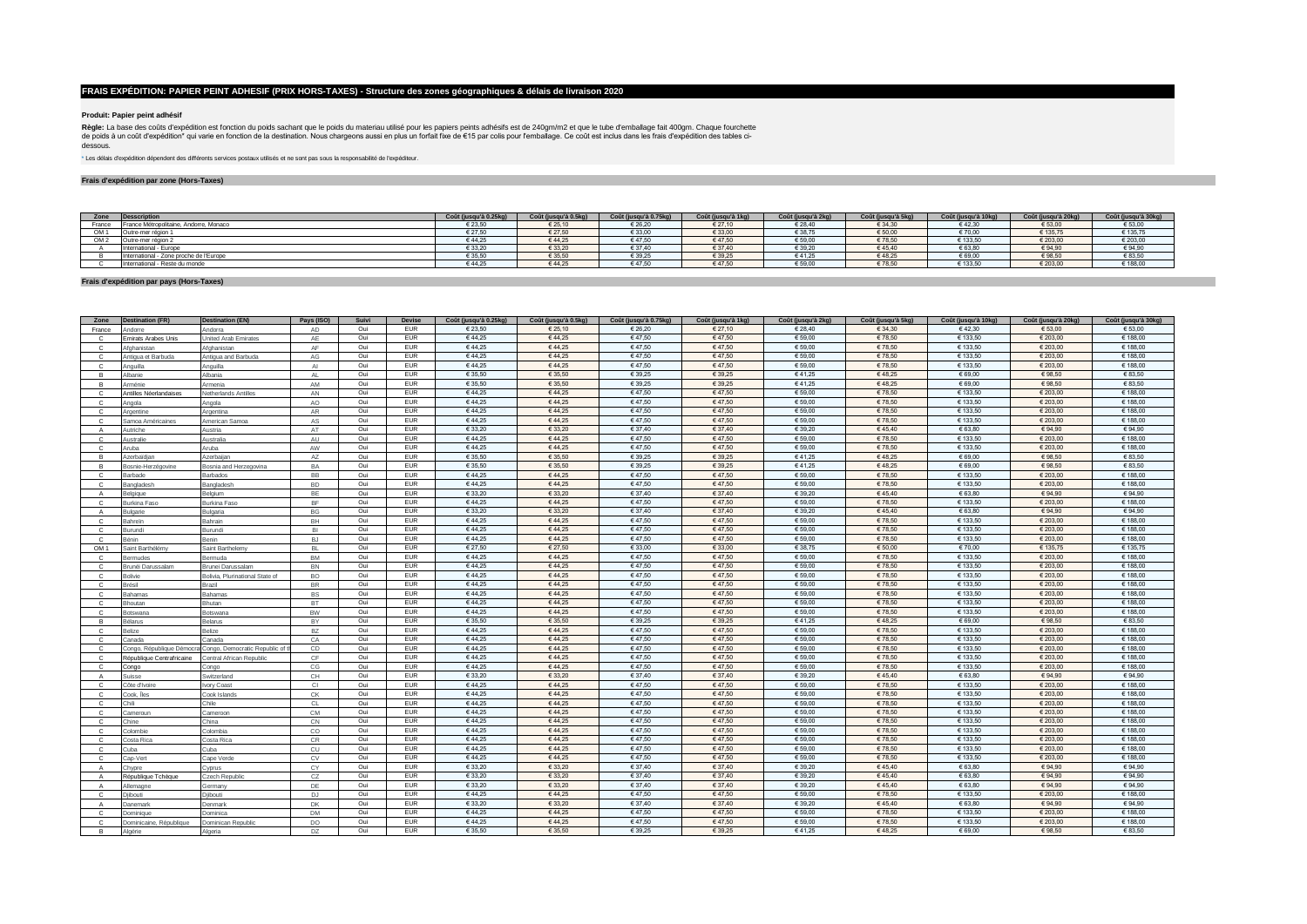### **Produit: Papier peint adhésif**

**Règle:** La base des coûts d'expédition est fonction du poids sachant que le poids du materiau utilisé pour les papiers peints adhésifs est de 240gm/m2 et que le tube d'emballage fait 400gm. Chaque fourchette<br>dessous.<br>des

\* Les délais d'expédition dépendent des différents services postaux utilisés et ne sont pas sous la responsabilité de l'expéditeur.

### **Frais d'expédition par zone (Hors-Taxes)**

| Zone            | <b>Desscription</b>                     | Coût (jusqu'à 0.25kg | Coût (jusqu'à 0.5kg) | Coût (jusqu'à 0.75kg) | Coût (jusqu'à 1kg) | Coût (jusqu'à 2kg) | Coût (jusqu'à 5kg)   | Coût (jusqu'à 10kg) | Coût (jusqu'à 20kg | Coût (jusqu'à 30kg) |
|-----------------|-----------------------------------------|----------------------|----------------------|-----------------------|--------------------|--------------------|----------------------|---------------------|--------------------|---------------------|
| France          | France Métropolitaine, Andorre, Monaco  | 0.00.00<br>: 23.50   | € 25,10              | €26,20                | € 27,10            | € 28,40            | € 34,30              | €42.3               | € 53,00            | € 53,00             |
| OM <sub>1</sub> | Outre-mer région                        | € 27.50              | € 27.50              | € 33.00               | € 33.00            | € 38.75            | €50.00               | € 70.00             | € 135.75           | € 135,75            |
| OM <sub>2</sub> | Outre-mer région                        | €44.25               | € 44.25              | 647,50                | €47,50             | € 59,00            | €78,50               | € 133,5             | € 203,0            | € 203,00            |
|                 | International - Europe                  | € 33.20              | € 33.20              | € 37.40               | € 37.40            | € 39.20            | €45.40               | € 63.8              | € 94.90            | € 94,90             |
|                 | International - Zone proche de l'Europe | £35,50               | € 35,50              | € 39,25               | € 39,25            | €41,25             | €48,25               | 669(                | € 98,50            | € 83,50             |
|                 | International - Reste du monde          | ن 2.44 :             | 644.2                | £47,50                | 647.50             | € 59,00            | <b>70 C</b><br>10,50 | € 133.              | € 203,0            | € 188,00            |

#### **Frais d'expédition par pays (Hors-Taxes)**

| Zone            | <b>Destination (FR)</b>   | <b>Destination (EN)</b>         | Pays (ISO)    | Suivi | Devise     | Coût (jusqu'à 0.25kg) | Coût (jusqu'à 0.5kg) | Coût (jusqu'à 0.75kg) | Coût (jusqu'à 1kg) | Coût (jusqu'à 2kg) | Coût (jusqu'à 5kg) | Coût (jusqu'à 10kg) | Coût (jusqu'à 20kg) | Coût (jusqu'à 30kg) |
|-----------------|---------------------------|---------------------------------|---------------|-------|------------|-----------------------|----------------------|-----------------------|--------------------|--------------------|--------------------|---------------------|---------------------|---------------------|
| France          | Andorre                   | Andorra                         | AD            | Oui   | <b>EUR</b> | € 23,50               | € 25,10              | € 26,20               | € 27,10            | € 28,40            | €34,30             | €42,30              | € 53,00             | € 53,00             |
| $\mathbf{C}$    | mirats Arabes Unis        | Inited Arab Emirates            | AF            | Oui   | EUR        | €44,25                | €44,25               | €47,50                | €47,50             | € 59,00            | €78,50             | € 133,50            | € 203,00            | € 188,00            |
| C               | Afghanistan               | Afghanistan                     | AF            | Oui   | <b>EUR</b> | €44.25                | €44,25               | €47,50                | €47,50             | € 59,00            | €78,50             | € 133.50            | € 203,00            | € 188,00            |
| $\mathbf{C}$    | Antigua et Barbuda        | Intigua and Barbuda             | $\mathsf{AG}$ | Oui   | EUR        | €44,25                | €44,25               | €47.50                | €47.50             | € 59,00            | €78.50             | € 133.50            | € 203.00            | € 188.00            |
| $\mathbf{C}$    | Anguilla                  | Anguilla                        | AI            | Oui   | EUR        | €44,25                | €44,25               | €47,50                | €47,50             | € 59,00            | €78,50             | € 133,50            | € 203,00            | € 188,00            |
| в               | Albanie                   | Albania                         | <b>AL</b>     | Oui   | EUR        | € 35,50               | € 35,50              | € 39,25               | € 39,25            | €41,25             | €48.25             | € 69,00             | €98,50              | € 83,50             |
| B.              | Arménie                   | menia                           | AM            | Oui   | <b>EUR</b> | € 35.50               | € 35.50              | € 39.25               | € 39,25            | €41,25             | €48.25             | € 69.00             | € 98.50             | € 83,50             |
| $\mathbf{C}$    | Antilles Néerlandaises    | <b>Vetherlands Antilles</b>     | AN            | Oui   | EUR        | €44,25                | €44,25               | €47,50                | €47,50             | € 59,00            | €78,50             | € 133,50            | € 203,00            | € 188,00            |
| C               | Angola                    | Angola                          | AO            | Oui   | EUR        | €44,25                | €44.25               | €47.50                | €47,50             | € 59,00            | €78,50             | € 133.50            | € 203.00            | € 188.00            |
| $\mathbf{C}$    | Argentine                 | Argentina                       | AR            | Oui   | <b>EUR</b> | €44,25                | €44,25               | €47,50                | €47,50             | € 59,00            | €78,50             | € 133,50            | € 203,00            | € 188,00            |
| $\mathbf{C}$    | Samoa Américaines         | American Samoa                  | AS            | Oui   | <b>EUR</b> | €44,25                | €44,25               | 647,50                | €47,50             | € 59,00            | €78,50             | € 133,50            | € 203,00            | € 188,00            |
| $\mathsf{A}$    | Autriche                  | Austria                         | AT            | Oui   | EUR        | € 33,20               | € 33,20              | € 37,40               | € 37,40            | € 39,20            | €45,40             | € 63.80             | € 94,90             | €94,90              |
| $\mathbf{C}$    | Australie                 | Australia                       | AU            | Oui   | <b>EUR</b> | €44.25                | €44.25               | €47.50                | €47.50             | € 59,00            | €78,50             | € 133.50            | € 203.00            | € 188,00            |
| $\mathbf{C}$    | Aruba                     | Aruba                           | AW            | Oui   | EUR        | €44,25                | €44,25               | 647,50                | €47,50             | € 59,00            | €78,50             | € 133.50            | € 203,00            | € 188,00            |
| <b>B</b>        | Azerbaïdian               | Azerbaijan                      | AZ            | Oui   | EUR        | € 35,50               | € 35,50              | € 39,25               | € 39,25            | €41,25             | €48.25             | € 69,00             | € 98,50             | € 83,50             |
| <b>B</b>        | Bosnie-Herzégovine        | Bosnia and Herzegovina          | BA            | Oui   | <b>EUR</b> | € 35.50               | € 35.50              | € 39,25               | € 39,25            | €41,25             | €48.25             | € 69.00             | € 98.50             | € 83,50             |
| $\mathbf{C}$    | Barbade                   | <b>Barbados</b>                 | <b>BB</b>     | Oui   | <b>EUR</b> | €44.25                | €44.25               | €47.50                | €47.50             | € 59,00            | €78.50             | € 133.50            | € 203.00            | € 188.00            |
| $\mathbf{C}$    | Bangladesh                | <b>Bangladesh</b>               | <b>BD</b>     | Oui   | <b>EUR</b> | €44,25                | €44,25               | €47,50                | €47,50             | € 59,00            | €78,50             | € 133.50            | € 203.00            | € 188,00            |
| $\overline{A}$  | Belgique                  | <b>Belgium</b>                  | <b>BE</b>     | Oui   | <b>EUR</b> | € 33,20               | € 33,20              | € 37,40               | € 37,40            | € 39,20            | €45,40             | € 63,80             | € 94,90             | € 94,90             |
| $\mathbf{C}$    | Burkina Faso              | <b>Burkina Faso</b>             | <b>BF</b>     | Oui   | EUR        | €44.25                | €44.25               | €47.50                | €47.50             | € 59,00            | €78.50             | € 133.50            | € 203.00            | € 188.00            |
| $\mathsf{A}$    | Bulgarie                  | Bulgaria                        | BG            | Oui   | EUR        | € 33.20               | € 33.20              | € 37,40               | € 37,40            | € 39,20            | €45,40             | € 63.80             | € 94,90             | € 94,90             |
| C               | Bahreïn                   | Bahrain                         | BH            | Oui   | EUR        | €44,25                | €44,25               | €47.50                | €47.50             | € 59,00            | €78,50             | € 133.50            | € 203.00            | € 188.00            |
| $\mathbf{C}$    | Burundi                   | <b>Burundi</b>                  | BI            | Oui   | EUR        | €44,25                | €44,25               | €47,50                | €47,50             | € 59,00            | €78,50             | € 133,50            | € 203,00            | € 188,00            |
| $\mathbf{C}$    | Bénin                     | Benin                           | <b>BJ</b>     | Oui   | EUR        | €44,25                | €44,25               | 647,50                | €47,50             | € 59,00            | €78,50             | € 133,50            | € 203,00            | € 188,00            |
| OM <sub>1</sub> | Saint Barthélémy          | Saint Barthelem                 | <b>BL</b>     | Oui   | EUR        | € 27,50               | € 27,50              | € 33,00               | € 33,00            | € 38,75            | € 50,00            | €70.00              | € 135,75            | € 135,75            |
| $\mathbf{C}$    | Bermudes                  | Bermuda                         | <b>BM</b>     | Oui   | <b>EUR</b> | €44.25                | €44.25               | €47.50                | €47,50             | € 59,00            | €78,50             | € 133.50            | € 203.00            | € 188,00            |
| $\mathbf{C}$    | Brunéi Darussalam         | Brunei Darussalam               | <b>BN</b>     | Oui   | EUR        | €44,25                | €44,25               | €47,50                | €47,50             | € 59,00            | €78,50             | € 133,50            | € 203,00            | € 188,00            |
| $\mathbf{C}$    | Bolivie                   | Bolivia, Plurinational State of | <b>BO</b>     | Oui   | EUR        | €44,25                | €44,25               | €47,50                | €47,50             | € 59,00            | €78,50             | € 133,50            | € 203,00            | € 188,00            |
| $\mathbf{C}$    | Brésil                    | <b>Brazil</b>                   | <b>BR</b>     | Oui   | <b>EUR</b> | €44.25                | €44,25               | €47.50                | €47.50             | € 59,00            | €78,50             | € 133.50            | € 203,00            | € 188,00            |
| $\mathbf{C}$    | Bahamas                   | <b>Bahamas</b>                  | <b>BS</b>     | Oui   | EUR        | €44,25                | €44,25               | €47,50                | €47,50             | € 59,00            | €78,50             | € 133,50            | € 203,00            | € 188,00            |
| C               | Bhoutan                   | Bhutan                          | BT            | Oui   | EUR        | €44,25                | €44,25               | €47,50                | €47,50             | € 59,00            | €78,50             | € 133,50            | € 203,00            | € 188,00            |
| $\mathbf{C}$    | Botswana                  | <b>Botswana</b>                 | <b>BW</b>     | Oui   | <b>EUR</b> | €44,25                | €44,25               | 647,50                | €47,50             | € 59,00            | €78,50             | € 133,50            | € 203,00            | € 188,00            |
| B               | <b>Bélarus</b>            | lelarus                         | BY            | Oui   | EUR        | € 35.50               | € 35.50              | € 39.25               | € 39,25            | €41,25             | €48.25             | € 69.00             | € 98.50             | € 83,50             |
| $\mathbf{C}$    | Belize                    | <b>Belize</b>                   | BZ            | Oui   | <b>EUR</b> | €44.25                | €44,25               | €47,50                | €47,50             | € 59,00            | €78,50             | € 133,50            | € 203,00            | € 188,00            |
| $\mathbf{C}$    | Canada                    | Canada                          | CA            | Oui   | <b>EUR</b> | €44,25                | €44.25               | €47.50                | €47.50             | € 59,00            | €78.50             | € 133.50            | € 203.00            | € 188,00            |
| $\mathbf{C}$    | Congo, République Démocra | Congo, Democratic Republic of t | CD            | Oui   | <b>EUR</b> | €44,25                | €44,25               | €47,50                | €47,50             | € 59,00            | €78,50             | € 133,50            | € 203,00            | € 188,00            |
| $\mathbf{C}$    | République Centrafricaine | entral African Republic         | CF            | Oui   | <b>EUR</b> | €44,25                | €44,25               | 647,50                | €47,50             | € 59,00            | €78,50             | € 133,50            | € 203,00            | € 188,00            |
| $\mathbf{C}$    | Congo                     | Congo                           | CG            | Oui   | EUR        | €44,25                | €44,25               | €47,50                | €47,50             | € 59,00            | €78,50             | € 133,50            | € 203,00            | € 188,00            |
| $\mathsf{A}$    | Suisse                    | Switzerland                     | $\mathbb{CH}$ | Oui   | <b>EUR</b> | € 33,20               | € 33.20              | € 37.40               | € 37,40            | € 39,20            | €45,40             | € 63.80             | € 94.90             | € 94,90             |
| $\mathbf{C}$    | Côte d'Ivoire             | Ivory Coast                     | CI            | Oui   | EUR        | €44,25                | €44.25               | €47.50                | €47,50             | € 59,00            | €78,50             | € 133.50            | € 203.00            | € 188.00            |
| $\mathbf{C}$    | Cook, Îles                | Cook Islands                    | CK            | Oui   | EUR        | €44,25                | €44,25               | €47,50                | €47,50             | € 59,00            | €78,50             | € 133,50            | € 203,00            | € 188,00            |
| $\mathbf{C}$    | Chili                     | Chile                           | CL            | Oui   | <b>EUR</b> | €44.25                | €44.25               | €47,50                | €47.50             | € 59,00            | €78,50             | € 133.50            | € 203,00            | € 188,00            |
| $\mathbf{C}$    | Cameroun                  | Cameroon                        | <b>CM</b>     | Oui   | EUR        | €44,25                | €44.25               | €47,50                | €47.50             | € 59,00            | €78,50             | € 133.50            | € 203.00            | € 188,00            |
| C               | Chine                     | China                           | $\mathsf{CN}$ | Oui   | EUR        | €44,25                | €44,25               | €47,50                | €47,50             | € 59,00            | €78,50             | € 133.50            | € 203.00            | € 188,00            |
| $\mathbf{C}$    | Colombie                  | Colombia                        | $_{\rm CO}$   | Oui   | <b>EUR</b> | €44,25                | €44,25               | 647,50                | €47,50             | € 59,00            | €78,50             | € 133,50            | € 203,00            | € 188,00            |
| $\mathbf{C}$    | Costa Rica                | costa Rica                      | <b>CR</b>     | Oui   | EUR        | €44.25                | €44.25               | €47.50                | €47.50             | € 59,00            | €78.50             | € 133.50            | € 203.00            | € 188,00            |
| $\mathbf{C}$    | Cuba                      | Cuba                            | CU            | Oui   | EUR        | €44,25                | €44,25               | €47,50                | €47,50             | € 59,00            | €78,50             | € 133.50            | € 203,00            | € 188,00            |
| $\mathbf{C}$    | Cap-Vert                  | Cape Verde                      | CV            | Oui   | <b>EUR</b> | €44,25                | €44.25               | €47.50                | €47.50             | € 59,00            | €78.50             | € 133.50            | € 203.00            | € 188.00            |
| $\mathbf{A}$    | Chypre                    | Cyprus                          | CY            | Oui   | EUR        | € 33,20               | € 33,20              | € 37,40               | € 37,40            | € 39,20            | €45,40             | € 63,80             | € 94,90             | € 94,90             |
| $\mathsf{A}$    | République Tchèque        | Czech Republic                  | CZ            | Oui   | <b>EUR</b> | € 33,20               | € 33,20              | € 37,40               | € 37,40            | € 39,20            | €45,40             | € 63,80             | € 94,90             | €94,90              |
| $\mathbf{A}$    | Allemagne                 | <b>Germany</b>                  | DE            | Oui   | <b>EUR</b> | € 33.20               | € 33.20              | € 37,40               | € 37,40            | € 39,20            | €45,40             | € 63.80             | € 94.90             | €94,90              |
| $\mathbf{C}$    | Djibouti                  | Djibouti                        | <b>DJ</b>     | Oui   | <b>EUR</b> | €44.25                | €44.25               | €47.50                | €47.50             | € 59,00            | €78,50             | € 133.50            | € 203.00            | € 188,00            |
| A               | Danemark                  | <b>Denmark</b>                  | <b>DK</b>     | Oui   | EUR        | € 33,20               | € 33,20              | € 37,40               | € 37,40            | € 39,20            | €45,40             | € 63.80             | € 94,90             | € 94,90             |
| C               | Dominique                 | Dominica                        | <b>DM</b>     | Oui   | EUR        | €44,25                | €44,25               | €47,50                | €47,50             | € 59,00            | €78,50             | € 133,50            | € 203,00            | € 188,00            |
| C.              | Dominicaine, République   | Jominican Republic              | DO            | Oui   | <b>EUR</b> | €44,25                | €44.25               | €47.50                | €47.50             | € 59,00            | €78,50             | € 133.50            | € 203,00            | € 188.00            |
| B.              | Algérie                   | Algeria                         | DZ            | Oui   | <b>EUR</b> | € 35,50               | € 35,50              | € 39,25               | € 39,25            | €41,25             | €48.25             | € 69.00             | € 98,50             | € 83,50             |
|                 |                           |                                 |               |       |            |                       |                      |                       |                    |                    |                    |                     |                     |                     |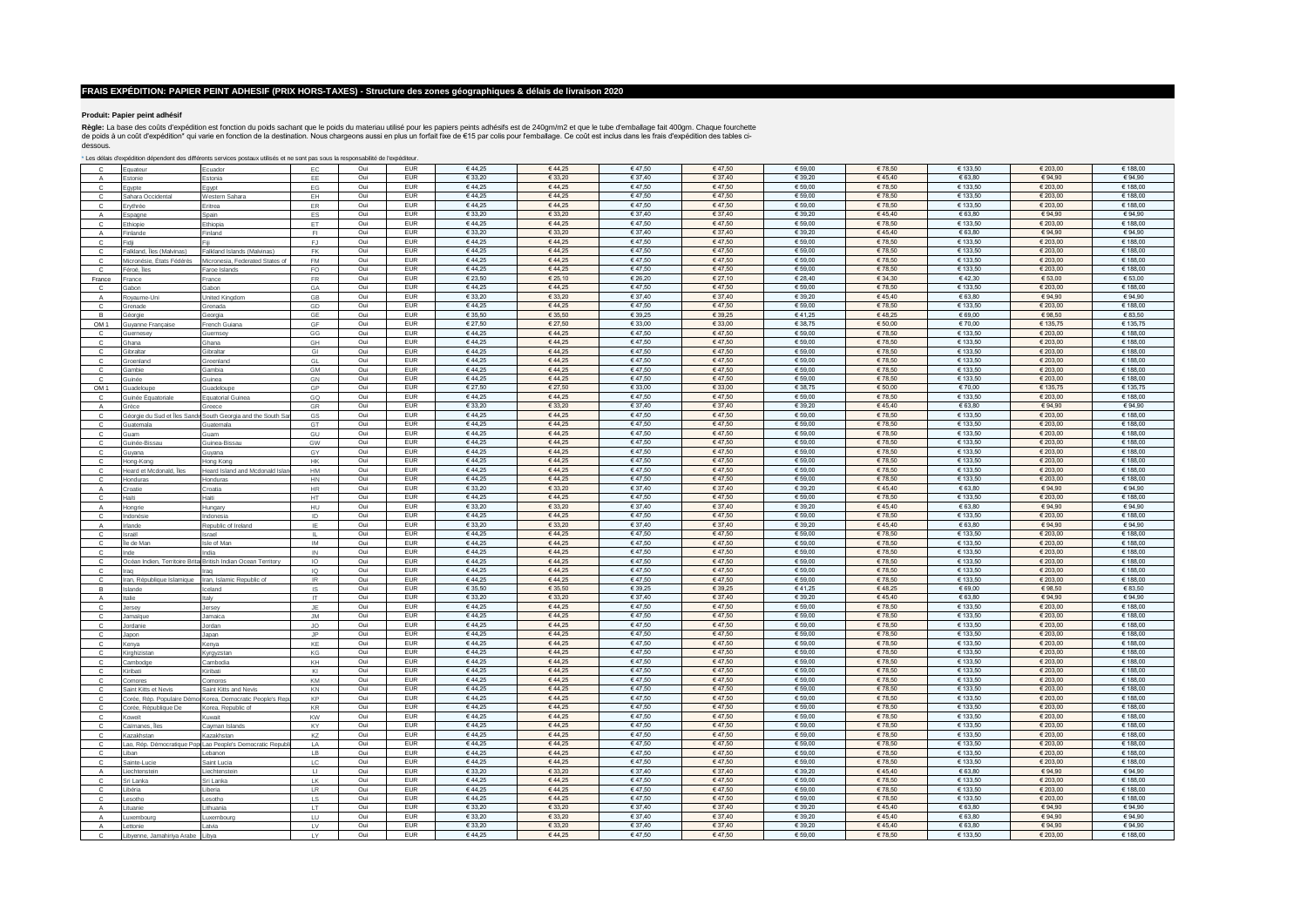### **Produit: Papier peint adhésif**

**Règle:** La base des coûts d'expédition est fonction du poids sachant que le poids du materiau utilisé pour les papiers peints adhésifs est de 240gm/m2 et que le tube d'emballage fait 400gm. Chaque fourchette<br>dessous.<br>des

\* Les délais d'expédition dépendent des différents services postaux utilisés et ne sont pas sous la responsabilité de l'expéditeur.

| Ċ               | Equateur                                                                                                                                                                                                                       | Ecuador                                                    | EC                   | Oui        | <b>EUR</b>               | €44,25            | €44,25            | €47,50            | €47,50            | € 59,00            | €78,50           | € 133,50            | € 203,00            | € 188,00            |
|-----------------|--------------------------------------------------------------------------------------------------------------------------------------------------------------------------------------------------------------------------------|------------------------------------------------------------|----------------------|------------|--------------------------|-------------------|-------------------|-------------------|-------------------|--------------------|------------------|---------------------|---------------------|---------------------|
| $\mathsf{A}$    | stonie                                                                                                                                                                                                                         | Estonia                                                    | EE                   | Oui        | <b>EUR</b>               | € 33,20           | € 33,20           | € 37,40           | € 37,40           | € 39,20            | 645,40           | € 63,80             | € 94,90             | €94,90              |
| c               | gypte                                                                                                                                                                                                                          | gypt                                                       | EG                   | Oui        | <b>FUR</b>               | €44.25            | €44.25            | €47.50            | €47.50            | € 59.00            | €78.50           | € 133.50            | € 203.00            | € 188.00            |
| c               | Sahara Occidental                                                                                                                                                                                                              | Western Sahara                                             | EH                   | Oui        | <b>EUR</b>               | €44.25            | €44.25            | €47.50            | €47.50            | € 59.00            | €78.50           | € 133.50            | € 203.00            | € 188.00            |
| c               | Erythrée                                                                                                                                                                                                                       | Eritrea                                                    | ER                   | Oui        | <b>EUR</b>               | €44,25            | €44,25            | €47.50            | €47.50            | € 59.00            | €78.50           | € 133.50            | € 203,00            | € 188.00            |
| $\overline{A}$  |                                                                                                                                                                                                                                | Spain                                                      | ES                   | Oui        | <b>EUR</b>               | € 33,20           | € 33,20           | € 37.40           | € 37.40           | € 39,20            | 645,40           | € 63,80             | € 94,90             | €94.90              |
|                 | spagne                                                                                                                                                                                                                         |                                                            |                      | Oui        | <b>FUR</b>               | €44,25            | €44,25            | €47.50            | €47.50            | € 59,00            | €78,50           | € 133.50            | € 203.00            | € 188.00            |
| c               | Ethiopie                                                                                                                                                                                                                       | Ethiopia                                                   | ET                   |            | <b>EUR</b>               | € 33.20           | € 33.20           | € 37.40           | € 37.40           | € 39.20            | €45.40           | € 63.80             | € 94.90             | €94.90              |
| $\overline{A}$  | Finlande                                                                                                                                                                                                                       | Finland                                                    | FI.                  | Oui        |                          |                   |                   |                   |                   |                    |                  |                     |                     |                     |
| C               | Fidii                                                                                                                                                                                                                          |                                                            | FJ                   | Oui        | <b>EUR</b>               | €44,25            | €44,25            | €47,50            | €47,50            | € 59,00            | €78,50           | € 133,50            | € 203,00            | € 188,00            |
| $\mathbf{C}$    | Falkland, Îles (Malvinas).                                                                                                                                                                                                     | Falkland Islands (Malvinas)                                | FK                   | Oui        | <b>EUR</b>               | €44,25            | €44,25            | €47.50            | 64750             | € 59.00            | €78.50           | € 133.50            | 620300              | € 188.00            |
| c               | Micronésie. États Fédérés                                                                                                                                                                                                      | Micronesia, Federated States of                            | FM                   | Oui        | <b>EUR</b>               | €44,25            | €44,25            | €47,50            | €47,50            | € 59,00            | €78,50           | € 133,50            | € 203,00            | € 188,00            |
| $\mathbf{C}$    | Féroé, Îles                                                                                                                                                                                                                    | aroe Islands                                               | FO                   | Oui        | <b>EUR</b>               | €44,25            | 644,25            | 64750             | €47,50            | € 59,00            | €78,50           | 613350              | € 203,00            | € 188,00            |
| France          | rance                                                                                                                                                                                                                          | France                                                     | FR                   | Oui        | EUR                      | € 23,50           | € 25,10           | € 26,20           | € 27,10           | € 28,40            | €34,30           | €42,30              | € 53,00             | € 53,00             |
| $\mathbf{C}$    | Gabon                                                                                                                                                                                                                          | Gabon                                                      | GA                   | Oui        | <b>EUR</b>               | €44.25            | €44,25            | €47,50            | €47,50            | € 59,00            | €78,50           | € 133,50            | € 203,00            | € 188,00            |
| $\mathsf{A}$    | Rovaume-Uni                                                                                                                                                                                                                    | <b>Jnited Kingdom</b>                                      | GB                   | Oui        | <b>EUR</b>               | € 33,20           | €33,20            | € 37,40           | € 37,40           | € 39,20            | €45,40           | € 63,80             | € 94,90             | €94,90              |
| $\sim$          | <b>Grenade</b>                                                                                                                                                                                                                 | <b>Grenada</b>                                             | GD                   | Oui        | <b>EUR</b>               | €44,25            | €44,25            | €47,50            | €47,50            | € 59,00            | €78,50           | € 133,50            | € 203,00            | € 188,00            |
| B               | <b>Géorgie</b>                                                                                                                                                                                                                 | Georgia                                                    | GE                   | Oui        | <b>EUR</b>               | € 35,50           | € 35,50           | € 39,25           | € 39,25           | €41,25             | €48,25           | € 69,00             | € 98,50             | € 83,50             |
| OM <sub>1</sub> | <b>Guvanne Francaise</b>                                                                                                                                                                                                       | French Guiana                                              | GF                   | Oui        | <b>EUR</b>               | € 27,50           | € 27,50           | € 33,00           | € 33,00           | € 38,75            | € 50,00          | € 70,00             | € 135,75            | € 135,75            |
| $\Omega$        |                                                                                                                                                                                                                                |                                                            |                      |            |                          |                   |                   |                   |                   |                    |                  |                     |                     |                     |
|                 | <b>Uernesey</b>                                                                                                                                                                                                                | <b>Guernsey</b>                                            | GG                   | Oui        | <b>EUR</b>               | €44,25            | €44,25            | €47,50            | €47,50            | € 59,00            | €78,50           | € 133,50            | € 203,00            | € 188,00            |
| $\Omega$        | Ghana                                                                                                                                                                                                                          | Ghana                                                      | GH                   | Oui        | <b>EUR</b>               | €44,25            | €44,25            | €47,50            | €47,50            | € 59,00            | €78,50           | € 133,50            | € 203,00            | € 188,00            |
| $\Omega$        | <b>Gibraltar</b>                                                                                                                                                                                                               | Gibraltar                                                  | GI                   | Oui        | <b>EUR</b>               | €44,25            | €44,25            | €47,50            | €47,50            | € 59,00            | €78,50           | € 133,50            | € 203,00            | € 188,00            |
| $\Omega$        | roenland                                                                                                                                                                                                                       | <b>Sreenland</b>                                           | GL                   | Oui        | <b>EUR</b>               | €44.25            | €44.25            | €47.50            | €47.50            | € 59.00            | €78.50           | € 133.50            | € 203.00            | € 188.00            |
| $\Omega$        | ambie                                                                                                                                                                                                                          | <b>Gambia</b>                                              | <b>GM</b>            | Oui        | <b>EUR</b>               | €44.25            | €44.25            | €47.50            | €47.50            | € 59.00            | €78.50           | € 133.50            | € 203.00            | € 188.00            |
| $\mathbf{C}$    | Guinée                                                                                                                                                                                                                         | Guinea                                                     | GN                   | Oui        | <b>EUR</b>               | €44,25            | €44.25            | €47.50            | €47.50            | € 59,00            | €78.50           | € 133.50            | € 203,00            | € 188,00            |
| OM <sub>1</sub> | uadeloupe                                                                                                                                                                                                                      | <b>Guadeloupe</b>                                          | GP                   | Oui        | <b>EUR</b>               | € 27.50           | € 27.50           | € 33.00           | € 33.00           | € 38.75            | €50.00           | €70.00              | € 135.75            | € 135,75            |
| $\Omega$        | iuinée Équatoriale                                                                                                                                                                                                             | <b>Equatorial Guinea</b>                                   | GQ                   | Oui        | <b>EUR</b>               | €44,25            | €44,25            | 64750             | 64750             | € 59,00            | €78,50           | 643350              | € 203.00            | € 188,00            |
| $\mathsf{A}$    | Grèce                                                                                                                                                                                                                          | Greece                                                     | GR                   | Oui        | <b>EUR</b>               | € 33.20           | € 33,20           | € 37,40           | € 37,40           | € 39,20            | €45.40           | 66380               | € 94,90             | €94.90              |
| $\mathbf{C}$    | Géorgie du Sud et Îles Sand                                                                                                                                                                                                    | South Georgia and the South Sa                             | GS                   | Oui        | <b>EUR</b>               | €44,25            | €44,25            | €47,50            | €47,50            | € 59,00            | €78,50           | € 133,50            | € 203,00            | € 188.00            |
|                 | <b>juatemala</b>                                                                                                                                                                                                               | suatemala                                                  | GT                   | Oui        | <b>EUR</b>               | €44.25            | €44,25            | 64750             | 64750             | € 59,00            | €78.50           | 613350              | 620300              | € 188,00            |
| C               | iuam                                                                                                                                                                                                                           | Guam                                                       | GU                   | Oui        | <b>EUR</b>               | €44,25            | €44,25            | €47,50            | €47.50            | €59,00             | €78,50           | € 133.50            | € 203,00            | € 188,00            |
|                 |                                                                                                                                                                                                                                |                                                            |                      |            |                          |                   |                   |                   |                   |                    |                  |                     |                     |                     |
| Ċ               | uinée-Bissau                                                                                                                                                                                                                   | Guinea-Bissau                                              | GW                   | Oui        | <b>EUR</b>               | €44.25            | €44,25            | €47,50            | €47,50            | € 59,00            | €78,50           | € 133,50            | € 203,00            | € 188,00            |
| Ċ               | uvana                                                                                                                                                                                                                          | <b>Guvana</b>                                              | GY                   | Oui        | <b>EUR</b>               | €44,25            | €44,25            | €47,50            | €47,50            | € 59,00            | €78,50           | € 133,50            | € 203.00            | € 188,00            |
| Ċ               | long-Kong                                                                                                                                                                                                                      | Hong Kong                                                  | HK                   | Oui        | <b>EUR</b>               | €44.25            | €44,25            | €47,50            | €47,50            | € 59,00            | €78,50           | € 133,50            | € 203,00            | € 188,00            |
| C               | eard et Mcdonald, Îles                                                                                                                                                                                                         | Heard Island and Mcdonald Isla                             | HM                   | Oui        | <b>EUR</b>               | €44,25            | €44,25            | €47,50            | €47,50            | € 59,00            | €78,50           | € 133,50            | € 203.00            | € 188,00            |
| $\mathbf{C}$    | londuras                                                                                                                                                                                                                       | Honduras                                                   | <b>HN</b>            | Oui        | <b>EUR</b>               | €44,25            | €44,25            | 64750             | € 47.50           | € 59.00            | €78,50           | 643350              | € 203,00            | 648800              |
| A               | roatie                                                                                                                                                                                                                         | Croatia                                                    | <b>HR</b>            | Oui        | <b>EUR</b>               | € 33.20           | € 33.20           | € 37,40           | € 37,40           | € 39,20            | 645,40           | € 63,80             | € 94.90             | €94,90              |
| C               | Haïti                                                                                                                                                                                                                          | Haiti                                                      | HT.                  | Oui        | <b>EUR</b>               | €44,25            | €44,25            | €47,50            | € 47.50           | € 59,00            | €78,50           | € 133,50            | € 203,00            | € 188,00            |
|                 |                                                                                                                                                                                                                                |                                                            |                      |            |                          |                   |                   |                   |                   |                    |                  |                     |                     |                     |
| A               |                                                                                                                                                                                                                                |                                                            | HU                   | Oui        | EUR                      | € 33,20           | € 33,20           | € 37,40           | € 37,40           | € 39,20            | 645,40           | € 63,80             | € 94,90             | €94,90              |
|                 | Hongrie                                                                                                                                                                                                                        | Hungary                                                    |                      | Oui        | <b>EUR</b>               | €44,25            | €44,25            | €47,50            | €47,50            | € 59,00            | €78,50           | € 133,50            | € 203,00            | € 188,00            |
| c               | ndonésie                                                                                                                                                                                                                       | Indonesia                                                  | ID                   |            |                          |                   |                   |                   |                   |                    |                  |                     |                     |                     |
| $\overline{A}$  | rlande                                                                                                                                                                                                                         | Republic of Ireland                                        | IE                   | Oui        | EUR                      | € 33,20           | € 33,20           | € 37,40           | € 37,40           | € 39,20            | 645,40           | € 63,80             | € 94,90             | €94,90              |
| c               | Israël                                                                                                                                                                                                                         | Israel                                                     | $\mathsf{L}$         | Oui        | <b>EUR</b>               | €44.25            | €44.25            | €47.50            | €47.50            | € 59.00            | €78.50           | € 133.50            | € 203.00            | € 188.00            |
| <b>C</b>        | le de Man                                                                                                                                                                                                                      | Isle of Man                                                | <b>IM</b>            | Oui        | <b>EUR</b>               | €44.25            | €44.25            | €47.50            | €47.50            | € 59.00            | €78.50           | € 133.50            | € 203.00            | € 188.00            |
| C               | Inde                                                                                                                                                                                                                           | India                                                      | IN                   | Oui        | <b>EUR</b>               | €44.25            | €44.25            | €47.50            | €47.50            | € 59.00            | €78.50           | € 133.50            | € 203.00            | € 188.00            |
| c               | Océan Indien, Territoire Brita                                                                                                                                                                                                 | <b>British Indian Ocean Territory</b>                      | IO                   | Oui        | <b>EUR</b>               | €44,25            | €44,25            | €47.50            | €47.50            | € 59,00            | €78.50           | € 133.50            | € 203,00            | € 188.00            |
| $\mathbf{C}$    | Irao                                                                                                                                                                                                                           | Iraq                                                       | IQ                   | Oui        | EUR                      | €44,25            | €44,25            | €47.50            | €47.50            | € 59,00            | €78.50           | 643350              | 620300              | 648800              |
| c               | Iran, République Islamique                                                                                                                                                                                                     | Iran, Islamic Republic of                                  | IR                   | Oui        | <b>EUR</b>               | €44.25            | €44.25            | €47.50            | 64750             | € 59.00            | €78.50           | € 133.50            | €203.00             | € 188.00            |
| B               | slande                                                                                                                                                                                                                         | celand                                                     | IS                   | Oui        | EUR                      | € 35,50           | € 35,50           | € 39,25           | € 39,25           | €41,25             | €48,25           | € 69,00             | € 98,50             | € 83,50             |
| A               | Italie                                                                                                                                                                                                                         | Italy                                                      | <b>IT</b>            | Oui        | <b>EUR</b>               | € 33,20           | € 33,20           | € 37,40           | € 37,40           | € 39,20            | €45,40           | € 63,80             | € 94,90             | €94,90              |
| $\mathbf{C}$    | Jersey                                                                                                                                                                                                                         | Jersey                                                     | JE                   | Oui        | EUR                      | €44,25            | €44,25            | €47,50            | €47.50            | € 59,00            | €78,50           | € 133.50            | € 203,00            | € 188,00            |
| $\mathbf{C}$    | Jamaïque                                                                                                                                                                                                                       | lamaica                                                    | $\mathsf{JM}$        | Oui        | <b>EUR</b>               | €44,25            | €44,25            | €47,50            | €47,50            | € 59,00            | €78,50           | € 133,50            | € 203,00            | € 188,00            |
| $\mathbf{C}$    | lordanie                                                                                                                                                                                                                       | lordan                                                     | <b>JO</b>            | Oui        | <b>EUR</b>               | €44,25            | €44,25            | €47,50            | €47,50            | € 59,00            | €78,50           | € 133,50            | € 203,00            | € 188,00            |
| $\Omega$        |                                                                                                                                                                                                                                |                                                            | <b>JP</b>            | Oui        | <b>EUR</b>               | €44.25            | €44,25            | €47,50            | €47,50            | € 59,00            | €78,50           | € 133,50            | € 203,00            | € 188,00            |
| $\mathbf{C}$    | apon<br>Kenva                                                                                                                                                                                                                  | lapan<br>Kenva                                             | KE                   | Oui        | <b>EUR</b>               | €44,25            | €44,25            | €47,50            | €47,50            | $\epsilon$ 59,00   | €78,50           | € 133,50            | € 203,00            | € 188,00            |
| $\mathfrak{c}$  |                                                                                                                                                                                                                                |                                                            | KG                   | Oui        | <b>EUR</b>               | €44,25            | €44,25            | €47,50            | €47.50            | € 59,00            | €78,50           | € 133,50            | € 203,00            | € 188,00            |
| $\Omega$        | <b>Kirghizistan</b>                                                                                                                                                                                                            | Kyrgyzstan                                                 | KH                   | Oui        | <b>EUR</b>               | €44,25            | €44,25            | €47.50            | €47,50            |                    | €78,50           | € 133,50            |                     | € 188,00            |
|                 | ambodge                                                                                                                                                                                                                        | Cambodia                                                   |                      |            |                          |                   |                   |                   |                   | $\epsilon$ 59,00   |                  |                     | € 203,00            |                     |
| $\mathbf{C}$    | Kiribati                                                                                                                                                                                                                       | Kirihati                                                   | K1                   | Oui        | <b>EUR</b>               | €44,25            | €44,25            | €47,50            | €47,50            | € 59,00            | €78,50           | € 133,50            | € 203,00            | € 188,00            |
| $\mathbf{C}$    | omores                                                                                                                                                                                                                         | Comoros                                                    | KM                   | Oui        | <b>EUR</b>               | €44,25            | €44,25            | €47,50            | €47,50            | € 59,00            | €78,50           | € 133,50            | € 203,00            | € 188,00            |
| $\Omega$        | Saint Kitts et Nevis                                                                                                                                                                                                           | Saint Kitts and Nevis                                      | KN                   | Oui        | <b>EUR</b>               | €44,25            | €44,25            | €47,50            | €47,50            | € 59,00            | €78,50           | € 133,50            | € 203,00            | € 188,00            |
| $\mathbf{C}$    |                                                                                                                                                                                                                                | Corée, Rép. Populaire Démoi Korea, Democratic People's Rep | KP                   | Oui        | <b>EUR</b>               | €44.25            | €44.25            | €47.50            | €47.50            | € 59.00            | €78.50           | € 133.50            | € 203.00            | € 188.00            |
| $\Omega$        | orée, République De                                                                                                                                                                                                            | Korea, Republic of                                         | $\mathsf{KR}\xspace$ | Oui        | <b>EUR</b>               | €44,25            | €44.25            | €47.50            | €47.50            | € 59,00            | €78.50           | € 133.50            | € 203.00            | € 188,00            |
| $\mathbf{C}$    | <oweït< td=""><td>Kuwait</td><td>KW</td><td>Oui</td><td><b>EUR</b></td><td>€44,25</td><td>€44,25</td><td>€47.50</td><td>€47.50</td><td>€ 59,00</td><td>€78.50</td><td>€ 133.50</td><td>€ 203,00</td><td>€ 188,00</td></oweït<> | Kuwait                                                     | KW                   | Oui        | <b>EUR</b>               | €44,25            | €44,25            | €47.50            | €47.50            | € 59,00            | €78.50           | € 133.50            | € 203,00            | € 188,00            |
| C               | Caïmanes, Îles                                                                                                                                                                                                                 | Cayman Islands                                             | KY                   | Oui        | <b>EUR</b>               | €44,25            | €44,25            | €47,50            | €47,50            | € 59,00            | €78,50           | 613350              | € 203,00            | € 188,00            |
| $\Omega$        | <b>Kazakhstan</b>                                                                                                                                                                                                              | Kazakhstan                                                 | KZ                   | Oui        | <b>EUR</b>               | €44,25            | €44.25            | €47.50            | €47.50            | € 59,00            | €78,50           | € 133.50            | € 203,00            | € 188,00            |
| $\Omega$        | ao, Rép. Démocratique Pop                                                                                                                                                                                                      | Lao People's Democratic Republ                             | LA                   | Oui        | <b>EUR</b>               | €44,25            | €44,25            | €47,50            | €47,50            | € 59,00            | €78.50           | € 133,50            | € 203,00            | € 188,00            |
| $\Omega$        | liban                                                                                                                                                                                                                          | ebanon                                                     | LB                   | Oui        | <b>EUR</b>               | €44,25            | €44,25            | €47,50            | €47.50            | € 59,00            | €78,50           | 613350              | € 203,00            | € 188,00            |
| c               | Sainte-Lucie                                                                                                                                                                                                                   | Saint Lucia                                                | LC                   | Oui        | <b>EUR</b>               | €44,25            | €44,25            | €47,50            | €47,50            | € 59,00            | €78,50           | € 133,50            | € 203,00            | € 188,00            |
|                 | iechtenstein                                                                                                                                                                                                                   | <i>iechtensteir</i>                                        | $\sqcup$             | Oui        | <b>EUR</b>               | € 33,20           | € 33,20           | € 37,40           | € 37,40           | € 39,20            | 645,40           | € 63,80             | € 94,90             | €94,90              |
| Ċ               | Sri Lanka                                                                                                                                                                                                                      | Sri Lanka                                                  |                      | Oui        | <b>EUR</b>               | €44,25            | €44,25            | €47,50            | €47,50            | €59,00             | €78,50           | € 133.50            | € 203,00            | € 188,00            |
| Ċ               |                                                                                                                                                                                                                                |                                                            | LK                   |            |                          |                   |                   |                   |                   |                    |                  |                     |                     |                     |
|                 | ibéria                                                                                                                                                                                                                         | iberia                                                     | LR                   | Oui        | <b>EUR</b>               | €44,25            | €44,25            | €47,50            | €47,50            | € 59,00            | €78,50           | € 133,50            | € 203,00            | € 188,00            |
| $\mathbf{C}$    | esotho                                                                                                                                                                                                                         | esotho.                                                    | <b>LS</b>            | Oui        | <b>EUR</b>               | €44,25            | €44,25            | €47,50            | €47,50            | € 59,00            | €78,50           | € 133,50            | € 203,00            | € 188,00            |
| Δ               | ituanie                                                                                                                                                                                                                        | ithuania                                                   | LT.                  | Oui        | <b>EUR</b>               | € 33,20           | € 33,20           | € 37,40           | € 37,40           | € 39,20            | €45,40           | € 63,80             | € 94,90             | €94,90              |
| $\overline{A}$  | uxembourg                                                                                                                                                                                                                      | uxembourg                                                  | LU                   | Oui        | <b>EUR</b>               | € 33,20           | € 33,20           | € 37,40           | € 37,40           | € 39,20            | 645,40           | € 63,80             | € 94,90             | €94,90              |
| A<br>с          | ettonie<br>Libyenne, Jamahiriya Arabe                                                                                                                                                                                          | atvia<br>Libya                                             | LV<br>LY             | Oui<br>Oui | <b>EUR</b><br><b>EUR</b> | € 33,20<br>€44,25 | € 33.20<br>€44,25 | € 37.40<br>€47,50 | € 37.40<br>€47,50 | € 39,20<br>€ 59,00 | €45,40<br>€78,50 | € 63.80<br>€ 133,50 | € 94,90<br>€ 203.00 | € 94.90<br>€ 188,00 |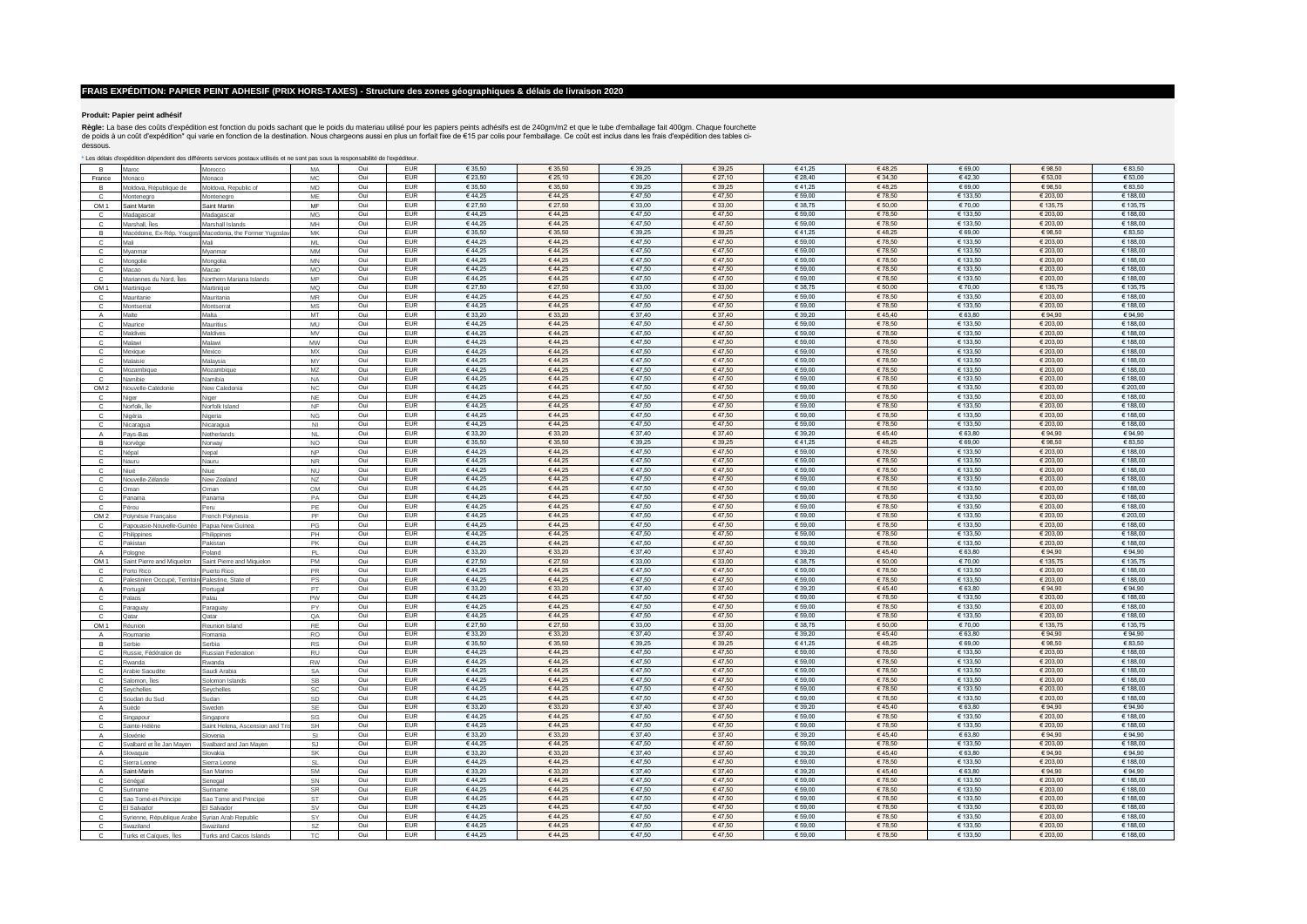### **Produit: Papier peint adhésif**

**Règle:** La base des coûts d'expédition est fonction du poids sachant que le poids du materiau utilisé pour les papiers peints adhésifs est de 240gm/m2 et que le tube d'emballage fait 400gm. Chaque fourchette<br>dessous.<br>des

\* Les délais d'expédition dépendent des différents services postaux utilisés et ne sont pas sous la responsabilité de l'expéditeur.

| R.                   | Maroc                                              | Morocco                                                   | MA                         | Oui        | <b>EUR</b>               | € 35,50          | € 35,50          | € 39,25          | € 39.25          | €41,25             | €48,25           | € 69,00              | € 98,50              | € 83,50              |
|----------------------|----------------------------------------------------|-----------------------------------------------------------|----------------------------|------------|--------------------------|------------------|------------------|------------------|------------------|--------------------|------------------|----------------------|----------------------|----------------------|
| France               | Monaco                                             | Monaco                                                    | MC                         | Oui        | <b>EUR</b>               | € 23,50          | € 25,10          | € 26,20          | € 27,10          | € 28,40            | €34,30           | €42,30               | € 53,00              | € 53,00              |
| $\overline{B}$       | Moldova, République de                             | Moldova, Republic of                                      | <b>MD</b>                  | Oui        | <b>EUR</b>               | € 35,50          | € 35,50          | € 39,25          | € 39,25          | €41,25             | €48,25           | 66900                | € 98,50              | € 83.50              |
|                      |                                                    |                                                           | MF                         | Oui        | <b>EUR</b>               | €44,25           | €44,25           | €47,50           | €47,50           | € 59,00            | €78,50           | € 133,50             | € 203,00             | € 188,00             |
| C<br>OM <sub>1</sub> | Montenegro<br>Saint Martin                         | Montenegro<br>Saint Martin                                | MF                         | Oui        | <b>EUR</b>               | € 27,50          | € 27,50          | € 33,00          | € 33,00          | € 38,75            | €50,00           | € 70,00              | € 135,75             | € 135,75             |
|                      |                                                    |                                                           |                            |            |                          |                  |                  |                  |                  |                    |                  |                      |                      |                      |
| c                    | Madagascar                                         | Madagascar                                                | MG                         | Oui        | <b>EUR</b>               | €44,25           | €44,25           | €47,50           | €47,50           | € 59,00            | €78,50           | € 133,50             | € 203,00             | € 188,00             |
| $\mathbf{C}$         | Marshall, Îles                                     | Marshall Islands                                          | MH                         | Oui        | <b>EUR</b>               | €44,25           | €44,25           | €47,50           | €47,50           | € 59,00            | €78,50           | € 133,50             | € 203,00             | € 188,00             |
| в                    |                                                    | Macédoine, Ex-Rép. Yougos! Macedonia, the Former Yugoslav | MK                         | Oui        | <b>EUR</b>               | € 35,50          | € 35,50          | € 39,25          | € 39,25          | €41,25             | €48,25           | € 69,00              | €98,50               | € 83,50              |
| C                    | Mali                                               | Mali                                                      | <b>ML</b>                  | Oui        | <b>EUR</b>               | €44.25           | €44.25           | €47.50           | €47.50           | € 59.00            | €78.50           | € 133.50             | € 203.00             | € 188.00             |
| $\mathbf{C}$         | Myanmar                                            | Myanmar                                                   | <b>MM</b>                  | Oui        | <b>EUR</b>               | €44.25           | €44.25           | €47.50           | €47.50           | € 59.00            | €78.50           | € 133.50             | € 203.00             | € 188.00             |
| C                    | Mongolie                                           | Mongolia                                                  | MN                         | Oui        | <b>EUR</b>               | €44.25           | €44.25           | €47.50           | €47.50           | € 59.00            | €78.50           | € 133.50             | € 203.00             | € 188.00             |
|                      |                                                    |                                                           |                            |            | <b>EUR</b>               |                  |                  | €47.50           | €47.50           |                    | €78,50           | € 133.50             |                      |                      |
| $\mathbf{C}$         | Macao                                              | Macao                                                     | MO                         | Oui        |                          | €44,25           | €44,25           |                  |                  | € 59,00            |                  |                      | € 203,00             | € 188,00             |
| C                    | Mariannes du Nord, Îles                            | Northern Mariana Islands                                  | MP                         | Oui        | <b>EUR</b>               | €44,25           | €44,25           | €47,50           | €47.50           | € 59,00            | €78,50           | € 133.50             | € 203.00             | € 188.00             |
| OM <sub>1</sub>      | Martinique                                         | Martinique                                                | MQ                         | Oui        | <b>EUR</b>               | € 27.50          | € 27.50          | € 33.00          | € 33.00          | € 38.75            | €50.00           | €70.00               | € 135.75             | € 135.75             |
| C                    | Mauritanie                                         | Mauritania                                                | $\ensuremath{\mathsf{MR}}$ | Oui        | <b>EUR</b>               | €44,25           | €44,25           | €47,50           | €47,50           | € 59,00            | €78,50           | € 133,50             | € 203,00             | € 188,00             |
| $\mathbf{C}$         | Montserrat                                         | Montserrat                                                | MS                         | Oui        | <b>EUR</b>               | €44,25           | €44,25           | €47.50           | €47.50           | € 59.00            | €78.50           | € 133.50             | 620300               | € 188.00             |
| $\overline{A}$       | Malte                                              | Malta                                                     | MT                         | Oui        | <b>EUR</b>               | € 33,20          | € 33,20          | € 37,40          | € 37,40          | € 39,20            | €45,40           | € 63,80              | € 94,90              | € 94,90              |
| $\mathbf{C}$         |                                                    |                                                           | MU                         | Oui        | <b>EUR</b>               | €44,25           | 644,25           | €47,50           | €47,50           | € 59,00            | €78,50           | € 133,50             | € 203,00             | € 188,00             |
|                      | Maurice                                            | Mauritius                                                 |                            |            |                          |                  |                  |                  |                  |                    |                  |                      |                      |                      |
| $\mathbf{C}$         | Maldives                                           | Maldives                                                  | MV                         | Oui        | <b>EUR</b>               | €44,25           | €44,25           | €47,50           | €47,50           | € 59,00            | €78,50           | € 133,50             | € 203,00             | € 188,00             |
| $\Omega$             | Malawi                                             | Malawi                                                    | MW                         | Oui        | <b>EUR</b>               | €44,25           | 644,25           | €47,50           | €47,50           | € 59,00            | €78,50           | € 133,50             | € 203,00             | € 188,00             |
| $\mathbf{C}$         | Mexique                                            | Mexico                                                    | MX                         | Oui        | <b>EUR</b>               | €44,25           | €44,25           | €47,50           | €47,50           | € 59,00            | €78,50           | € 133,50             | € 203,00             | € 188,00             |
| $\Gamma$             | Malaisie                                           | Malaysia                                                  | MY                         | Oui        | <b>EUR</b>               | €44,25           | €44,25           | €47,50           | €47.50           | € 59,00            | €78,50           | € 133,50             | € 203,00             | € 188,00             |
|                      | Mozambigu                                          | Mozambique                                                | MZ                         | Oui        | <b>EUR</b>               | €44,25           | €44,25           | €47,50           | €47,50           | € 59,00            | €78,50           | € 133,50             | € 203,00             | € 188,00             |
| $\mathbf{C}$         | Namibie                                            | Namibia                                                   | <b>NA</b>                  | Oui        | <b>EUR</b>               | €44,25           | €44.25           | €47,50           | €47.50           | € 59,00            | €78,50           | € 133,50             | € 203,00             | € 188,00             |
| OM <sub>2</sub>      | Nouvelle-Calédonie                                 |                                                           | <b>NC</b>                  | Oui        | <b>EUR</b>               | €44,25           | €44,25           | €47,50           | €47,50           | € 59,00            | €78,50           | € 133,50             | € 203,00             | € 203,00             |
|                      |                                                    | New Caledonia                                             |                            |            |                          |                  |                  |                  |                  |                    |                  |                      |                      |                      |
|                      | Niger                                              | Niger                                                     | <b>NF</b>                  | Oui        | <b>EUR</b>               | €44,25           | 64425            | €47,50           | 64750            | € 59,00            | €78,50           | € 133,50             | € 203,00             | € 188,00             |
| $\mathbf{C}$         | Norfolk, Île                                       | Norfolk Island                                            | <b>NF</b>                  | Oui        | <b>EUR</b>               | €44,25           | €44,25           | €47,50           | €47,50           | € 59,00            | €78,50           | € 133,50             | € 203,00             | € 188,00             |
| <b>C</b>             | Nigéria                                            | Nigeria                                                   | $_{\rm NG}$                | Oui        | <b>EUR</b>               | €44.25           | €44.25           | €47.50           | €47.50           | € 59.00            | €78.50           | € 133.50             | € 203.00             | € 188.00             |
| $\mathbf{C}$         | Nicaragua                                          | Nicaragua                                                 | N <sub>1</sub>             | Oui        | <b>EUR</b>               | €44,25           | €44,25           | €47,50           | €47,50           | € 59,00            | €78,50           | € 133,50             | € 203,00             | € 188,00             |
| $\mathbf{A}$         | Pays-Bas                                           | Netherlands                                               | <b>NL</b>                  | Oui        | <b>EUR</b>               | € 33,20          | € 33.20          | € 37.40          | € 37.40          | € 39,20            | €45.40           | € 63.80              | € 94.90              | €94.90               |
| B                    |                                                    |                                                           | $_{\sf NO}$                | Oui        | <b>EUR</b>               | € 35,50          | 635,50           | € 39,25          | € 39,25          | €41,25             | €48,25           | € 69,00              | €98,50               | 68350                |
|                      | Norvège                                            | Norway                                                    |                            |            |                          |                  |                  |                  |                  |                    |                  |                      |                      |                      |
| $\mathbf{C}$         | Népal                                              | Nepal                                                     | <b>NP</b>                  | Oui        | <b>EUR</b>               | €44,25           | €44,25           | €47,50           | €47.50           | € 59,00            | €78,50           | € 133.50             | € 203,00             | € 188,00             |
| C                    | Nauru                                              | Nauru                                                     | $\sf NR$                   | Oui        | <b>EUR</b>               | €44,25           | €44,25           | €47,50           | €47,50           | € 59,00            | €78,50           | € 133,50             | € 203,00             | € 188,00             |
| $\mathbf{C}$         | Niué                                               | Niue                                                      | <b>NU</b>                  | Oui        | <b>EUR</b>               | €44,25           | € 44 25          | €47,50           | 64750            | € 59,00            | €78.50           | 643350               | € 203,00             | € 188,00             |
| C                    | Nouvelle-Zélande                                   | New Zealand                                               | <b>NZ</b>                  | Oui        | <b>EUR</b>               | €44,25           | €44,25           | €47,50           | €47,50           | € 59,00            | €78,50           | € 133,50             | € 203,00             | € 188,00             |
| $\mathbf{C}$         | Oman                                               | Oman                                                      | OM                         | Oui        | <b>EUR</b>               | €44,25           | €44,25           | €47,50           | €47,50           | € 59,00            | €78,50           | € 133,50             | € 203,00             | € 188,00             |
| $\mathbb C$          | Panama                                             | Panama                                                    | PA                         | Oui        | EUR                      | €44,25           | €44,25           | €47,50           | €47,50           | € 59,00            | €78,50           | € 133,50             | € 203,00             | € 188,00             |
|                      | Pérou                                              |                                                           |                            |            |                          |                  |                  |                  |                  |                    |                  |                      |                      |                      |
|                      |                                                    |                                                           |                            |            |                          |                  |                  |                  |                  |                    |                  |                      |                      |                      |
| $\mathbf{C}$         |                                                    | Peru                                                      | PE                         | Oui        | <b>EUR</b>               | €44,25           | €44,25           | €47,50           | €47,50           | € 59,00            | €78,50           | € 133,50             | € 203,00             | € 188,00             |
| OM <sub>2</sub>      | Polynésie Française                                | French Polynesia                                          | PF                         | Oui        | <b>EUR</b>               | €44,25           | €44,25           | €47,50           | €47,50           | € 59,00            | €78,50           | € 133,50             | € 203,00             | € 203,00             |
| $\mathbf{C}$         | Papouasie-Nouvelle-Guinée                          | Papua New Guinea                                          | $\mathsf{PG}$              | Oui        | <b>EUR</b>               | €44,25           | €44,25           | €47,50           | €47,50           | € 59,00            | €78,50           | € 133,50             | € 203,00             | € 188,00             |
| c                    |                                                    | Philippines                                               | PH                         | Oui        | EUR                      | €44,25           | €44,25           | €47,50           | €47,50           | € 59,00            | €78,50           | € 133,50             | € 203,00             | € 188,00             |
| $\mathbf{C}$         | Philippines<br>Pakistan                            | Pakistan                                                  |                            | Oui        | <b>EUR</b>               | €44,25           | €44,25           | €47,50           | €47,50           | € 59,00            | €78,50           | € 133,50             | € 203,00             | € 188,00             |
|                      |                                                    |                                                           | <b>PK</b>                  |            |                          |                  |                  |                  |                  |                    |                  |                      |                      |                      |
| A                    | Pologne                                            | Poland                                                    | PL                         | Oui        | <b>EUR</b>               | € 33,20          | € 33,20          | € 37,40          | € 37,40          | € 39,20            | 645,40           | € 63,80              | € 94,90              | €94,90               |
| OM <sub>1</sub>      | Saint Pierre and Miquelon                          | Saint Pierre and Miquelon                                 | PM                         | Oui        | <b>EUR</b>               | € 27,50          | € 27,50          | € 33,00          | € 33,00          | € 38,75            | €50,00           | € 70,00              | € 135,75             | € 135,75             |
| c                    | Porto Rico                                         | Puerto Rico                                               | <b>PR</b>                  | Oui        | EUR                      | €44.25           | €44,25           | €47,50           | €47,50           | € 59,00            | €78,50           | € 133,50             | € 203,00             | € 188,00             |
| $\mathbb C$          | Palestinien Occupé, Territoire Palestine, State of |                                                           | PS                         | Oui        | <b>EUR</b>               | €44,25           | €44,25           | €47,50           | €47,50           | € 59,00            | €78,50           | € 133,50             | € 203,00             | € 188,00             |
| $\mathbf{A}$         | Portugal                                           | Portugal                                                  | PT                         | Oui        | <b>EUR</b>               | € 33.20          | € 33.20          | € 37.40          | € 37.40          | € 39.20            | €45.40           | € 63.80              | € 94.90              | €94.90               |
| C                    |                                                    |                                                           | PW                         | Oui        | <b>EUR</b>               | €44.25           | €44.25           | €47.50           | €47.50           | € 59.00            | €78.50           | € 133.50             | € 203.00             | € 188.00             |
|                      | Palaos                                             | Palau                                                     | <b>PY</b>                  | Oui        | <b>EUR</b>               | €44.25           | €44.25           | €47.50           | €47.50           | € 59.00            | €78.50           | € 133.50             | € 203.00             | € 188.00             |
| $\mathbf{C}$         | Paraguay                                           | Paraguay                                                  |                            |            |                          |                  |                  |                  |                  |                    |                  |                      |                      |                      |
| $\mathbf{C}$         | Qatar                                              | Qatar                                                     | QA                         | Oui        | <b>EUR</b>               | €44,25           | €44,25           | €47.50           | €47.50           | € 59.00            | €78.50           | € 133.50             | € 203.00             | € 188.00             |
| OM <sub>1</sub>      | Réunion                                            | Reunion Island                                            | RE                         | Oui        | <b>EUR</b>               | € 27,50          | € 27,50          | € 33,00          | € 33,00          | € 38,75            | €50,00           | € 70,00              | € 135,75             | € 135,75             |
| $\overline{A}$       | Roumanie                                           | Romania                                                   | <b>RO</b>                  | Oui        | <b>EUR</b>               | € 33.20          | € 33,20          | € 37.40          | € 37.40          | € 39,20            | €45.40           | € 63.80              | € 94,90              | € 94.90              |
| B                    | Serbie                                             | Serbia                                                    | <b>RS</b>                  | Oui        | <b>EUR</b>               | € 35,50          | € 35,50          | € 39,25          | € 39,25          | €41,25             | €48,25           | € 69.00              | € 98,50              | € 83.50              |
| $\mathbb C$          | Russie. Fédération de                              | <b>Russian Federation</b>                                 | <b>RU</b>                  | Oui        | <b>EUR</b>               | €44,25           | €44,25           | €47,50           | €47,50           | € 59,00            | €78,50           | € 133,50             | € 203,00             | € 188,00             |
| $\mathbf{C}$         | Rwanda                                             | Rwanda                                                    | <b>RW</b>                  | Oui        | <b>EUR</b>               | €44,25           | €44,25           | €47.50           | €47.50           | € 59.00            | €78.50           | € 133.50             | 620300               | € 188.00             |
| C                    | Arabie Saoudite                                    | Saudi Arabia                                              |                            |            | <b>EUR</b>               | €44,25           | €44,25           | €47,50           | €47,50           |                    | €78,50           | € 133,50             | € 203,00             | € 188,00             |
|                      |                                                    |                                                           | SA                         | Oui        |                          |                  |                  |                  |                  | € 59,00            |                  |                      |                      |                      |
| $\mathbf{C}$         | Salomon, Îles                                      | Solomon Islands                                           | SB                         | Oui        | <b>EUR</b>               | €44,25           | €44,25           | €47,50           | €47,50           | € 59,00            | €78,50           | € 133,50             | € 203,00             | € 188,00             |
| $\mathbf{C}$         | Sevchelles                                         | Sevchelles                                                | SC                         | Oui        | <b>EUR</b>               | €44,25           | €44,25           | €47,50           | €47,50           | € 59,00            | €78,50           | € 133,50             | € 203,00             | € 188,00             |
| $\mathbf{C}$         | Soudan du Sud                                      | Sudan                                                     | SD                         | Oui        | <b>EUR</b>               | €44,25           | €44,25           | €47,50           | €47,50           | € 59,00            | €78,50           | € 133,50             | € 203,00             | € 188,00             |
| $\mathbf{A}$         | Suède                                              | Sweden                                                    | SE                         | Oui        | <b>EUR</b>               | € 33,20          | € 33,20          | € 37,40          | € 37,40          | € 39,20            | 645,40           | € 63,80              | € 94,90              | €94,90               |
| $\Omega$             |                                                    |                                                           | SG                         | Oui        | <b>EUR</b>               | €44.25           | €44,25           | €47,50           | €47.50           | € 59,00            | €78,50           | € 133,50             | € 203,00             | € 188,00             |
| $\mathbf{C}$         | Singapour<br>Sainte-Hélène                         | Singapore<br>Saint Helena, Ascension and Tri              | SH                         | Oui        | <b>EUR</b>               | €44,25           | €44,25           | €47,50           | €47,50           | € 59,00            | €78,50           | € 133,50             | € 203,00             | € 188,00             |
| Δ                    |                                                    |                                                           |                            |            |                          |                  |                  |                  |                  |                    |                  |                      |                      |                      |
|                      | Slovénie                                           | Slovenia                                                  | SI                         | Oui        | <b>EUR</b>               | € 33,20          | € 33,20          | € 37,40          | € 37,40          | € 39,20            | 645,40           | € 63,80              | € 94,90              | €94,90               |
| $\Omega$             | Svalbard et Île Jan Mayen                          | Svalhard and Jan Mayer                                    | SJ                         | Oui        | <b>EUR</b>               | €44,25           | €44,25           | €47,50           | €47,50           | € 59,00            | €78,50           | € 133,50             | € 203,00             | € 188,00             |
| $\Lambda$            | Slovaquie                                          | Slovakia                                                  | SK                         | Oui        | <b>EUR</b>               | € 33,20          | € 33,20          | € 37,40          | € 37,40          | € 39,20            | €45,40           | € 63,80              | € 94,90              | €94,90               |
| $\Omega$             | Sierra Leone                                       | Sierra Leone                                              | <b>SI</b>                  | Oui        | <b>EUR</b>               | €44,25           | €44,25           | €47,50           | €47,50           | € 59,00            | €78,50           | € 133,50             | € 203,00             | € 188,00             |
| $\mathsf{A}$         | Saint-Marin                                        | San Marino                                                | <b>SM</b>                  | Oui        | <b>EUR</b>               | € 33.20          | € 33,20          | € 37.40          | € 37.40          | € 39,20            | €45.40           | € 63.80              | € 94.90              | €94.90               |
| $\mathbf{C}$         | Sénégal                                            | Senegal                                                   | SN                         | Oui        | <b>EUR</b>               | €44,25           | €44,25           | €47,50           | €47,50           | € 59,00            | €78,50           | € 133,50             | € 203,00             | € 188,00             |
|                      |                                                    |                                                           | <b>SR</b>                  | Oui        | <b>EUR</b>               | €44.25           | €44.25           | €47.50           | €47.50           | € 59.00            | €78.50           | € 133.50             | € 203.00             | € 188.00             |
|                      | Suriname                                           | Suriname                                                  |                            |            |                          |                  |                  |                  |                  |                    |                  |                      |                      |                      |
| C                    | Sao Tomé-et-Principe                               | Sao Tome and Principe                                     | ST                         | Oui        | <b>EUR</b>               | €44,25           | €44,25           | 647,50           | €47,50           | € 59,00            | €78,50           | € 133,50             | € 203,00             | € 188,00             |
| $\mathbf{C}$         | El Salvador                                        | El Salvador                                               | $\texttt{SV}$              | Oui        | <b>EUR</b>               | €44,25           | €44,25           | €47,50           | €47.50           | € 59,00            | €78,50           | € 133.50             | € 203,00             | € 188,00             |
| C                    | Syrienne, République Arabe Syrian Arab Republic    |                                                           | SY                         | Oui        | <b>EUR</b>               | €44,25           | €44,25           | €47,50           | €47,50           | € 59,00            | €78,50           | € 133,50             | € 203,00             | € 188,00             |
| $\mathbf{C}$         | Swaziland<br>Turks et Caïques, Îles                | Swaziland                                                 | SZ<br>TC                   | Oui<br>Oui | <b>EUR</b><br><b>EUR</b> | €44,25<br>€44,25 | €44.25<br>€44,25 | €47,50<br>€47,50 | €47.50<br>€47,50 | € 59,00<br>€ 59,00 | €78,50<br>€78,50 | € 133.50<br>€ 133.50 | € 203,00<br>€ 203,00 | € 188,00<br>€ 188,00 |